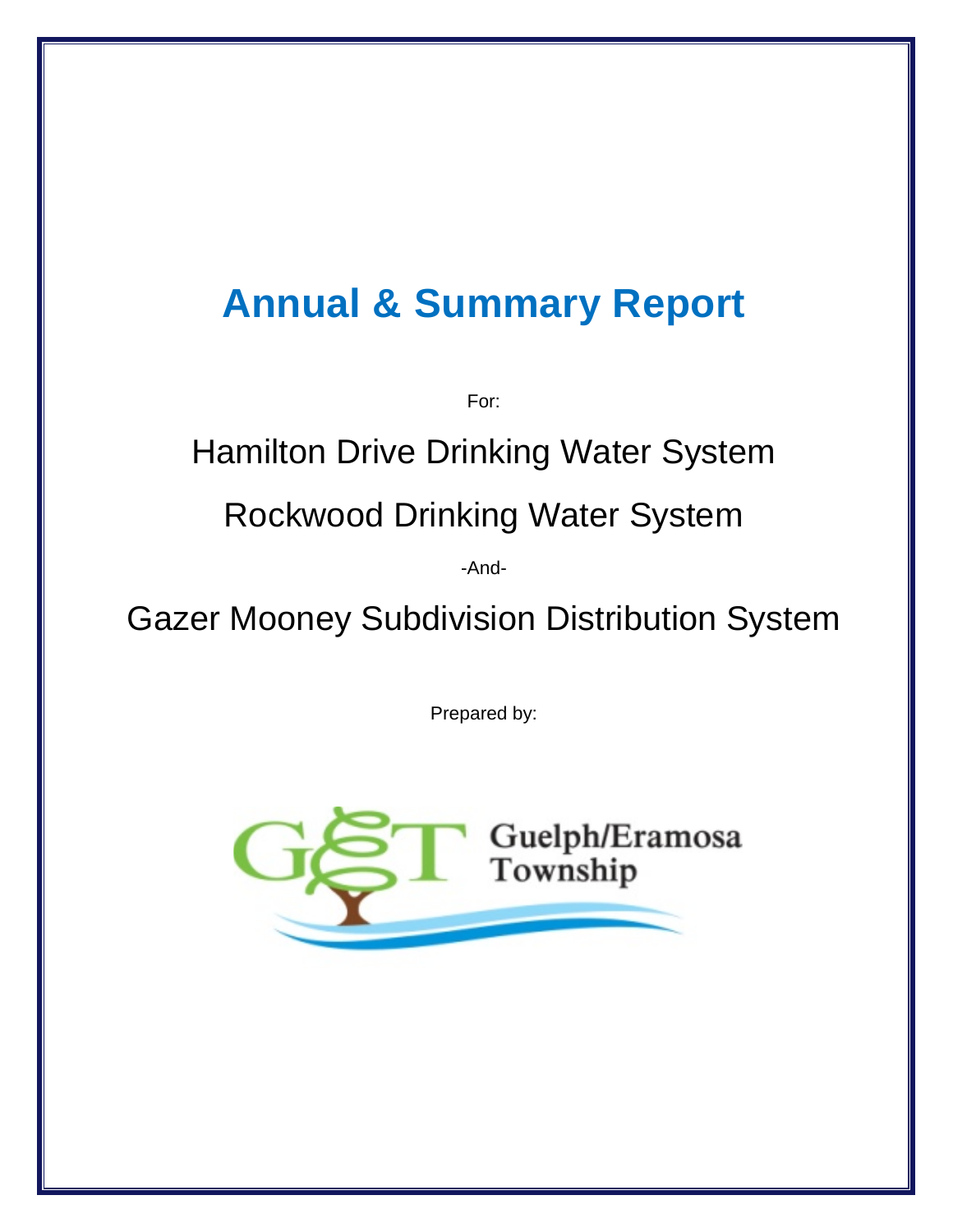# **Annual & Summary Report**

For:

## Hamilton Drive Drinking Water System

## Rockwood Drinking Water System

-And-

Gazer Mooney Subdivision Distribution System

Prepared by:

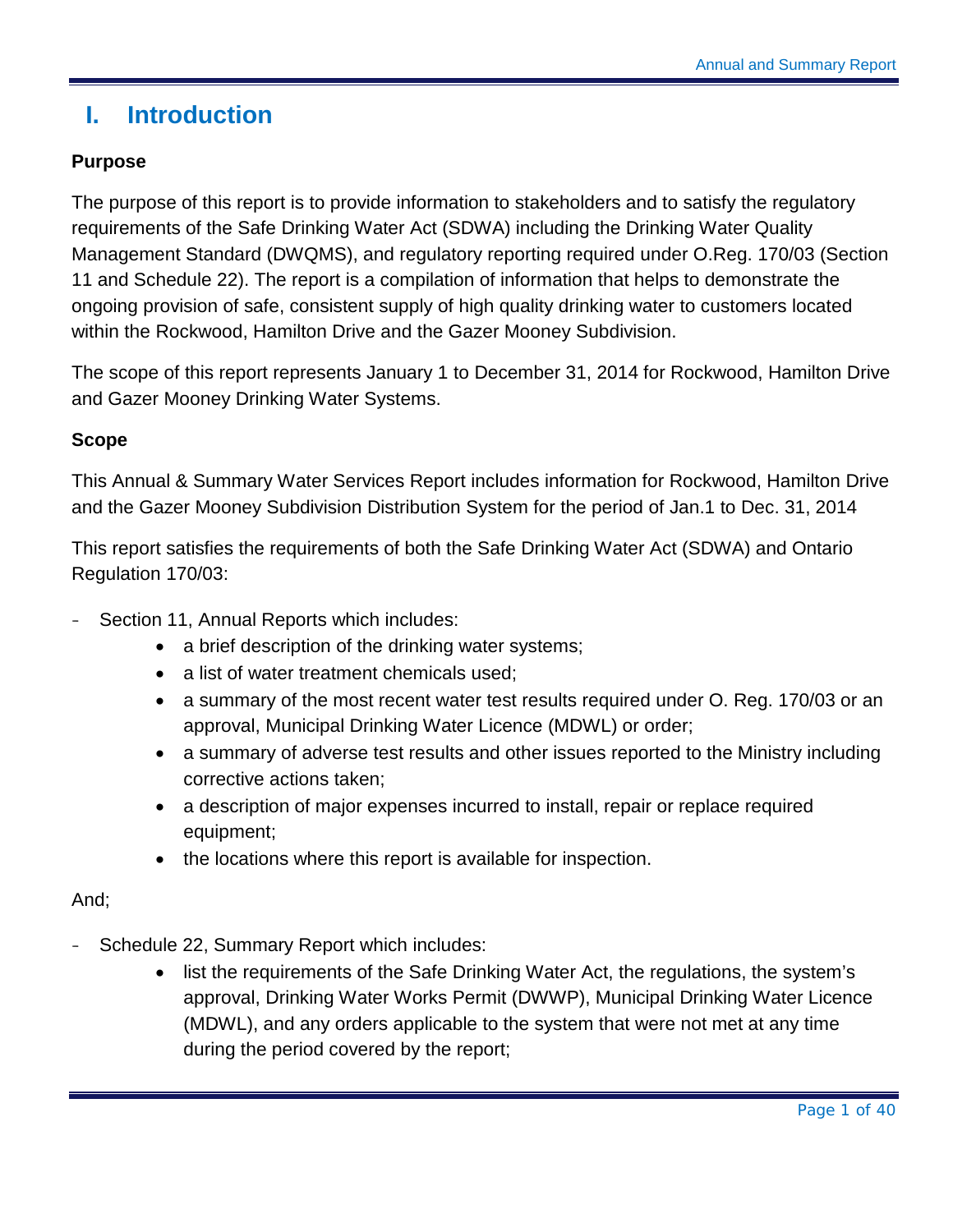## <span id="page-1-0"></span>**I. Introduction**

#### **Purpose**

The purpose of this report is to provide information to stakeholders and to satisfy the regulatory requirements of the Safe Drinking Water Act (SDWA) including the Drinking Water Quality Management Standard (DWQMS), and regulatory reporting required under O.Reg. 170/03 (Section 11 and Schedule 22). The report is a compilation of information that helps to demonstrate the ongoing provision of safe, consistent supply of high quality drinking water to customers located within the Rockwood, Hamilton Drive and the Gazer Mooney Subdivision.

The scope of this report represents January 1 to December 31, 2014 for Rockwood, Hamilton Drive and Gazer Mooney Drinking Water Systems.

#### **Scope**

This Annual & Summary Water Services Report includes information for Rockwood, Hamilton Drive and the Gazer Mooney Subdivision Distribution System for the period of Jan.1 to Dec. 31, 2014

This report satisfies the requirements of both the Safe Drinking Water Act (SDWA) and Ontario Regulation 170/03:

- Section 11, Annual Reports which includes:
	- a brief description of the drinking water systems;
	- a list of water treatment chemicals used;
	- a summary of the most recent water test results required under O. Reg. 170/03 or an approval, Municipal Drinking Water Licence (MDWL) or order;
	- a summary of adverse test results and other issues reported to the Ministry including corrective actions taken;
	- a description of major expenses incurred to install, repair or replace required equipment;
	- the locations where this report is available for inspection.

#### And;

- Schedule 22, Summary Report which includes:
	- list the requirements of the Safe Drinking Water Act, the requiations, the system's approval, Drinking Water Works Permit (DWWP), Municipal Drinking Water Licence (MDWL), and any orders applicable to the system that were not met at any time during the period covered by the report;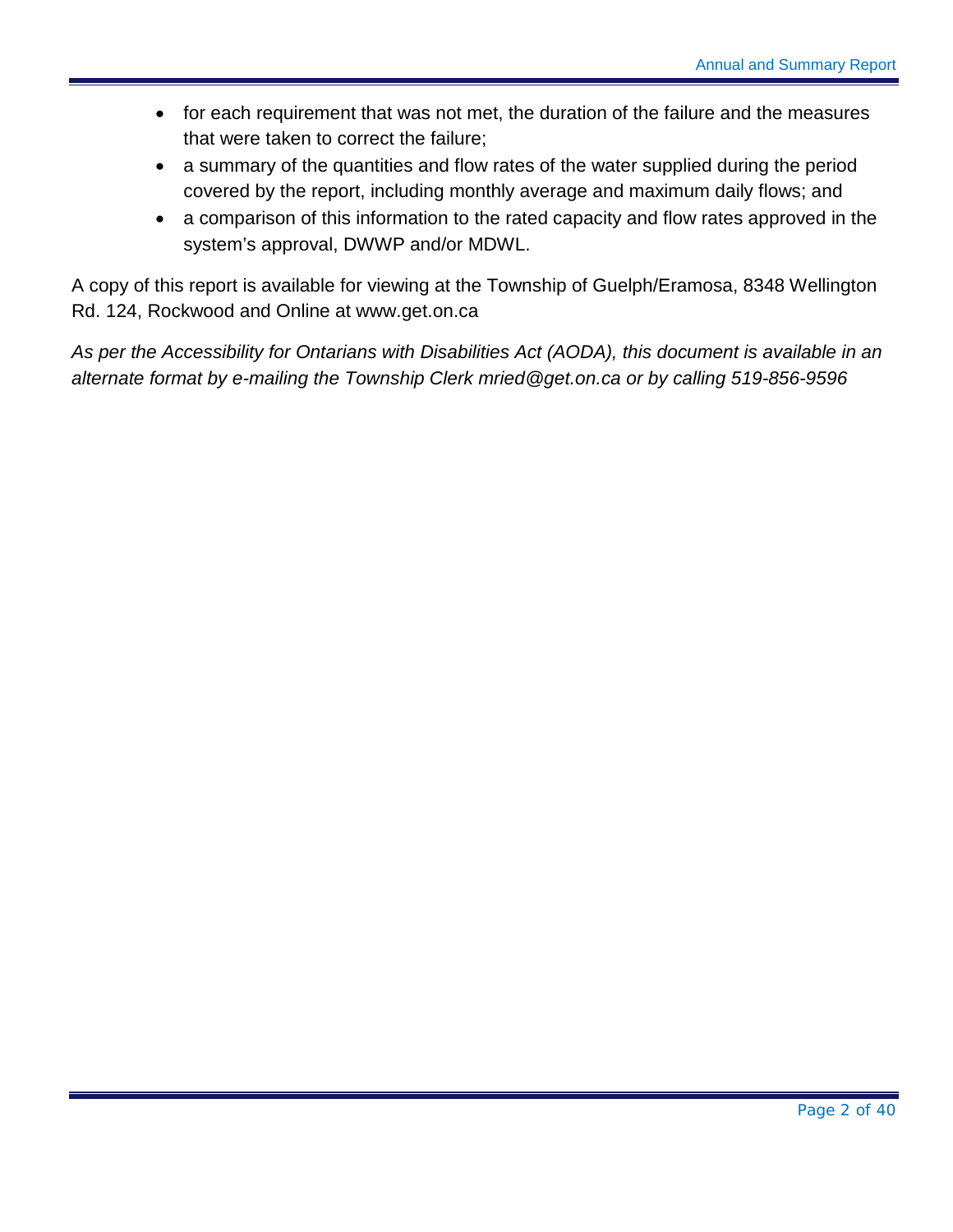- for each requirement that was not met, the duration of the failure and the measures that were taken to correct the failure;
- a summary of the quantities and flow rates of the water supplied during the period covered by the report, including monthly average and maximum daily flows; and
- a comparison of this information to the rated capacity and flow rates approved in the system's approval, DWWP and/or MDWL.

A copy of this report is available for viewing at the Township of Guelph/Eramosa, 8348 Wellington Rd. 124, Rockwood and Online at [www.get.on.ca](http://www.get.on.ca/)

*As per the Accessibility for Ontarians with Disabilities Act (AODA), this document is available in an alternate format by e-mailing the Township Clerk mried@get.on.ca or by calling 519-856-9596*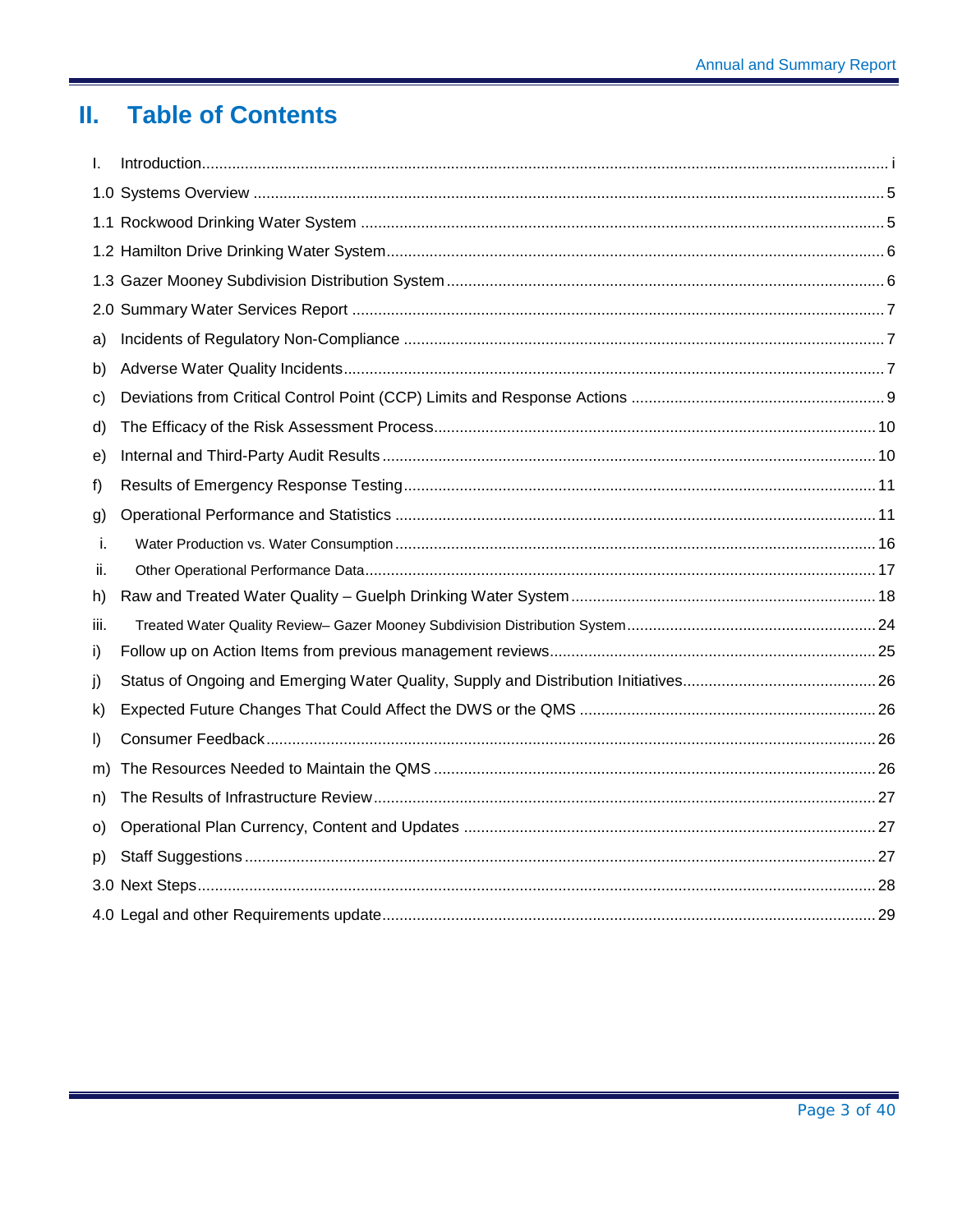#### $\Pi_{\rm eff}$ **Table of Contents**

| I.      |  |
|---------|--|
|         |  |
|         |  |
|         |  |
|         |  |
|         |  |
| a)      |  |
| b)      |  |
| c)      |  |
| d)      |  |
| e)      |  |
| f)      |  |
| g)      |  |
| i.      |  |
| н.      |  |
| h)      |  |
| iii.    |  |
| i)      |  |
| j)      |  |
| k)      |  |
| $\vert$ |  |
| m)      |  |
| n)      |  |
| O)      |  |
| p)      |  |
|         |  |
|         |  |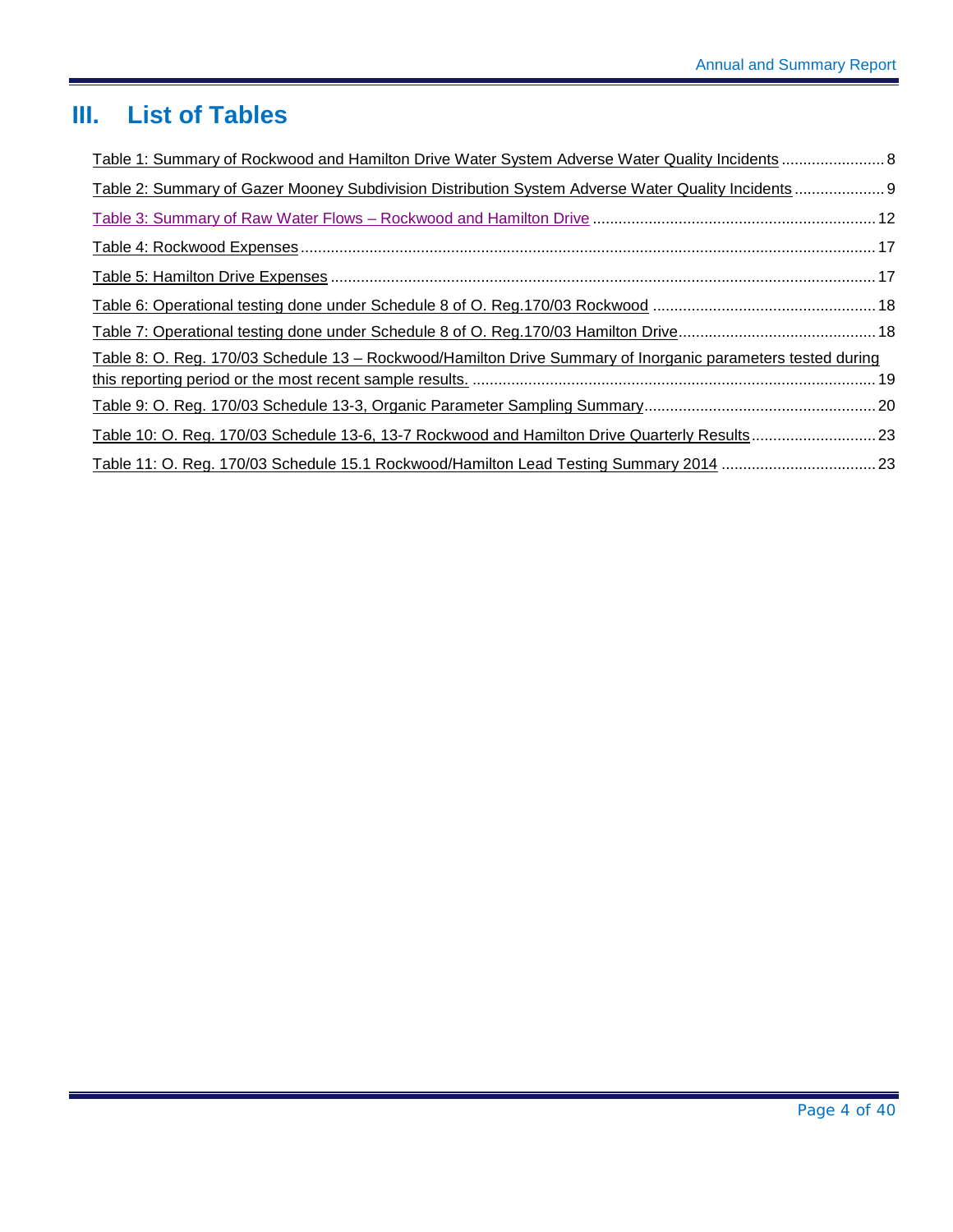## **III. List of Tables**

| Table 1: Summary of Rockwood and Hamilton Drive Water System Adverse Water Quality Incidents  8             |  |
|-------------------------------------------------------------------------------------------------------------|--|
| Table 2: Summary of Gazer Mooney Subdivision Distribution System Adverse Water Quality Incidents  9         |  |
|                                                                                                             |  |
|                                                                                                             |  |
|                                                                                                             |  |
|                                                                                                             |  |
|                                                                                                             |  |
| Table 8: O. Reg. 170/03 Schedule 13 – Rockwood/Hamilton Drive Summary of Inorganic parameters tested during |  |
|                                                                                                             |  |
|                                                                                                             |  |
|                                                                                                             |  |
|                                                                                                             |  |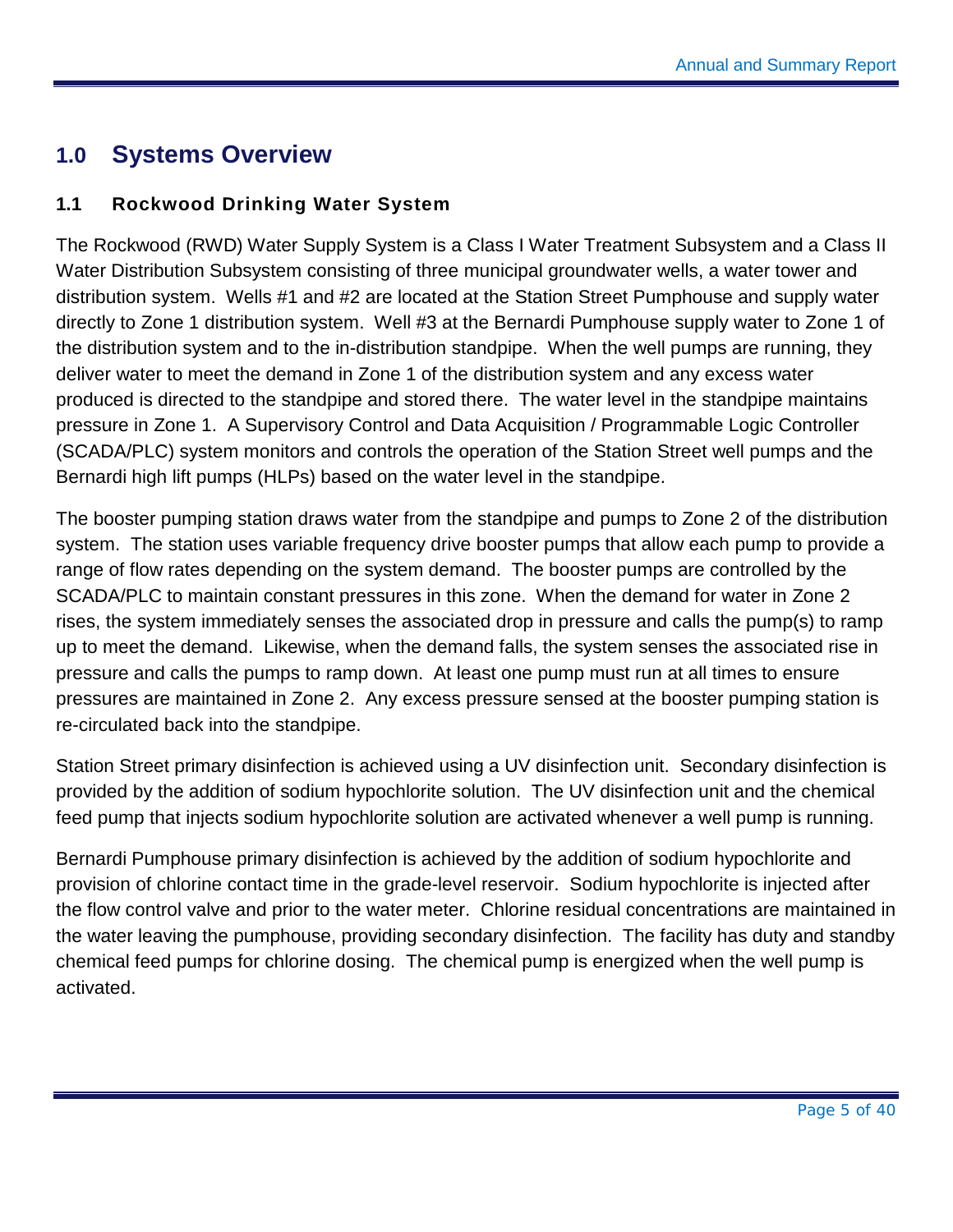## <span id="page-5-0"></span>**1.0 Systems Overview**

#### <span id="page-5-1"></span>**1.1 Rockwood Drinking Water System**

The Rockwood (RWD) Water Supply System is a Class I Water Treatment Subsystem and a Class II Water Distribution Subsystem consisting of three municipal groundwater wells, a water tower and distribution system. Wells #1 and #2 are located at the Station Street Pumphouse and supply water directly to Zone 1 distribution system. Well #3 at the Bernardi Pumphouse supply water to Zone 1 of the distribution system and to the in-distribution standpipe. When the well pumps are running, they deliver water to meet the demand in Zone 1 of the distribution system and any excess water produced is directed to the standpipe and stored there. The water level in the standpipe maintains pressure in Zone 1. A Supervisory Control and Data Acquisition / Programmable Logic Controller (SCADA/PLC) system monitors and controls the operation of the Station Street well pumps and the Bernardi high lift pumps (HLPs) based on the water level in the standpipe.

The booster pumping station draws water from the standpipe and pumps to Zone 2 of the distribution system. The station uses variable frequency drive booster pumps that allow each pump to provide a range of flow rates depending on the system demand. The booster pumps are controlled by the SCADA/PLC to maintain constant pressures in this zone. When the demand for water in Zone 2 rises, the system immediately senses the associated drop in pressure and calls the pump(s) to ramp up to meet the demand. Likewise, when the demand falls, the system senses the associated rise in pressure and calls the pumps to ramp down. At least one pump must run at all times to ensure pressures are maintained in Zone 2. Any excess pressure sensed at the booster pumping station is re-circulated back into the standpipe.

Station Street primary disinfection is achieved using a UV disinfection unit. Secondary disinfection is provided by the addition of sodium hypochlorite solution. The UV disinfection unit and the chemical feed pump that injects sodium hypochlorite solution are activated whenever a well pump is running.

Bernardi Pumphouse primary disinfection is achieved by the addition of sodium hypochlorite and provision of chlorine contact time in the grade-level reservoir. Sodium hypochlorite is injected after the flow control valve and prior to the water meter. Chlorine residual concentrations are maintained in the water leaving the pumphouse, providing secondary disinfection. The facility has duty and standby chemical feed pumps for chlorine dosing. The chemical pump is energized when the well pump is activated.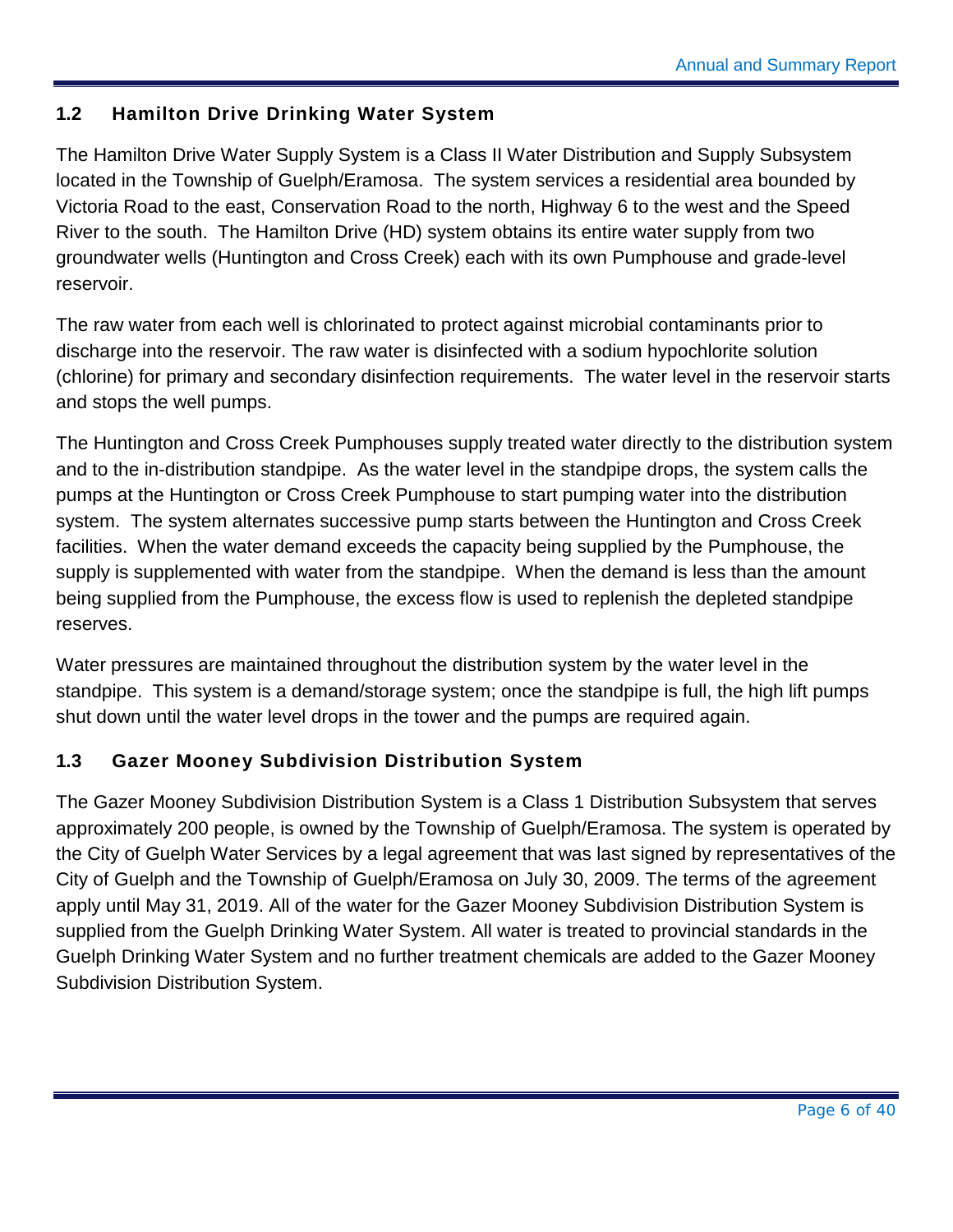#### <span id="page-6-0"></span>**1.2 Hamilton Drive Drinking Water System**

The Hamilton Drive Water Supply System is a Class II Water Distribution and Supply Subsystem located in the Township of Guelph/Eramosa. The system services a residential area bounded by Victoria Road to the east, Conservation Road to the north, Highway 6 to the west and the Speed River to the south. The Hamilton Drive (HD) system obtains its entire water supply from two groundwater wells (Huntington and Cross Creek) each with its own Pumphouse and grade-level reservoir.

The raw water from each well is chlorinated to protect against microbial contaminants prior to discharge into the reservoir. The raw water is disinfected with a sodium hypochlorite solution (chlorine) for primary and secondary disinfection requirements. The water level in the reservoir starts and stops the well pumps.

The Huntington and Cross Creek Pumphouses supply treated water directly to the distribution system and to the in-distribution standpipe. As the water level in the standpipe drops, the system calls the pumps at the Huntington or Cross Creek Pumphouse to start pumping water into the distribution system. The system alternates successive pump starts between the Huntington and Cross Creek facilities. When the water demand exceeds the capacity being supplied by the Pumphouse, the supply is supplemented with water from the standpipe. When the demand is less than the amount being supplied from the Pumphouse, the excess flow is used to replenish the depleted standpipe reserves.

Water pressures are maintained throughout the distribution system by the water level in the standpipe. This system is a demand/storage system; once the standpipe is full, the high lift pumps shut down until the water level drops in the tower and the pumps are required again.

#### <span id="page-6-1"></span>**1.3 Gazer Mooney Subdivision Distribution System**

The Gazer Mooney Subdivision Distribution System is a Class 1 Distribution Subsystem that serves approximately 200 people, is owned by the Township of Guelph/Eramosa. The system is operated by the City of Guelph Water Services by a legal agreement that was last signed by representatives of the City of Guelph and the Township of Guelph/Eramosa on July 30, 2009. The terms of the agreement apply until May 31, 2019. All of the water for the Gazer Mooney Subdivision Distribution System is supplied from the Guelph Drinking Water System. All water is treated to provincial standards in the Guelph Drinking Water System and no further treatment chemicals are added to the Gazer Mooney Subdivision Distribution System.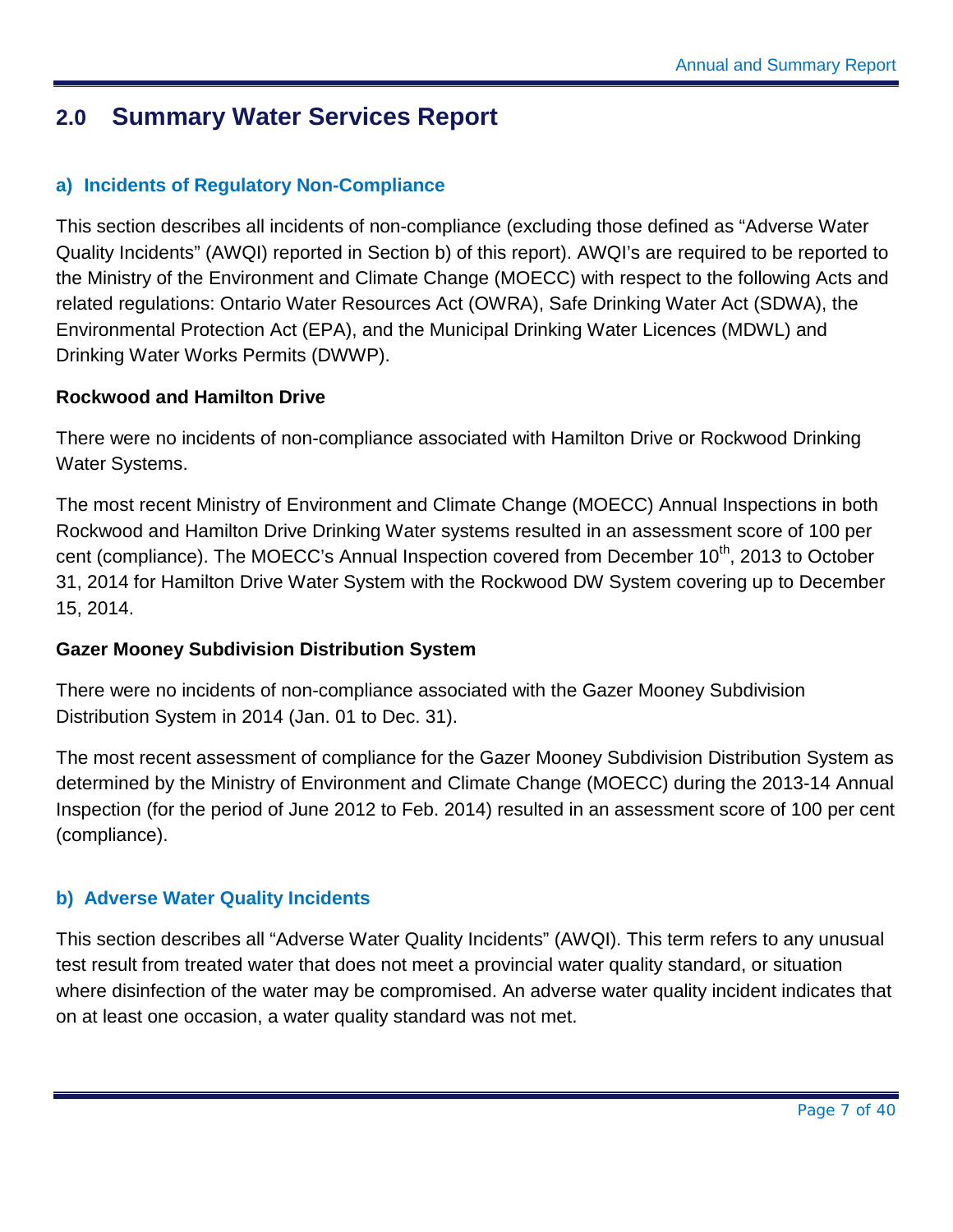### <span id="page-7-0"></span>**2.0 Summary Water Services Report**

#### <span id="page-7-1"></span>**a) Incidents of Regulatory Non-Compliance**

This section describes all incidents of non-compliance (excluding those defined as "Adverse Water Quality Incidents" (AWQI) reported in Section b) of this report). AWQI's are required to be reported to the Ministry of the Environment and Climate Change (MOECC) with respect to the following Acts and related regulations: Ontario Water Resources Act (OWRA), Safe Drinking Water Act (SDWA), the Environmental Protection Act (EPA), and the Municipal Drinking Water Licences (MDWL) and Drinking Water Works Permits (DWWP).

#### **Rockwood and Hamilton Drive**

There were no incidents of non-compliance associated with Hamilton Drive or Rockwood Drinking Water Systems.

The most recent Ministry of Environment and Climate Change (MOECC) Annual Inspections in both Rockwood and Hamilton Drive Drinking Water systems resulted in an assessment score of 100 per cent (compliance). The MOECC's Annual Inspection covered from December 10<sup>th</sup>, 2013 to October 31, 2014 for Hamilton Drive Water System with the Rockwood DW System covering up to December 15, 2014.

#### **Gazer Mooney Subdivision Distribution System**

There were no incidents of non-compliance associated with the Gazer Mooney Subdivision Distribution System in 2014 (Jan. 01 to Dec. 31).

The most recent assessment of compliance for the Gazer Mooney Subdivision Distribution System as determined by the Ministry of Environment and Climate Change (MOECC) during the 2013-14 Annual Inspection (for the period of June 2012 to Feb. 2014) resulted in an assessment score of 100 per cent (compliance).

#### <span id="page-7-2"></span>**b) Adverse Water Quality Incidents**

This section describes all "Adverse Water Quality Incidents" (AWQI). This term refers to any unusual test result from treated water that does not meet a provincial water quality standard, or situation where disinfection of the water may be compromised. An adverse water quality incident indicates that on at least one occasion, a water quality standard was not met.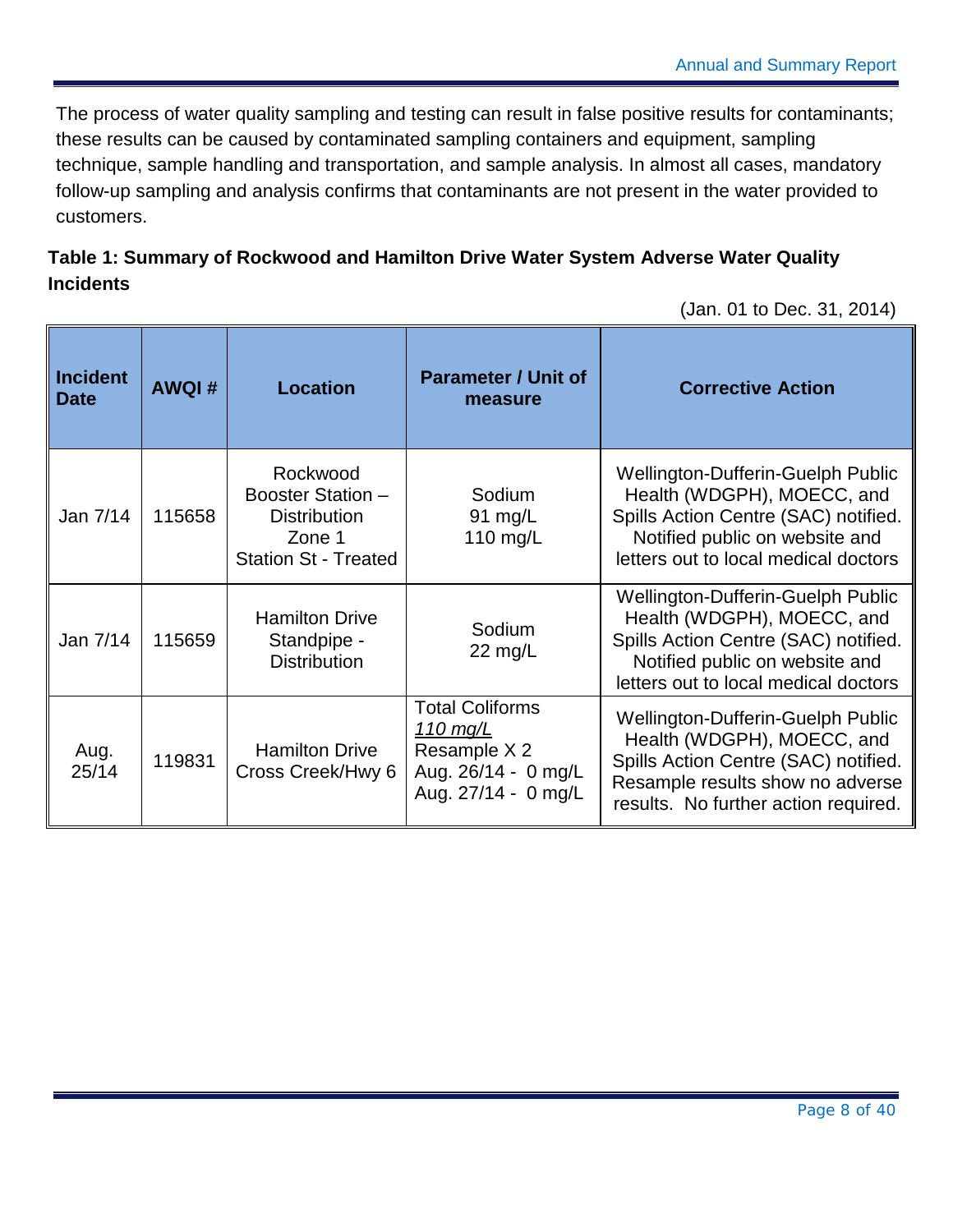The process of water quality sampling and testing can result in false positive results for contaminants; these results can be caused by contaminated sampling containers and equipment, sampling technique, sample handling and transportation, and sample analysis. In almost all cases, mandatory follow-up sampling and analysis confirms that contaminants are not present in the water provided to customers.

#### <span id="page-8-0"></span>**Table 1: Summary of Rockwood and Hamilton Drive Water System Adverse Water Quality Incidents**

(Jan. 01 to Dec. 31, 2014)

| <b>Incident</b><br><b>Date</b> | <b>AWQI#</b> | <b>Location</b>                                                                               | <b>Parameter / Unit of</b><br>measure                                                            | <b>Corrective Action</b>                                                                                                                                                                   |
|--------------------------------|--------------|-----------------------------------------------------------------------------------------------|--------------------------------------------------------------------------------------------------|--------------------------------------------------------------------------------------------------------------------------------------------------------------------------------------------|
| Jan 7/14                       | 115658       | Rockwood<br>Booster Station -<br><b>Distribution</b><br>Zone 1<br><b>Station St - Treated</b> | Sodium<br>91 mg/L<br>110 $mg/L$                                                                  | Wellington-Dufferin-Guelph Public<br>Health (WDGPH), MOECC, and<br>Spills Action Centre (SAC) notified.<br>Notified public on website and<br>letters out to local medical doctors          |
| Jan 7/14                       | 115659       | <b>Hamilton Drive</b><br>Standpipe -<br><b>Distribution</b>                                   | Sodium<br>$22 \text{ mg/L}$                                                                      | <b>Wellington-Dufferin-Guelph Public</b><br>Health (WDGPH), MOECC, and<br>Spills Action Centre (SAC) notified.<br>Notified public on website and<br>letters out to local medical doctors   |
| Aug.<br>25/14                  | 119831       | <b>Hamilton Drive</b><br>Cross Creek/Hwy 6                                                    | <b>Total Coliforms</b><br>110 mg/L<br>Resample X 2<br>Aug. 26/14 - 0 mg/L<br>Aug. 27/14 - 0 mg/L | <b>Wellington-Dufferin-Guelph Public</b><br>Health (WDGPH), MOECC, and<br>Spills Action Centre (SAC) notified.<br>Resample results show no adverse<br>results. No further action required. |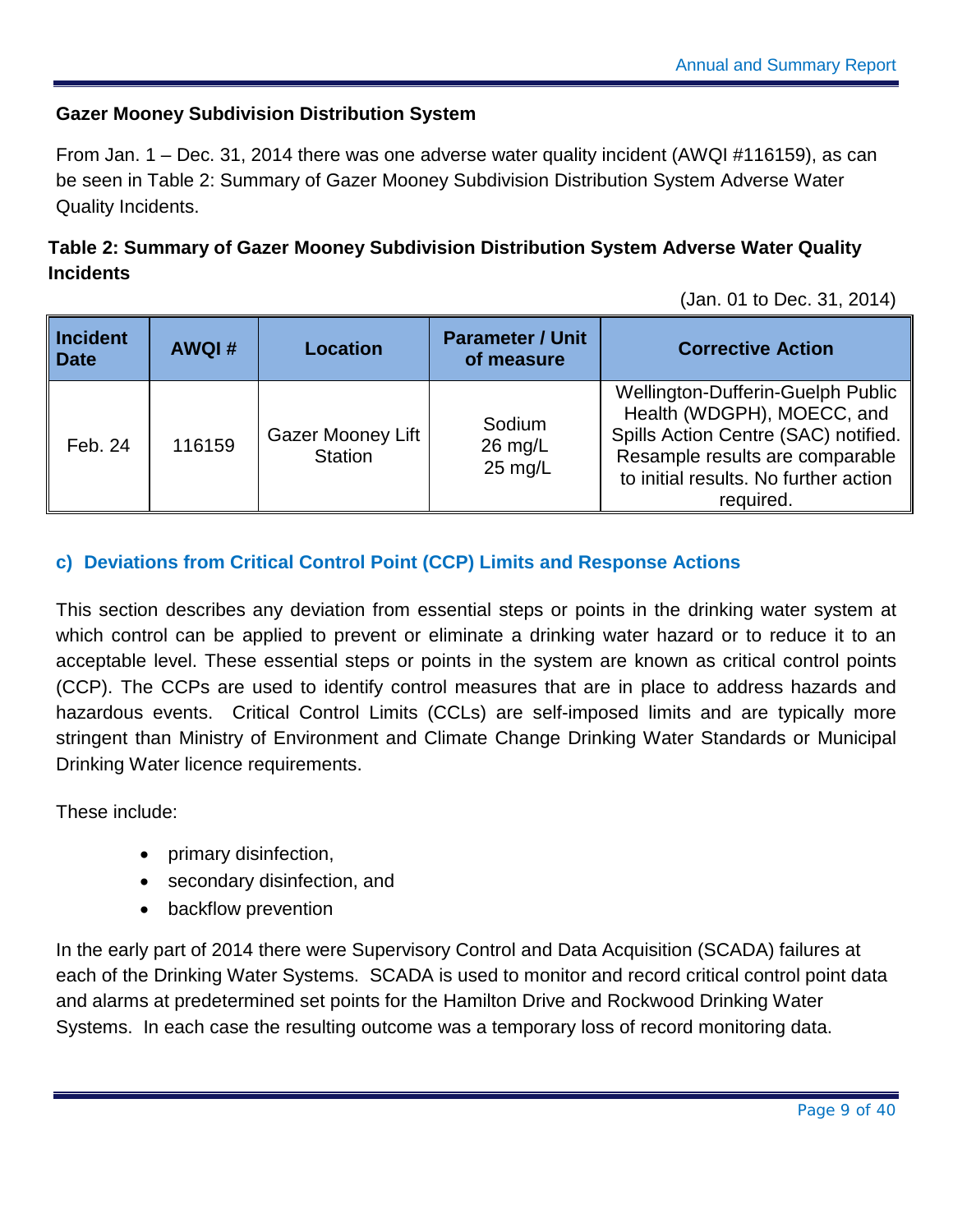#### **Gazer Mooney Subdivision Distribution System**

From Jan. 1 – Dec. 31, 2014 there was one adverse water quality incident (AWQI #116159), as can be seen in [Table 2: Summary of Gazer Mooney Subdivision Distribution System Adverse Water](#page-9-1)  [Quality Incidents.](#page-9-1)

#### <span id="page-9-1"></span>**Table 2: Summary of Gazer Mooney Subdivision Distribution System Adverse Water Quality Incidents**

(Jan. 01 to Dec. 31, 2014)

| Incident<br>$\blacksquare$ Date | <b>AWQI#</b> | <b>Location</b>                            | <b>Parameter / Unit</b><br>of measure    | <b>Corrective Action</b>                                                                                                                                                                         |
|---------------------------------|--------------|--------------------------------------------|------------------------------------------|--------------------------------------------------------------------------------------------------------------------------------------------------------------------------------------------------|
| Feb. 24                         | 116159       | <b>Gazer Mooney Lift</b><br><b>Station</b> | Sodium<br>$26$ mg/L<br>$25 \text{ mg/L}$ | Wellington-Dufferin-Guelph Public<br>Health (WDGPH), MOECC, and<br>Spills Action Centre (SAC) notified.<br>Resample results are comparable<br>to initial results. No further action<br>required. |

#### <span id="page-9-0"></span>**c) Deviations from Critical Control Point (CCP) Limits and Response Actions**

This section describes any deviation from essential steps or points in the drinking water system at which control can be applied to prevent or eliminate a drinking water hazard or to reduce it to an acceptable level. These essential steps or points in the system are known as critical control points (CCP). The CCPs are used to identify control measures that are in place to address hazards and hazardous events. Critical Control Limits (CCLs) are self-imposed limits and are typically more stringent than Ministry of Environment and Climate Change Drinking Water Standards or Municipal Drinking Water licence requirements.

These include:

- primary disinfection,
- secondary disinfection, and
- backflow prevention

In the early part of 2014 there were Supervisory Control and Data Acquisition (SCADA) failures at each of the Drinking Water Systems. SCADA is used to monitor and record critical control point data and alarms at predetermined set points for the Hamilton Drive and Rockwood Drinking Water Systems. In each case the resulting outcome was a temporary loss of record monitoring data.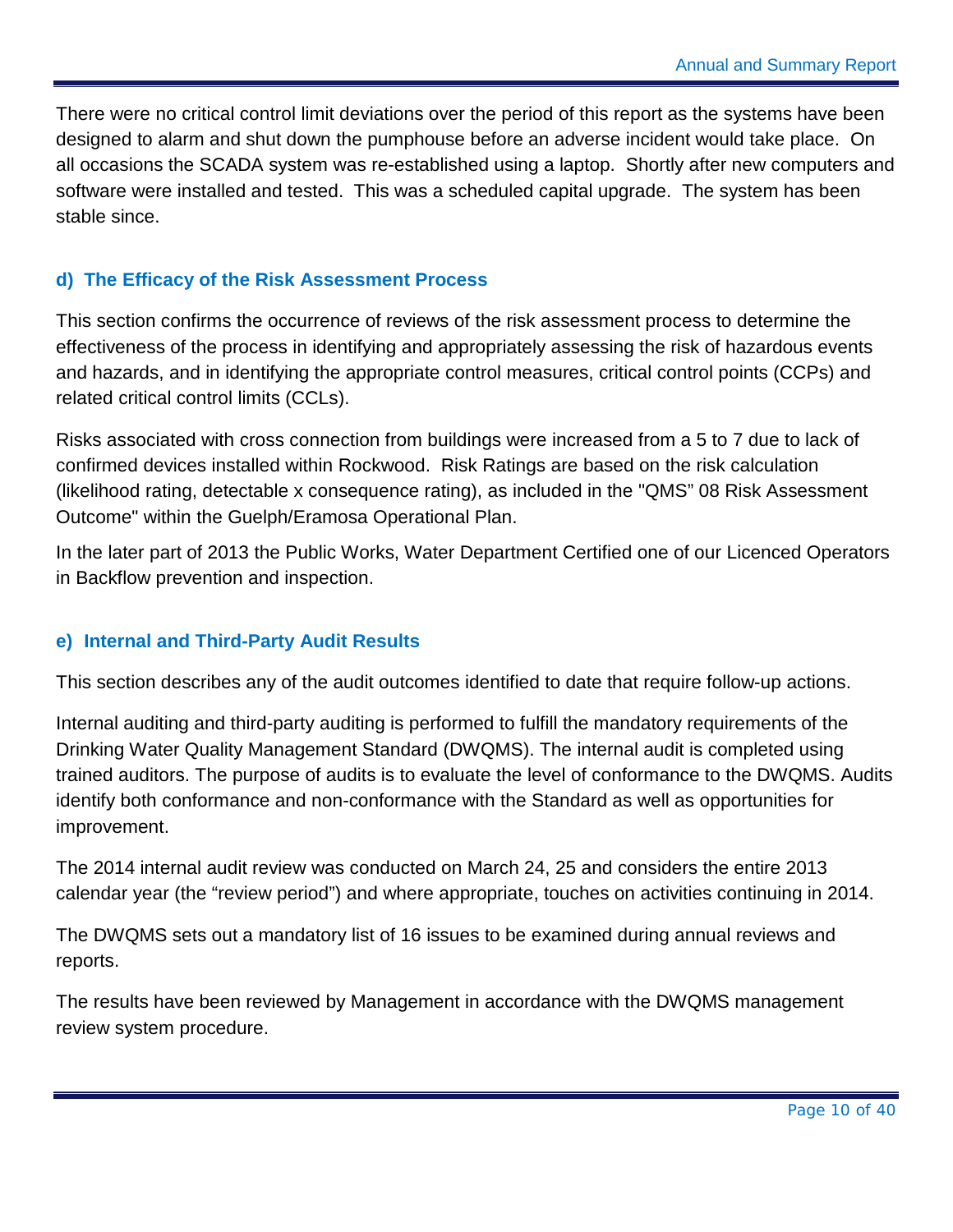There were no critical control limit deviations over the period of this report as the systems have been designed to alarm and shut down the pumphouse before an adverse incident would take place. On all occasions the SCADA system was re-established using a laptop. Shortly after new computers and software were installed and tested. This was a scheduled capital upgrade. The system has been stable since.

#### <span id="page-10-0"></span>**d) The Efficacy of the Risk Assessment Process**

This section confirms the occurrence of reviews of the risk assessment process to determine the effectiveness of the process in identifying and appropriately assessing the risk of hazardous events and hazards, and in identifying the appropriate control measures, critical control points (CCPs) and related critical control limits (CCLs).

Risks associated with cross connection from buildings were increased from a 5 to 7 due to lack of confirmed devices installed within Rockwood. Risk Ratings are based on the risk calculation (likelihood rating, detectable x consequence rating), as included in the "QMS" 08 Risk Assessment Outcome" within the Guelph/Eramosa Operational Plan.

In the later part of 2013 the Public Works, Water Department Certified one of our Licenced Operators in Backflow prevention and inspection.

#### <span id="page-10-1"></span>**e) Internal and Third-Party Audit Results**

This section describes any of the audit outcomes identified to date that require follow-up actions.

Internal auditing and third-party auditing is performed to fulfill the mandatory requirements of the Drinking Water Quality Management Standard (DWQMS). The internal audit is completed using trained auditors. The purpose of audits is to evaluate the level of conformance to the DWQMS. Audits identify both conformance and non-conformance with the Standard as well as opportunities for improvement.

The 2014 internal audit review was conducted on March 24, 25 and considers the entire 2013 calendar year (the "review period") and where appropriate, touches on activities continuing in 2014.

The DWQMS sets out a mandatory list of 16 issues to be examined during annual reviews and reports.

The results have been reviewed by Management in accordance with the DWQMS management review system procedure.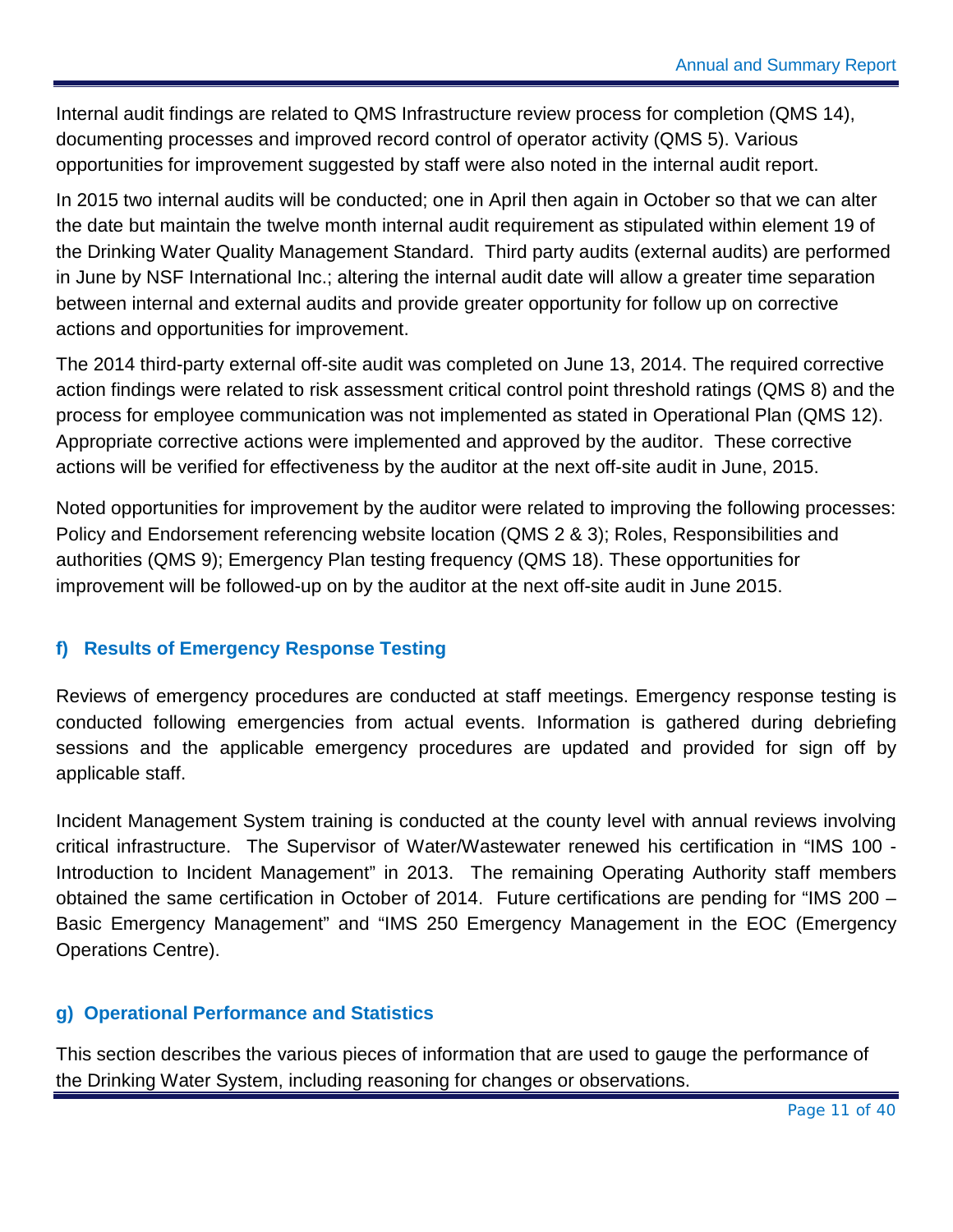Internal audit findings are related to QMS Infrastructure review process for completion (QMS 14), documenting processes and improved record control of operator activity (QMS 5). Various opportunities for improvement suggested by staff were also noted in the internal audit report.

In 2015 two internal audits will be conducted; one in April then again in October so that we can alter the date but maintain the twelve month internal audit requirement as stipulated within element 19 of the Drinking Water Quality Management Standard. Third party audits (external audits) are performed in June by NSF International Inc.; altering the internal audit date will allow a greater time separation between internal and external audits and provide greater opportunity for follow up on corrective actions and opportunities for improvement.

The 2014 third-party external off-site audit was completed on June 13, 2014. The required corrective action findings were related to risk assessment critical control point threshold ratings (QMS 8) and the process for employee communication was not implemented as stated in Operational Plan (QMS 12). Appropriate corrective actions were implemented and approved by the auditor. These corrective actions will be verified for effectiveness by the auditor at the next off-site audit in June, 2015.

Noted opportunities for improvement by the auditor were related to improving the following processes: Policy and Endorsement referencing website location (QMS 2 & 3); Roles, Responsibilities and authorities (QMS 9); Emergency Plan testing frequency (QMS 18). These opportunities for improvement will be followed-up on by the auditor at the next off-site audit in June 2015.

#### <span id="page-11-0"></span>**f) Results of Emergency Response Testing**

Reviews of emergency procedures are conducted at staff meetings. Emergency response testing is conducted following emergencies from actual events. Information is gathered during debriefing sessions and the applicable emergency procedures are updated and provided for sign off by applicable staff.

Incident Management System training is conducted at the county level with annual reviews involving critical infrastructure. The Supervisor of Water/Wastewater renewed his certification in "IMS 100 - Introduction to Incident Management" in 2013. The remaining Operating Authority staff members obtained the same certification in October of 2014. Future certifications are pending for "IMS 200 – Basic Emergency Management" and "IMS 250 Emergency Management in the EOC (Emergency Operations Centre).

#### <span id="page-11-1"></span>**g) Operational Performance and Statistics**

This section describes the various pieces of information that are used to gauge the performance of the Drinking Water System, including reasoning for changes or observations.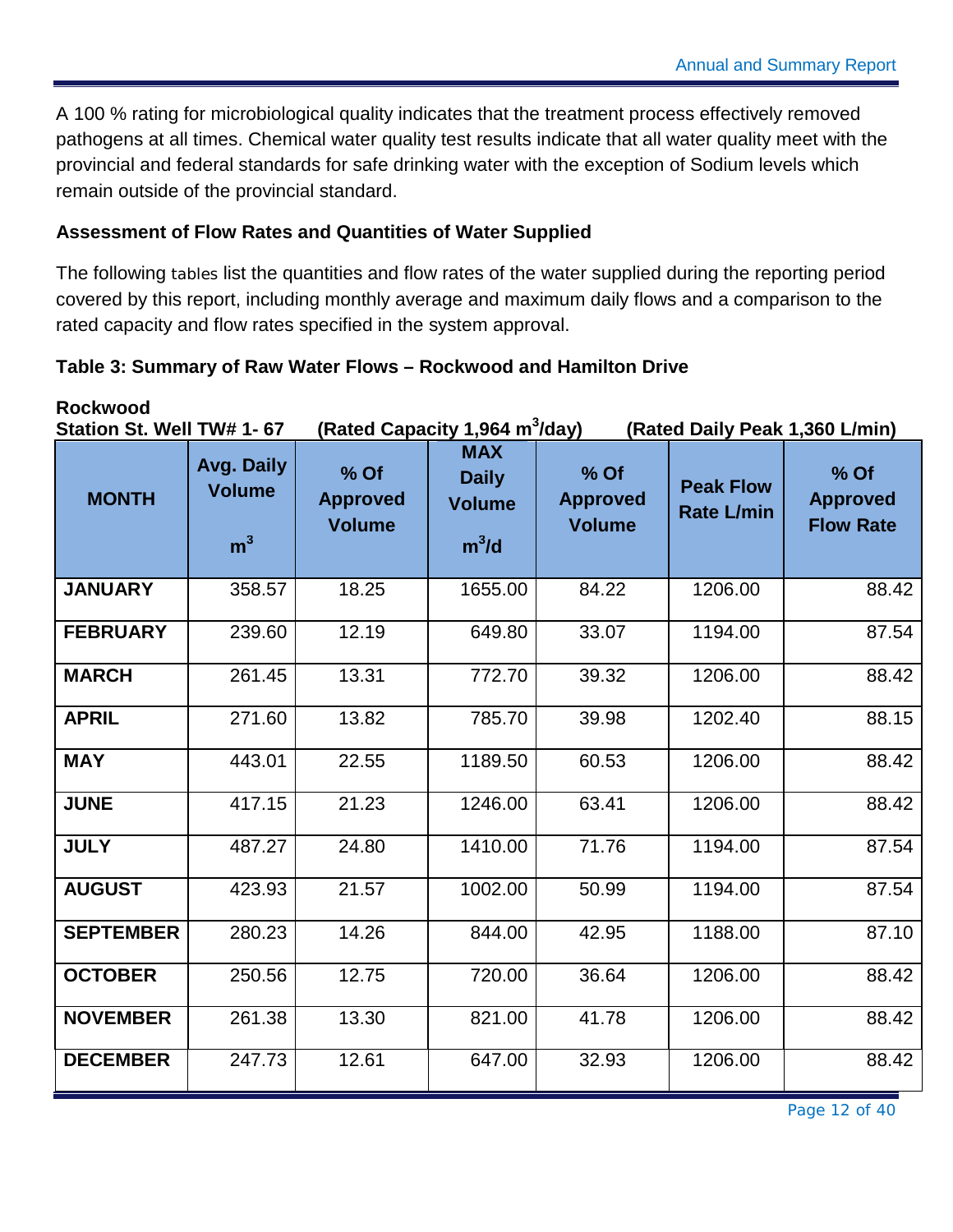A 100 % rating for microbiological quality indicates that the treatment process effectively removed pathogens at all times. Chemical water quality test results indicate that all water quality meet with the provincial and federal standards for safe drinking water with the exception of Sodium levels which remain outside of the provincial standard.

#### **Assessment of Flow Rates and Quantities of Water Supplied**

The following tables list the quantities and flow rates of the water supplied during the reporting period covered by this report, including monthly average and maximum daily flows and a comparison to the rated capacity and flow rates specified in the system approval.

#### <span id="page-12-0"></span>**Table 3: Summary of Raw Water Flows – Rockwood and Hamilton Drive**

**Rockwood**<br>Station St. Well TW# 1- 67 **(Rated Capacity 1,964 m<sup>3</sup>/day) (Rated Daily Peak 1,360 L/min) MONTH Avg. Daily Volume % Of Approved Volume MAX Daily Volume % Of Approved Volume Peak Flow Rate L/min % Of Approved Flow Rate m<sup>3</sup> m<sup>3</sup>**  $m^3/d$ **JANUARY** | 358.57 | 18.25 | 1655.00 | 84.22 | 1206.00 | 88.42 **FEBRUARY** | 239.60 | 12.19 | 649.80 | 33.07 | 1194.00 | 87.54 **MARCH** | 261.45 | 13.31 | 772.70 | 39.32 | 1206.00 | 88.42 **APRIL** 271.60 | 13.82 785.70 | 39.98 1202.40 | 88.15 **MAY** | 443.01 | 22.55 | 1189.50 | 60.53 | 1206.00 | 88.42 **JUNE** | 417.15 | 21.23 | 1246.00 | 63.41 | 1206.00 | 88.42 **JULY** | 487.27 | 24.80 | 1410.00 | 71.76 | 1194.00 | 87.54 **AUGUST** | 423.93| 21.57 | 1002.00| 50.99 | 1194.00 | 87.54 **SEPTEMBER** 280.23 14.26 4844.00 42.95 1188.00 87.10 **OCTOBER** | 250.56 | 12.75 | 720.00 | 36.64 | 1206.00 | 88.42 **NOVEMBER** | 261.38 | 13.30 | 821.00 | 41.78 | 1206.00 | 88.42 **DECEMBER** | 247.73 | 12.61 | 647.00 | 32.93 | 1206.00 | 88.42

Page 12 of 40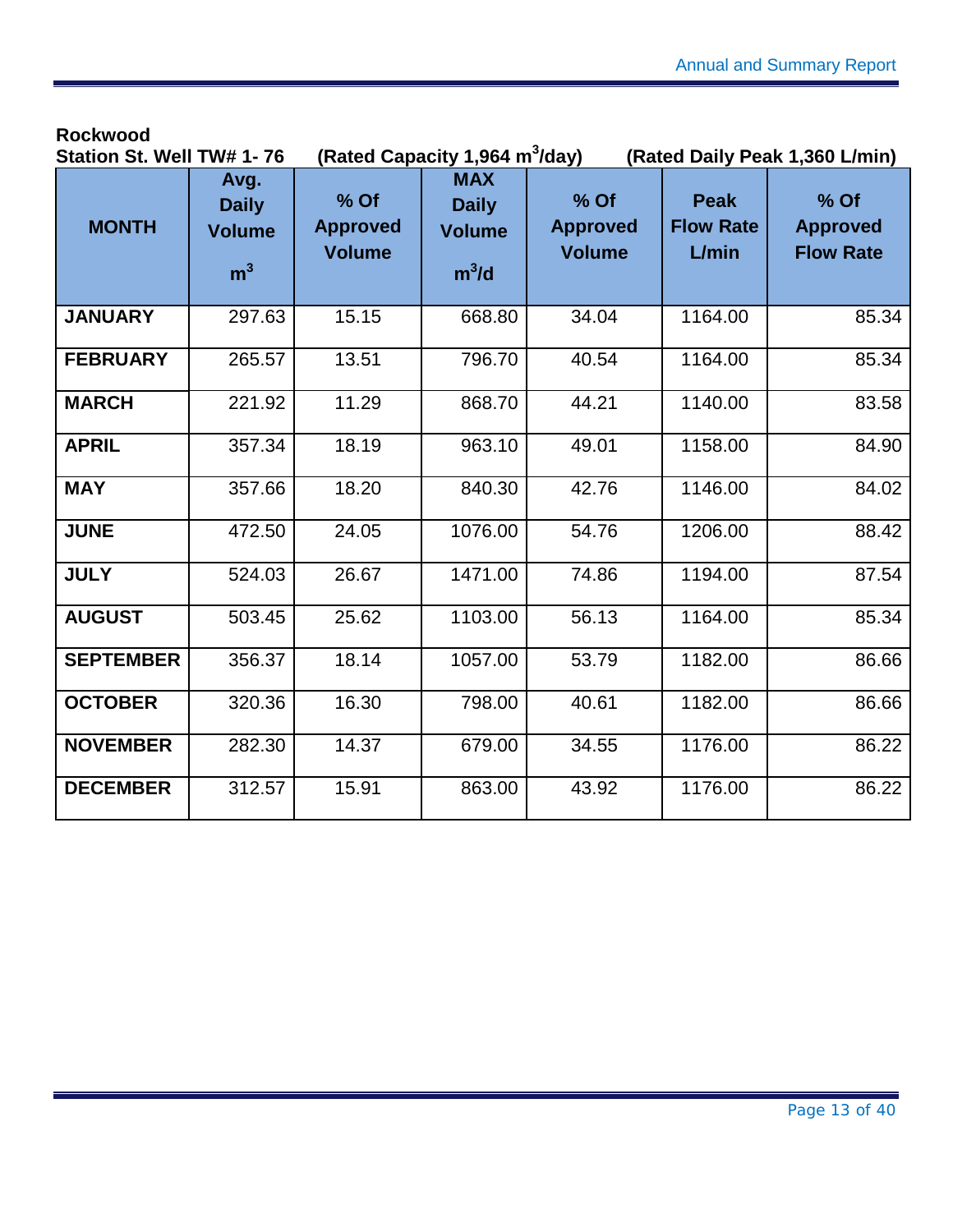#### **Rockwood**

| Station St. Well TW# 1-76 |                                                         |                                            | (Rated Capacity 1,964 m <sup>3</sup> /day)             |                                            |                                          | (Rated Daily Peak 1,360 L/min)                |
|---------------------------|---------------------------------------------------------|--------------------------------------------|--------------------------------------------------------|--------------------------------------------|------------------------------------------|-----------------------------------------------|
| <b>MONTH</b>              | Avg.<br><b>Daily</b><br><b>Volume</b><br>m <sup>3</sup> | $%$ Of<br><b>Approved</b><br><b>Volume</b> | <b>MAX</b><br><b>Daily</b><br><b>Volume</b><br>$m^3/d$ | $%$ Of<br><b>Approved</b><br><b>Volume</b> | <b>Peak</b><br><b>Flow Rate</b><br>L/min | $%$ Of<br><b>Approved</b><br><b>Flow Rate</b> |
| <b>JANUARY</b>            | 297.63                                                  | 15.15                                      | 668.80                                                 | 34.04                                      | 1164.00                                  | 85.34                                         |
| <b>FEBRUARY</b>           | 265.57                                                  | 13.51                                      | 796.70                                                 | 40.54                                      | 1164.00                                  | 85.34                                         |
| <b>MARCH</b>              | 221.92                                                  | 11.29                                      | 868.70                                                 | 44.21                                      | 1140.00                                  | 83.58                                         |
| <b>APRIL</b>              | 357.34                                                  | 18.19                                      | 963.10                                                 | 49.01                                      | 1158.00                                  | 84.90                                         |
| <b>MAY</b>                | 357.66                                                  | 18.20                                      | 840.30                                                 | 42.76                                      | 1146.00                                  | 84.02                                         |
| <b>JUNE</b>               | 472.50                                                  | 24.05                                      | 1076.00                                                | 54.76                                      | 1206.00                                  | 88.42                                         |
| <b>JULY</b>               | 524.03                                                  | 26.67                                      | 1471.00                                                | 74.86                                      | 1194.00                                  | 87.54                                         |
| <b>AUGUST</b>             | 503.45                                                  | 25.62                                      | 1103.00                                                | 56.13                                      | 1164.00                                  | 85.34                                         |
| <b>SEPTEMBER</b>          | 356.37                                                  | 18.14                                      | 1057.00                                                | 53.79                                      | 1182.00                                  | 86.66                                         |
| <b>OCTOBER</b>            | 320.36                                                  | 16.30                                      | 798.00                                                 | 40.61                                      | 1182.00                                  | 86.66                                         |
| <b>NOVEMBER</b>           | 282.30                                                  | 14.37                                      | 679.00                                                 | 34.55                                      | 1176.00                                  | 86.22                                         |
| <b>DECEMBER</b>           | 312.57                                                  | 15.91                                      | 863.00                                                 | 43.92                                      | 1176.00                                  | 86.22                                         |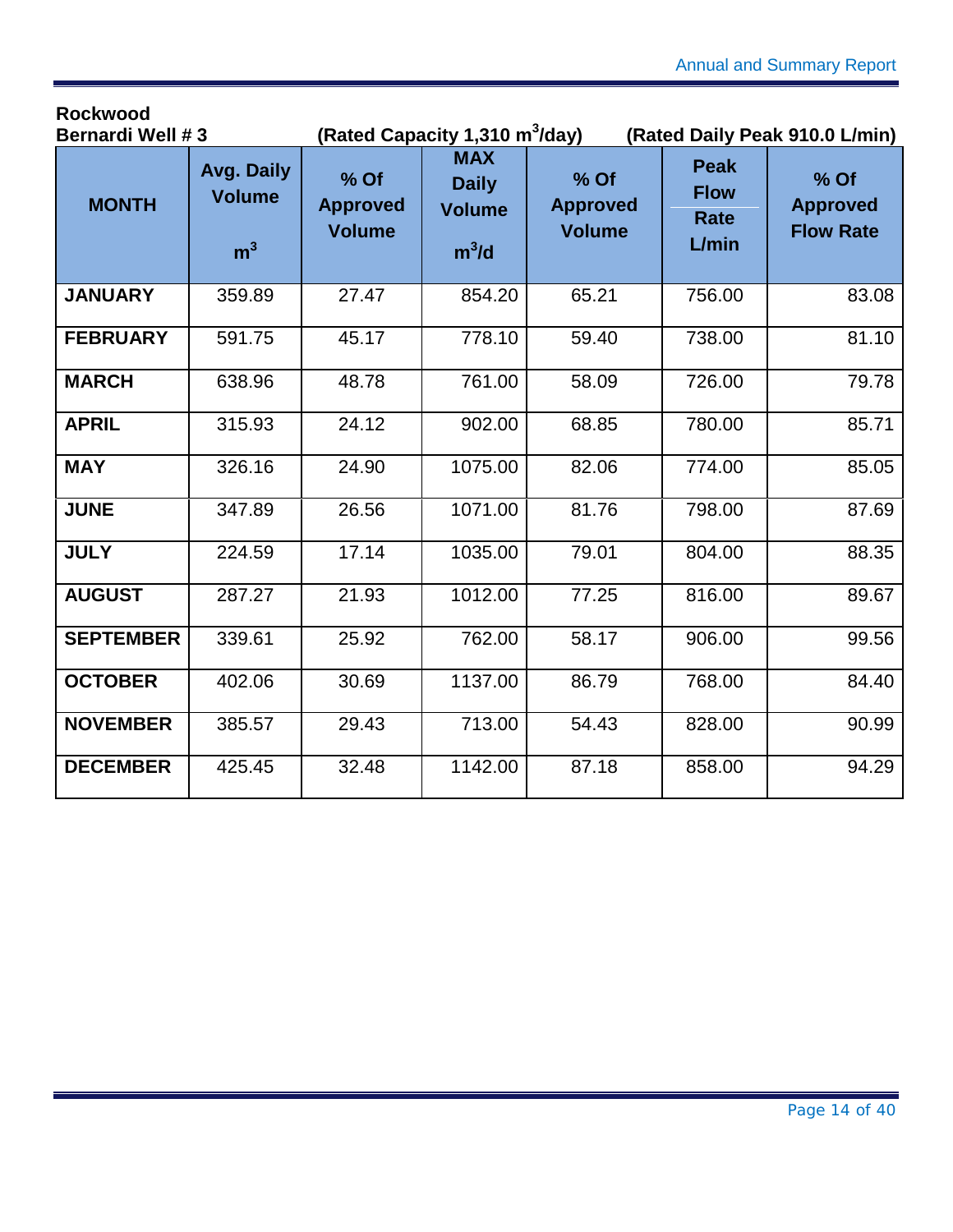| <b>Bernardi Well #3</b> |                                               | (Rated Capacity 1,310 m <sup>3</sup> /day) |                                                        |                                          |                                             | (Rated Daily Peak 910.0 L/min)              |
|-------------------------|-----------------------------------------------|--------------------------------------------|--------------------------------------------------------|------------------------------------------|---------------------------------------------|---------------------------------------------|
| <b>MONTH</b>            | Avg. Daily<br><b>Volume</b><br>m <sup>3</sup> | % Of<br><b>Approved</b><br><b>Volume</b>   | <b>MAX</b><br><b>Daily</b><br><b>Volume</b><br>$m^3/d$ | % Of<br><b>Approved</b><br><b>Volume</b> | <b>Peak</b><br><b>Flow</b><br>Rate<br>L/min | % Of<br><b>Approved</b><br><b>Flow Rate</b> |
| <b>JANUARY</b>          | 359.89                                        | 27.47                                      | 854.20                                                 | 65.21                                    | 756.00                                      | 83.08                                       |
| <b>FEBRUARY</b>         | 591.75                                        | 45.17                                      | 778.10                                                 | 59.40                                    | 738.00                                      | 81.10                                       |
| <b>MARCH</b>            | 638.96                                        | 48.78                                      | 761.00                                                 | 58.09                                    | 726.00                                      | 79.78                                       |
| <b>APRIL</b>            | 315.93                                        | 24.12                                      | 902.00                                                 | 68.85                                    | 780.00                                      | 85.71                                       |
| <b>MAY</b>              | 326.16                                        | 24.90                                      | 1075.00                                                | 82.06                                    | 774.00                                      | 85.05                                       |
| <b>JUNE</b>             | 347.89                                        | 26.56                                      | 1071.00                                                | 81.76                                    | 798.00                                      | 87.69                                       |
| <b>JULY</b>             | 224.59                                        | 17.14                                      | 1035.00                                                | 79.01                                    | 804.00                                      | 88.35                                       |
| <b>AUGUST</b>           | 287.27                                        | 21.93                                      | 1012.00                                                | 77.25                                    | 816.00                                      | 89.67                                       |
| <b>SEPTEMBER</b>        | 339.61                                        | 25.92                                      | 762.00                                                 | 58.17                                    | 906.00                                      | 99.56                                       |
| <b>OCTOBER</b>          | 402.06                                        | 30.69                                      | 1137.00                                                | 86.79                                    | 768.00                                      | 84.40                                       |
| <b>NOVEMBER</b>         | 385.57                                        | 29.43                                      | 713.00                                                 | 54.43                                    | 828.00                                      | 90.99                                       |
| <b>DECEMBER</b>         | 425.45                                        | 32.48                                      | 1142.00                                                | 87.18                                    | 858.00                                      | 94.29                                       |

**Rockwood**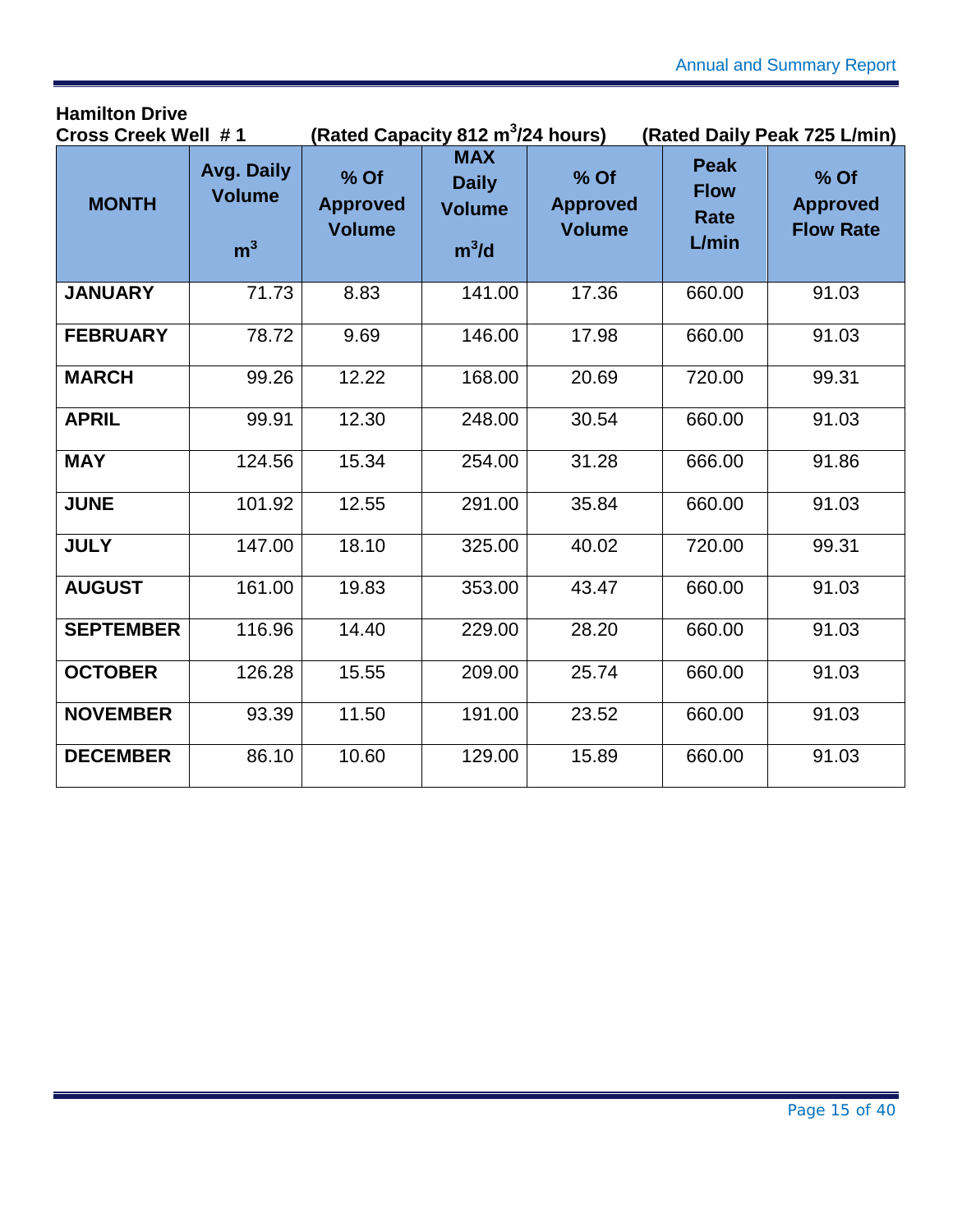## **Hamilton Drive**

| <b>Cross Creek Well #1</b> |                                               | (Rated Capacity 812 m <sup>3</sup> /24 hours) |                                                        |                                          | (Rated Daily Peak 725 L/min)                |                                             |
|----------------------------|-----------------------------------------------|-----------------------------------------------|--------------------------------------------------------|------------------------------------------|---------------------------------------------|---------------------------------------------|
| <b>MONTH</b>               | Avg. Daily<br><b>Volume</b><br>m <sup>3</sup> | % Of<br><b>Approved</b><br><b>Volume</b>      | <b>MAX</b><br><b>Daily</b><br><b>Volume</b><br>$m^3/d$ | % Of<br><b>Approved</b><br><b>Volume</b> | <b>Peak</b><br><b>Flow</b><br>Rate<br>L/min | % Of<br><b>Approved</b><br><b>Flow Rate</b> |
| <b>JANUARY</b>             | 71.73                                         | 8.83                                          | 141.00                                                 | 17.36                                    | 660.00                                      | 91.03                                       |
| <b>FEBRUARY</b>            | 78.72                                         | 9.69                                          | 146.00                                                 | 17.98                                    | 660.00                                      | 91.03                                       |
| <b>MARCH</b>               | 99.26                                         | 12.22                                         | 168.00                                                 | 20.69                                    | 720.00                                      | 99.31                                       |
| <b>APRIL</b>               | 99.91                                         | 12.30                                         | 248.00                                                 | 30.54                                    | 660.00                                      | 91.03                                       |
| <b>MAY</b>                 | 124.56                                        | 15.34                                         | 254.00                                                 | 31.28                                    | 666.00                                      | 91.86                                       |
| <b>JUNE</b>                | 101.92                                        | 12.55                                         | 291.00                                                 | 35.84                                    | 660.00                                      | 91.03                                       |
| <b>JULY</b>                | 147.00                                        | 18.10                                         | 325.00                                                 | 40.02                                    | 720.00                                      | 99.31                                       |
| <b>AUGUST</b>              | 161.00                                        | 19.83                                         | 353.00                                                 | 43.47                                    | 660.00                                      | 91.03                                       |
| <b>SEPTEMBER</b>           | 116.96                                        | 14.40                                         | 229.00                                                 | 28.20                                    | 660.00                                      | 91.03                                       |
| <b>OCTOBER</b>             | 126.28                                        | 15.55                                         | 209.00                                                 | 25.74                                    | 660.00                                      | 91.03                                       |
| <b>NOVEMBER</b>            | 93.39                                         | 11.50                                         | 191.00                                                 | 23.52                                    | 660.00                                      | 91.03                                       |
| <b>DECEMBER</b>            | 86.10                                         | 10.60                                         | 129.00                                                 | 15.89                                    | 660.00                                      | 91.03                                       |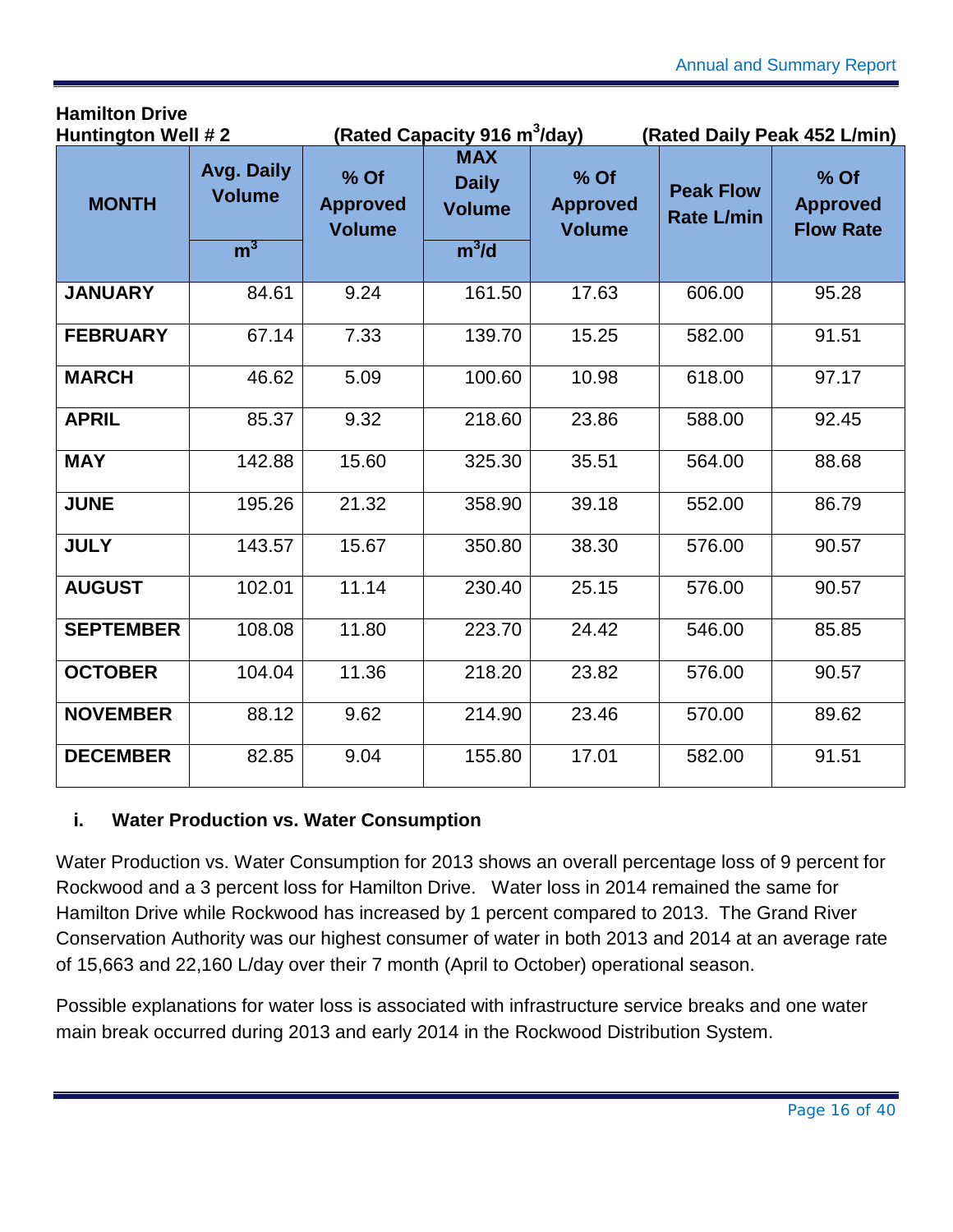| <b>Huntington Well #2</b> |                                               | (Rated Capacity 916 m <sup>3</sup> /day) |                                                        |                                          | (Rated Daily Peak 452 L/min)          |                                             |
|---------------------------|-----------------------------------------------|------------------------------------------|--------------------------------------------------------|------------------------------------------|---------------------------------------|---------------------------------------------|
| <b>MONTH</b>              | Avg. Daily<br><b>Volume</b><br>m <sup>3</sup> | % Of<br><b>Approved</b><br><b>Volume</b> | <b>MAX</b><br><b>Daily</b><br><b>Volume</b><br>$m^3/d$ | % Of<br><b>Approved</b><br><b>Volume</b> | <b>Peak Flow</b><br><b>Rate L/min</b> | % Of<br><b>Approved</b><br><b>Flow Rate</b> |
| <b>JANUARY</b>            | 84.61                                         | 9.24                                     | 161.50                                                 | 17.63                                    | 606.00                                | 95.28                                       |
| <b>FEBRUARY</b>           | 67.14                                         | 7.33                                     | 139.70                                                 | 15.25                                    | 582.00                                | 91.51                                       |
| <b>MARCH</b>              | 46.62                                         | 5.09                                     | 100.60                                                 | 10.98                                    | 618.00                                | 97.17                                       |
| <b>APRIL</b>              | 85.37                                         | 9.32                                     | 218.60                                                 | 23.86                                    | 588.00                                | 92.45                                       |
| <b>MAY</b>                | 142.88                                        | 15.60                                    | 325.30                                                 | 35.51                                    | 564.00                                | 88.68                                       |
| <b>JUNE</b>               | 195.26                                        | 21.32                                    | 358.90                                                 | 39.18                                    | 552.00                                | 86.79                                       |
| <b>JULY</b>               | 143.57                                        | 15.67                                    | 350.80                                                 | 38.30                                    | 576.00                                | 90.57                                       |
| <b>AUGUST</b>             | 102.01                                        | 11.14                                    | 230.40                                                 | 25.15                                    | 576.00                                | 90.57                                       |
| <b>SEPTEMBER</b>          | 108.08                                        | 11.80                                    | 223.70                                                 | 24.42                                    | 546.00                                | 85.85                                       |
| <b>OCTOBER</b>            | 104.04                                        | 11.36                                    | 218.20                                                 | 23.82                                    | 576.00                                | 90.57                                       |
| <b>NOVEMBER</b>           | 88.12                                         | 9.62                                     | 214.90                                                 | 23.46                                    | 570.00                                | 89.62                                       |
| <b>DECEMBER</b>           | 82.85                                         | 9.04                                     | 155.80                                                 | 17.01                                    | 582.00                                | 91.51                                       |

#### <span id="page-16-0"></span>**i. Water Production vs. Water Consumption**

**Hamilton Drive**

Water Production vs. Water Consumption for 2013 shows an overall percentage loss of 9 percent for Rockwood and a 3 percent loss for Hamilton Drive. Water loss in 2014 remained the same for Hamilton Drive while Rockwood has increased by 1 percent compared to 2013. The Grand River Conservation Authority was our highest consumer of water in both 2013 and 2014 at an average rate of 15,663 and 22,160 L/day over their 7 month (April to October) operational season.

Possible explanations for water loss is associated with infrastructure service breaks and one water main break occurred during 2013 and early 2014 in the Rockwood Distribution System.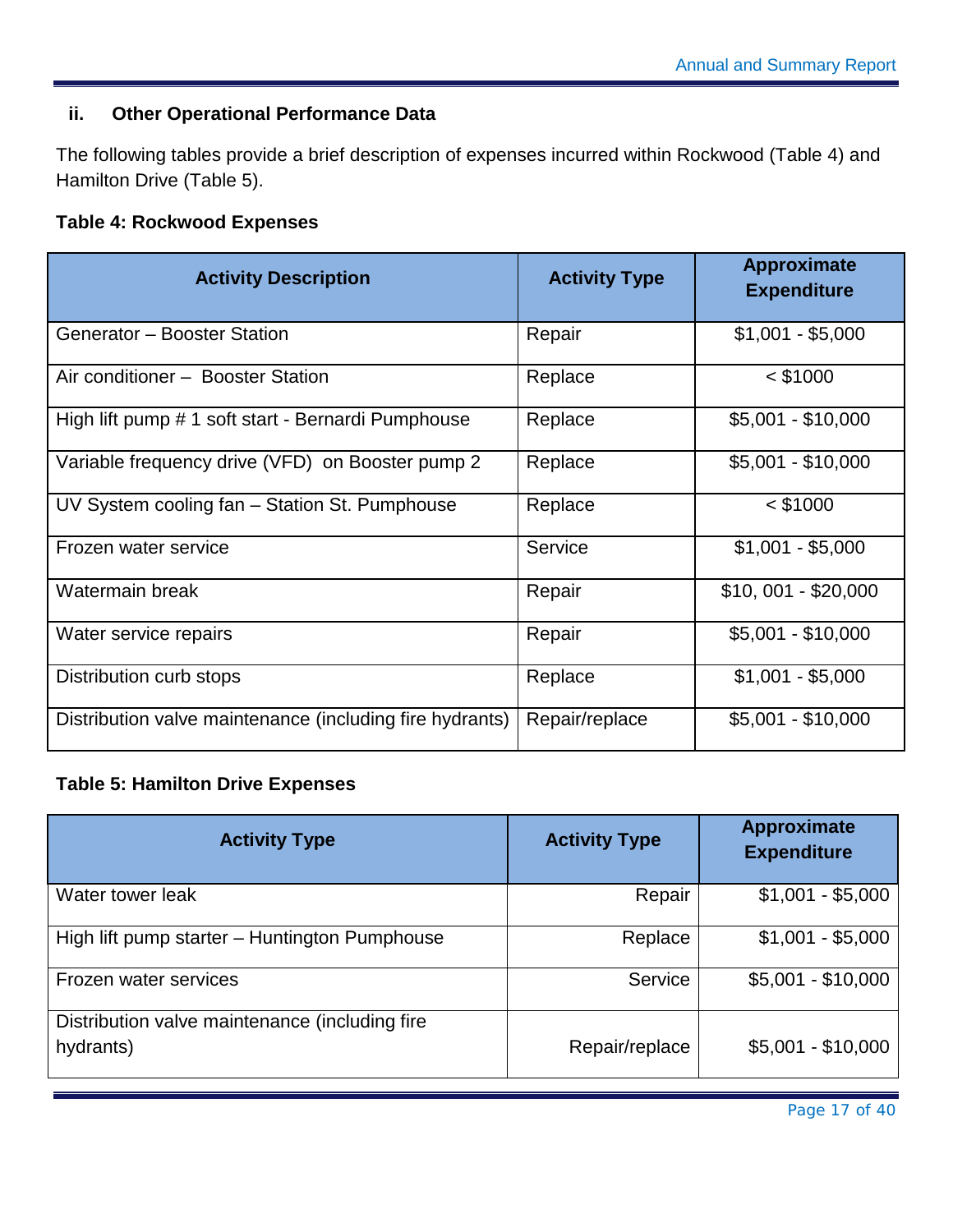#### <span id="page-17-0"></span>**ii. Other Operational Performance Data**

The following tables provide a brief description of expenses incurred within Rockwood (Table 4) and Hamilton Drive (Table 5).

#### <span id="page-17-1"></span>**Table 4: Rockwood Expenses**

| <b>Activity Description</b>                              | <b>Activity Type</b> | <b>Approximate</b><br><b>Expenditure</b> |
|----------------------------------------------------------|----------------------|------------------------------------------|
| Generator - Booster Station                              | Repair               | $$1,001 - $5,000$                        |
| Air conditioner - Booster Station                        | Replace              | $<$ \$1000                               |
| High lift pump # 1 soft start - Bernardi Pumphouse       | Replace              | $$5,001 - $10,000$                       |
| Variable frequency drive (VFD) on Booster pump 2         | Replace              | $$5,001 - $10,000$                       |
| UV System cooling fan - Station St. Pumphouse            | Replace              | $<$ \$1000                               |
| Frozen water service                                     | Service              | $$1,001 - $5,000$                        |
| Watermain break                                          | Repair               | $$10,001 - $20,000$                      |
| Water service repairs                                    | Repair               | $$5,001 - $10,000$                       |
| Distribution curb stops                                  | Replace              | $$1,001 - $5,000$                        |
| Distribution valve maintenance (including fire hydrants) | Repair/replace       | $$5,001 - $10,000$                       |

#### <span id="page-17-2"></span>**Table 5: Hamilton Drive Expenses**

| <b>Activity Type</b>                                        | <b>Activity Type</b> | <b>Approximate</b><br><b>Expenditure</b> |
|-------------------------------------------------------------|----------------------|------------------------------------------|
| Water tower leak                                            | Repair               | $$1,001 - $5,000$                        |
| High lift pump starter - Huntington Pumphouse               | Replace              | $$1,001 - $5,000$                        |
| Frozen water services                                       | Service              | $$5,001 - $10,000$                       |
| Distribution valve maintenance (including fire<br>hydrants) | Repair/replace       | $$5,001 - $10,000$                       |

Page 17 of 40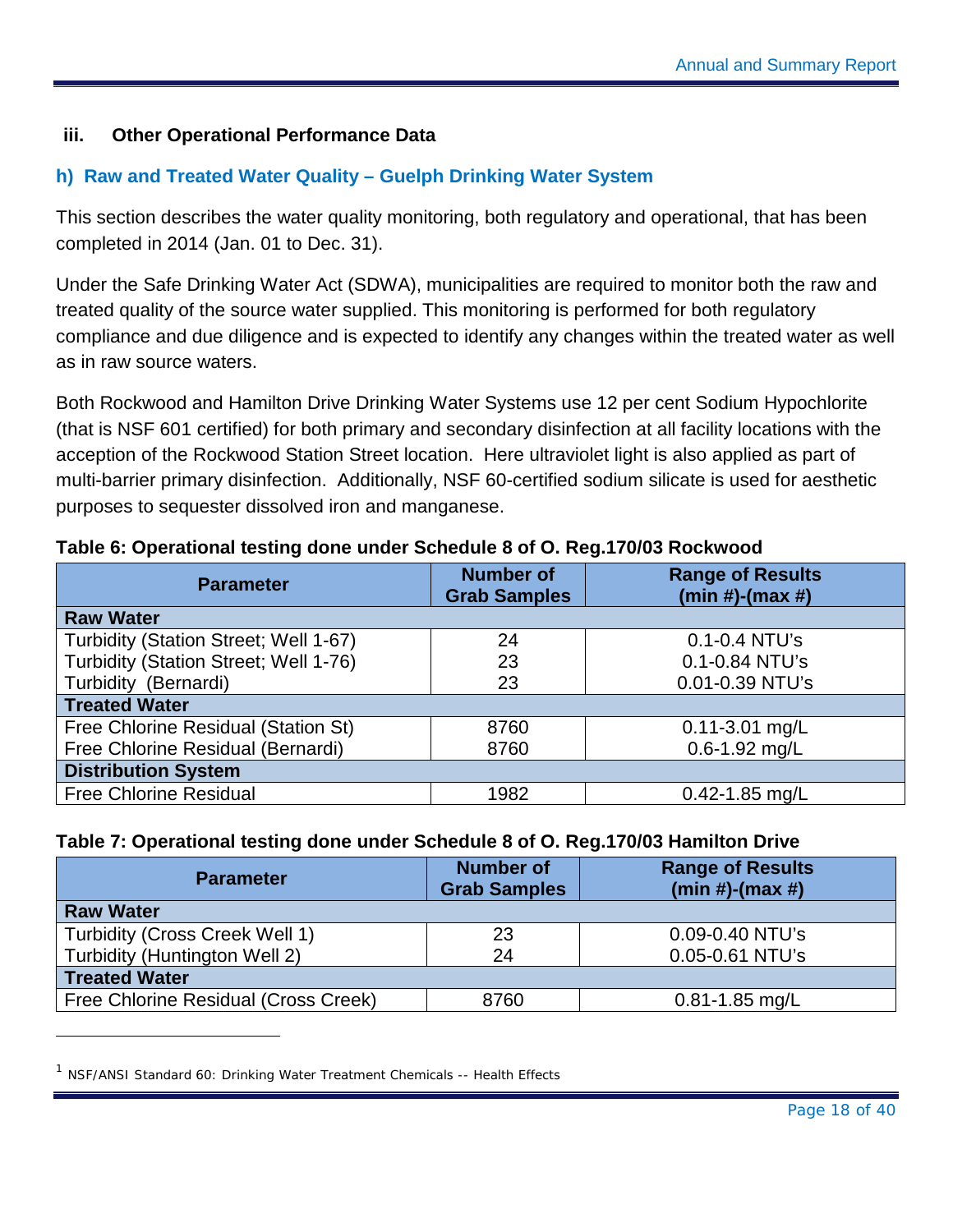#### **iii. Other Operational Performance Data**

#### <span id="page-18-0"></span>**h) Raw and Treated Water Quality – Guelph Drinking Water System**

This section describes the water quality monitoring, both regulatory and operational, that has been completed in 2014 (Jan. 01 to Dec. 31).

Under the Safe Drinking Water Act (SDWA), municipalities are required to monitor both the raw and treated quality of the source water supplied. This monitoring is performed for both regulatory compliance and due diligence and is expected to identify any changes within the treated water as well as in raw source waters.

Both Rockwood and Hamilton Drive Drinking Water Systems use 12 per cent Sodium Hypochlorite (that is NSF 60[1](#page-18-3) certified) for both primary and secondary disinfection at all facility locations with the acception of the Rockwood Station Street location. Here ultraviolet light is also applied as part of multi-barrier primary disinfection. Additionally, NSF 60-certified sodium silicate is used for aesthetic purposes to sequester dissolved iron and manganese.

#### <span id="page-18-1"></span>**Table 6: Operational testing done under Schedule 8 of O. Reg.170/03 Rockwood**

| <b>Parameter</b>                      | <b>Number of</b><br><b>Grab Samples</b> | <b>Range of Results</b><br>$(min #)-(max #)$ |
|---------------------------------------|-----------------------------------------|----------------------------------------------|
| <b>Raw Water</b>                      |                                         |                                              |
| Turbidity (Station Street; Well 1-67) | 24                                      | 0.1-0.4 NTU's                                |
| Turbidity (Station Street; Well 1-76) | 23                                      | 0.1-0.84 NTU's                               |
| Turbidity (Bernardi)                  | 23                                      | 0.01-0.39 NTU's                              |
| <b>Treated Water</b>                  |                                         |                                              |
| Free Chlorine Residual (Station St)   | 8760                                    | $0.11 - 3.01$ mg/L                           |
| Free Chlorine Residual (Bernardi)     | 8760                                    | $0.6 - 1.92$ mg/L                            |
| <b>Distribution System</b>            |                                         |                                              |
| <b>Free Chlorine Residual</b>         | 1982                                    | $0.42 - 1.85$ mg/L                           |

#### <span id="page-18-2"></span>**Table 7: Operational testing done under Schedule 8 of O. Reg.170/03 Hamilton Drive**

| <b>Parameter</b>                     | <b>Number of</b><br><b>Grab Samples</b> | <b>Range of Results</b><br>$(min #)-(max #)$ |
|--------------------------------------|-----------------------------------------|----------------------------------------------|
| <b>Raw Water</b>                     |                                         |                                              |
| Turbidity (Cross Creek Well 1)       | 23                                      | 0.09-0.40 NTU's                              |
| Turbidity (Huntington Well 2)        | 24                                      | 0.05-0.61 NTU's                              |
| <b>Treated Water</b>                 |                                         |                                              |
| Free Chlorine Residual (Cross Creek) | 8760                                    | $0.81 - 1.85$ mg/L                           |

<span id="page-18-3"></span><sup>&</sup>lt;sup>1</sup> NSF/ANSI Standard 60: Drinking Water Treatment Chemicals -- Health Effects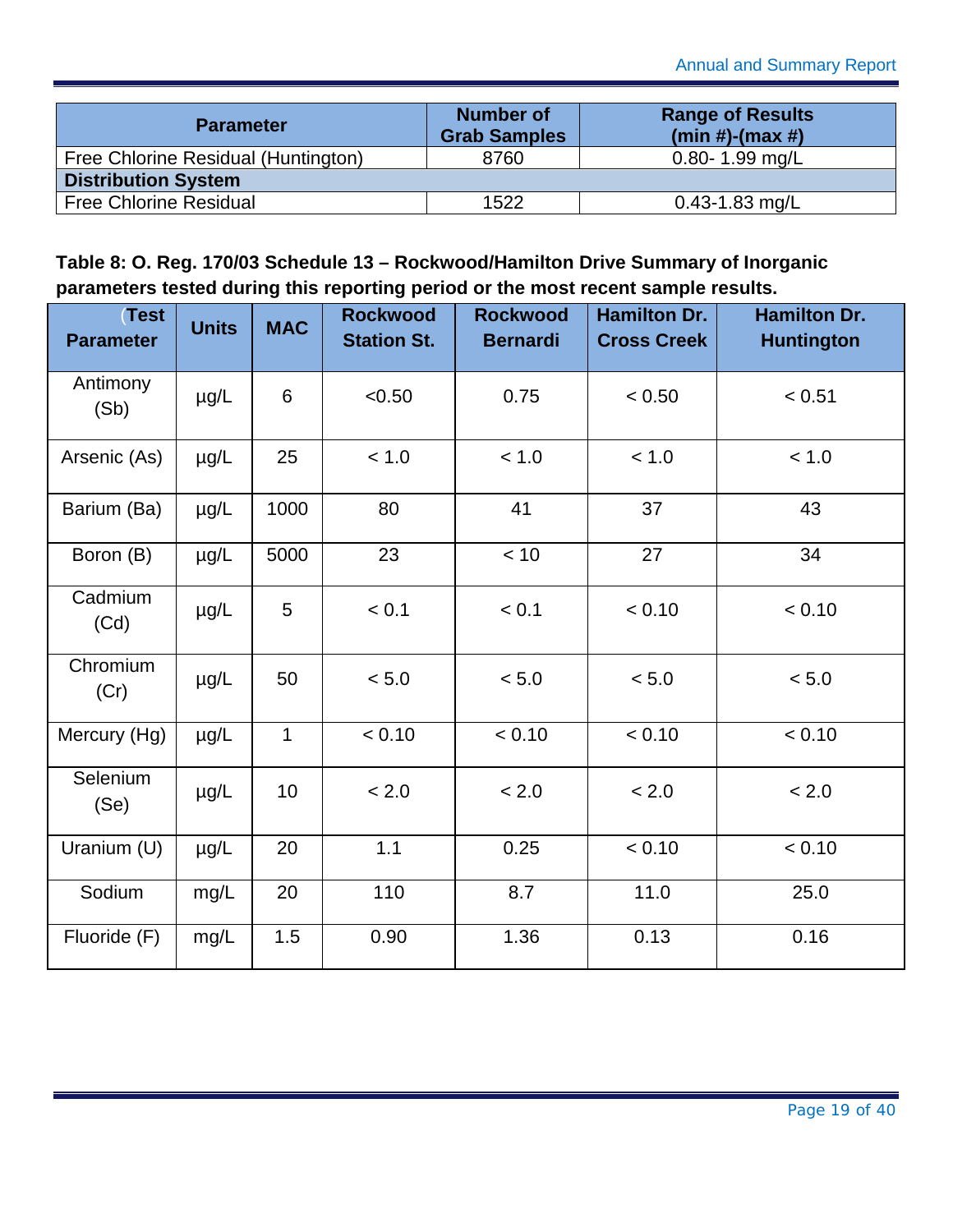| <b>Parameter</b>                    | <b>Number of</b><br><b>Grab Samples</b> | <b>Range of Results</b><br>$(min #)-(max #)$ |  |  |
|-------------------------------------|-----------------------------------------|----------------------------------------------|--|--|
| Free Chlorine Residual (Huntington) | 8760                                    | $0.80 - 1.99$ mg/L                           |  |  |
| <b>Distribution System</b>          |                                         |                                              |  |  |
| <b>Free Chlorine Residual</b>       | 1522                                    | $0.43 - 1.83$ mg/L                           |  |  |

#### <span id="page-19-0"></span>**Table 8: O. Reg. 170/03 Schedule 13 – Rockwood/Hamilton Drive Summary of Inorganic parameters tested during this reporting period or the most recent sample results.**

| <b>Test</b><br><b>Parameter</b> | <b>Units</b> | <b>MAC</b>   | <b>Rockwood</b><br><b>Station St.</b> | <b>Rockwood</b><br><b>Bernardi</b> | <b>Hamilton Dr.</b><br><b>Cross Creek</b> | <b>Hamilton Dr.</b><br><b>Huntington</b> |
|---------------------------------|--------------|--------------|---------------------------------------|------------------------------------|-------------------------------------------|------------------------------------------|
| Antimony<br>(Sb)                | µg/L         | 6            | < 0.50                                | 0.75                               | < 0.50                                    | < 0.51                                   |
| Arsenic (As)                    | $\mu$ g/L    | 25           | < 1.0                                 | < 1.0                              | < 1.0                                     | < 1.0                                    |
| Barium (Ba)                     | µg/L         | 1000         | 80                                    | 41                                 | 37                                        | 43                                       |
| Boron (B)                       | $\mu$ g/L    | 5000         | 23                                    | < 10                               | 27                                        | 34                                       |
| Cadmium<br>(Cd)                 | µg/L         | 5            | < 0.1                                 | < 0.1                              | < 0.10                                    | < 0.10                                   |
| Chromium<br>(Cr)                | µg/L         | 50           | < 5.0                                 | < 5.0                              | < 5.0                                     | $< 5.0$                                  |
| Mercury (Hg)                    | µg/L         | $\mathbf{1}$ | < 0.10                                | < 0.10                             | < 0.10                                    | < 0.10                                   |
| Selenium<br>(Se)                | µg/L         | 10           | < 2.0                                 | < 2.0                              | < 2.0                                     | < 2.0                                    |
| Uranium (U)                     | µg/L         | 20           | 1.1                                   | 0.25                               | < 0.10                                    | < 0.10                                   |
| Sodium                          | mg/L         | 20           | 110                                   | 8.7                                | 11.0                                      | 25.0                                     |
| Fluoride (F)                    | mg/L         | 1.5          | 0.90                                  | 1.36                               | 0.13                                      | 0.16                                     |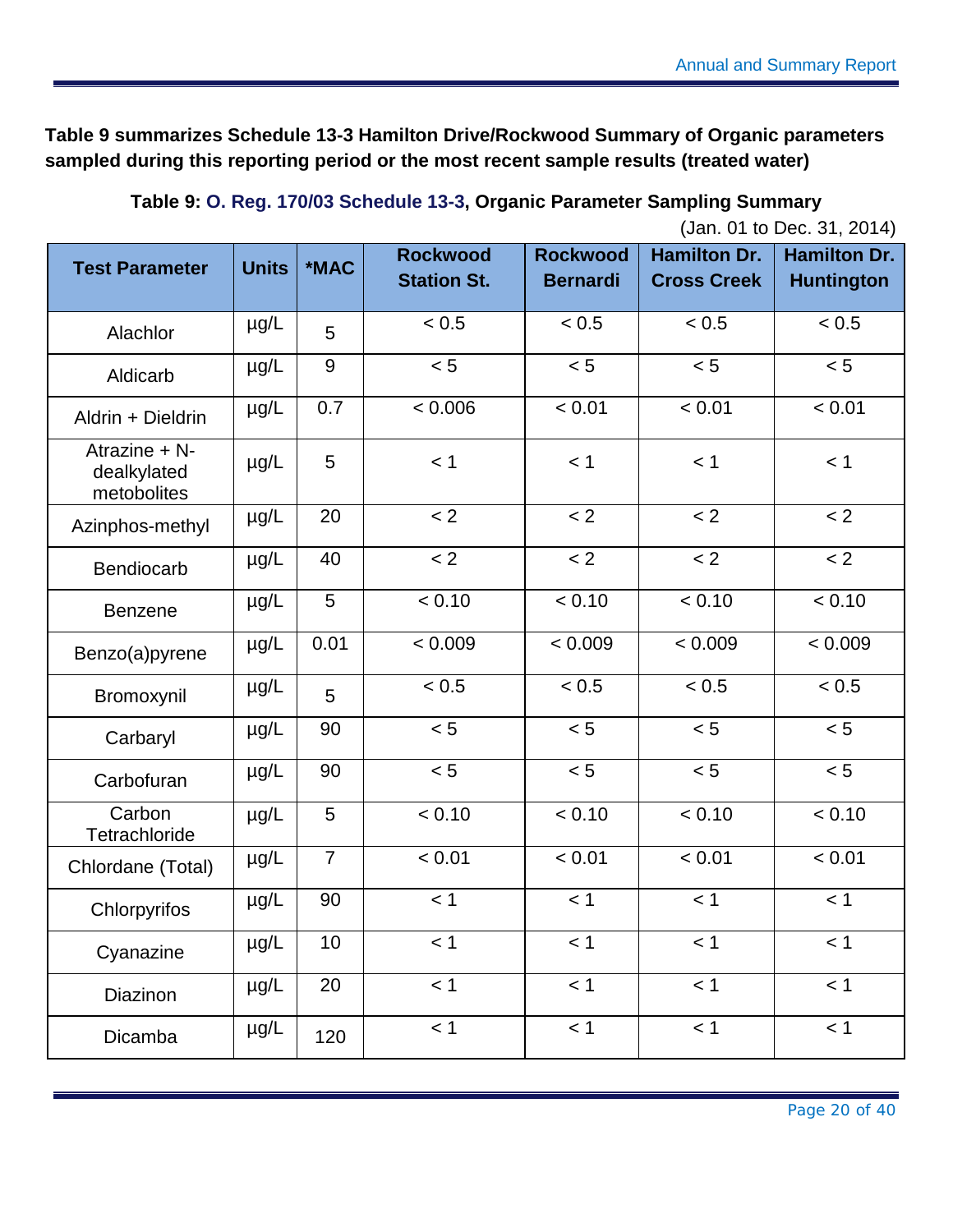**[Table 9](#page-20-0) summarizes Schedule 13-3 Hamilton Drive/Rockwood Summary of Organic parameters sampled during this reporting period or the most recent sample results (treated water)**

### **Table 9: O. Reg. 170/03 Schedule 13-3, Organic Parameter Sampling Summary**

|  |  |  |  |  | (Jan. 01 to Dec. 31, 2014) |
|--|--|--|--|--|----------------------------|
|--|--|--|--|--|----------------------------|

<span id="page-20-0"></span>

| <b>Test Parameter</b>                       | <b>Units</b> | *MAC           | <b>Rockwood</b><br><b>Station St.</b> | <b>Rockwood</b><br><b>Bernardi</b> | <b>Hamilton Dr.</b><br><b>Cross Creek</b> | <b>Hamilton Dr.</b><br><b>Huntington</b> |
|---------------------------------------------|--------------|----------------|---------------------------------------|------------------------------------|-------------------------------------------|------------------------------------------|
| Alachlor                                    | $\mu$ g/L    | 5              | < 0.5                                 | < 0.5                              | < 0.5                                     | < 0.5                                    |
| Aldicarb                                    | µg/L         | $9\,$          | < 5                                   | < 5                                | < 5                                       | < 5                                      |
| Aldrin + Dieldrin                           | µg/L         | 0.7            | < 0.006                               | < 0.01                             | < 0.01                                    | < 0.01                                   |
| Atrazine + N-<br>dealkylated<br>metobolites | $\mu$ g/L    | 5              | < 1                                   | < 1                                | < 1                                       | < 1                                      |
| Azinphos-methyl                             | µg/L         | 20             | < 2                                   | < 2                                | < 2                                       | < 2                                      |
| Bendiocarb                                  | µg/L         | 40             | < 2                                   | < 2                                | < 2                                       | < 2                                      |
| <b>Benzene</b>                              | µg/L         | 5              | < 0.10                                | < 0.10                             | < 0.10                                    | < 0.10                                   |
| Benzo(a)pyrene                              | $\mu$ g/L    | 0.01           | < 0.009                               | < 0.009                            | < 0.009                                   | < 0.009                                  |
| Bromoxynil                                  | µg/L         | 5              | < 0.5                                 | < 0.5                              | < 0.5                                     | < 0.5                                    |
| Carbaryl                                    | $\mu$ g/L    | 90             | < 5                                   | < 5                                | < 5                                       | < 5                                      |
| Carbofuran                                  | $\mu$ g/L    | 90             | < 5                                   | < 5                                | < 5                                       | < 5                                      |
| Carbon<br>Tetrachloride                     | $\mu$ g/L    | 5              | < 0.10                                | < 0.10                             | < 0.10                                    | < 0.10                                   |
| Chlordane (Total)                           | $\mu$ g/L    | $\overline{7}$ | < 0.01                                | < 0.01                             | < 0.01                                    | < 0.01                                   |
| Chlorpyrifos                                | µg/L         | 90             | < 1                                   | < 1                                | < 1                                       | < 1                                      |
| Cyanazine                                   | µg/L         | 10             | < 1                                   | < 1                                | < 1                                       | < 1                                      |
| Diazinon                                    | µg/L         | 20             | < 1                                   | < 1                                | < 1                                       | < 1                                      |
| Dicamba                                     | $\mu$ g/L    | 120            | < 1                                   | < 1                                | < 1                                       | < 1                                      |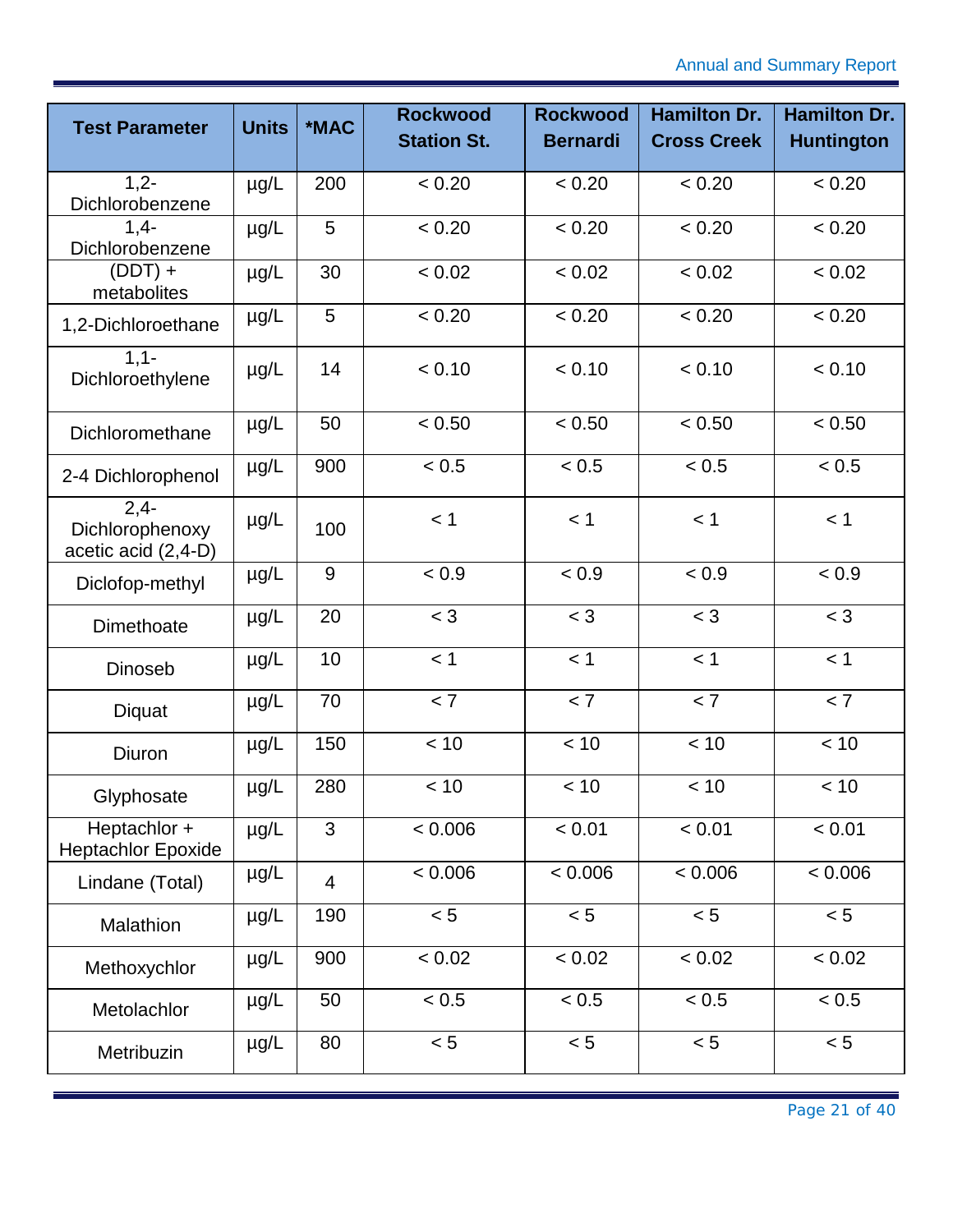| <b>Test Parameter</b>                            | <b>Units</b> | *MAC           | <b>Rockwood</b><br><b>Station St.</b> | <b>Rockwood</b><br><b>Bernardi</b> | <b>Hamilton Dr.</b><br><b>Cross Creek</b> | <b>Hamilton Dr.</b><br><b>Huntington</b> |
|--------------------------------------------------|--------------|----------------|---------------------------------------|------------------------------------|-------------------------------------------|------------------------------------------|
|                                                  |              |                |                                       |                                    |                                           |                                          |
| $1,2-$<br>Dichlorobenzene                        | $\mu$ g/L    | 200            | < 0.20                                | < 0.20                             | < 0.20                                    | < 0.20                                   |
| $1,4-$<br>Dichlorobenzene                        | $\mu$ g/L    | 5              | < 0.20                                | < 0.20                             | < 0.20                                    | < 0.20                                   |
| $(DDT) +$<br>metabolites                         | $\mu$ g/L    | 30             | < 0.02                                | < 0.02                             | < 0.02                                    | < 0.02                                   |
| 1,2-Dichloroethane                               | $\mu$ g/L    | 5              | < 0.20                                | < 0.20                             | < 0.20                                    | < 0.20                                   |
| $1,1-$<br>Dichloroethylene                       | $\mu$ g/L    | 14             | < 0.10                                | < 0.10                             | < 0.10                                    | < 0.10                                   |
| Dichloromethane                                  | $\mu$ g/L    | 50             | < 0.50                                | < 0.50                             | < 0.50                                    | < 0.50                                   |
| 2-4 Dichlorophenol                               | $\mu$ g/L    | 900            | < 0.5                                 | < 0.5                              | < 0.5                                     | < 0.5                                    |
| $2,4-$<br>Dichlorophenoxy<br>acetic acid (2,4-D) | $\mu$ g/L    | 100            | < 1                                   | < 1                                | < 1                                       | < 1                                      |
| Diclofop-methyl                                  | $\mu$ g/L    | 9              | < 0.9                                 | < 0.9                              | < 0.9                                     | < 0.9                                    |
| Dimethoate                                       | $\mu$ g/L    | 20             | $<$ 3                                 | $<$ 3                              | $<$ 3                                     | $<$ 3                                    |
| <b>Dinoseb</b>                                   | $\mu$ g/L    | 10             | < 1                                   | < 1                                | < 1                                       | < 1                                      |
| Diquat                                           | $\mu$ g/L    | 70             | < 7                                   | < 7                                | < 7                                       | < 7                                      |
| Diuron                                           | $\mu$ g/L    | 150            | < 10                                  | < 10                               | < 10                                      | < 10                                     |
| Glyphosate                                       | $\mu g/L$    | 280            | < 10                                  | < 10                               | < 10                                      | < 10                                     |
| Heptachlor +<br><b>Heptachlor Epoxide</b>        | $\mu$ g/L    | 3              | < 0.006                               | < 0.01                             | < 0.01                                    | < 0.01                                   |
| Lindane (Total)                                  | µg/L         | $\overline{4}$ | < 0.006                               | < 0.006                            | < 0.006                                   | &0.006                                   |
| Malathion                                        | $\mu$ g/L    | 190            | < 5                                   | < 5                                | < 5                                       | < 5                                      |
| Methoxychlor                                     | µg/L         | 900            | < 0.02                                | < 0.02                             | $\leq 0.02$                               | < 0.02                                   |
| Metolachlor                                      | µg/L         | 50             | < 0.5                                 | < 0.5                              | < 0.5                                     | < 0.5                                    |
| Metribuzin                                       | µg/L         | 80             | < 5                                   | < 5                                | < 5                                       | < 5                                      |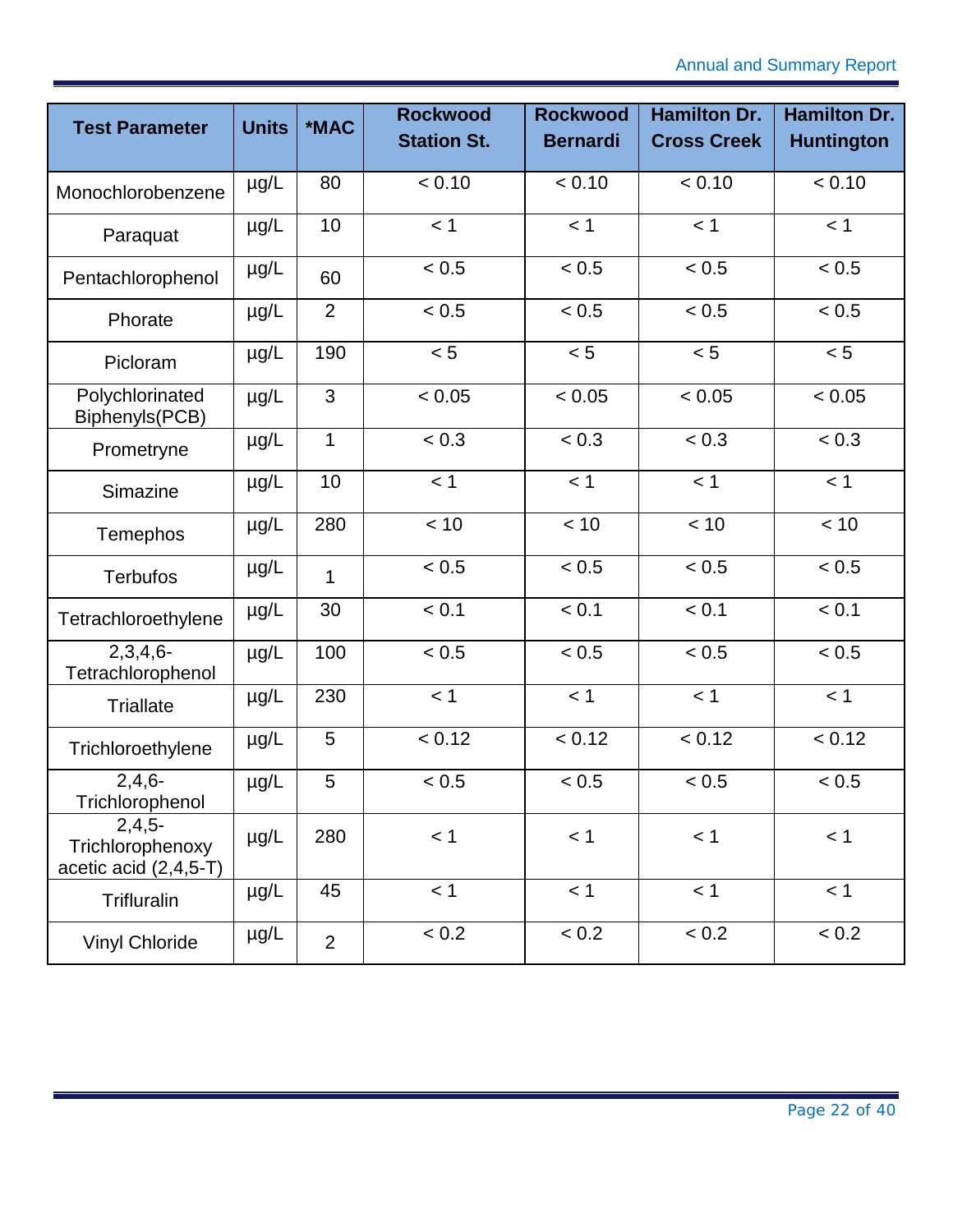| <b>Test Parameter</b>                                   | <b>Units</b> | *MAC           | <b>Rockwood</b><br><b>Station St.</b> | <b>Rockwood</b><br><b>Bernardi</b> | <b>Hamilton Dr.</b><br><b>Cross Creek</b> | <b>Hamilton Dr.</b><br><b>Huntington</b> |
|---------------------------------------------------------|--------------|----------------|---------------------------------------|------------------------------------|-------------------------------------------|------------------------------------------|
| Monochlorobenzene                                       | $\mu$ g/L    | 80             | < 0.10                                | < 0.10                             | < 0.10                                    | < 0.10                                   |
| Paraquat                                                | µg/L         | 10             | < 1                                   | < 1                                | < 1                                       | < 1                                      |
| Pentachlorophenol                                       | $\mu$ g/L    | 60             | < 0.5                                 | < 0.5                              | < 0.5                                     | < 0.5                                    |
| Phorate                                                 | $\mu$ g/L    | $\overline{2}$ | < 0.5                                 | < 0.5                              | < 0.5                                     | < 0.5                                    |
| Picloram                                                | $\mu g/L$    | 190            | < 5                                   | < 5                                | < 5                                       | < 5                                      |
| Polychlorinated<br>Biphenyls(PCB)                       | $\mu$ g/L    | 3              | < 0.05                                | < 0.05                             | < 0.05                                    | < 0.05                                   |
| Prometryne                                              | $\mu$ g/L    | $\mathbf{1}$   | < 0.3                                 | < 0.3                              | < 0.3                                     | < 0.3                                    |
| Simazine                                                | $\mu$ g/L    | 10             | < 1                                   | < 1                                | < 1                                       | < 1                                      |
| Temephos                                                | $\mu$ g/L    | 280            | < 10                                  | < 10                               | < 10                                      | < 10                                     |
| <b>Terbufos</b>                                         | $\mu$ g/L    | 1              | < 0.5                                 | < 0.5                              | < 0.5                                     | < 0.5                                    |
| Tetrachloroethylene                                     | $\mu$ g/L    | 30             | < 0.1                                 | < 0.1                              | < 0.1                                     | < 0.1                                    |
| $2,3,4,6-$<br>Tetrachlorophenol                         | $\mu$ g/L    | 100            | < 0.5                                 | < 0.5                              | < 0.5                                     | < 0.5                                    |
| <b>Triallate</b>                                        | $\mu$ g/L    | 230            | < 1                                   | < 1                                | < 1                                       | < 1                                      |
| Trichloroethylene                                       | $\mu$ g/L    | 5              | < 0.12                                | < 0.12                             | < 0.12                                    | < 0.12                                   |
| $2,4,6-$<br>Trichlorophenol                             | $\mu$ g/L    | 5              | < 0.5                                 | < 0.5                              | < 0.5                                     | < 0.5                                    |
| $2,4,5-$<br>Trichlorophenoxy<br>acetic acid $(2,4,5-T)$ | µg/L         | 280            | < 1                                   | < 1                                | < 1                                       | < 1                                      |
| Trifluralin                                             | $\mu$ g/L    | 45             | < 1                                   | < 1                                | < 1                                       | < 1                                      |
| <b>Vinyl Chloride</b>                                   | $\mu$ g/L    | $\overline{2}$ | < 0.2                                 | < 0.2                              | < 0.2                                     | < 0.2                                    |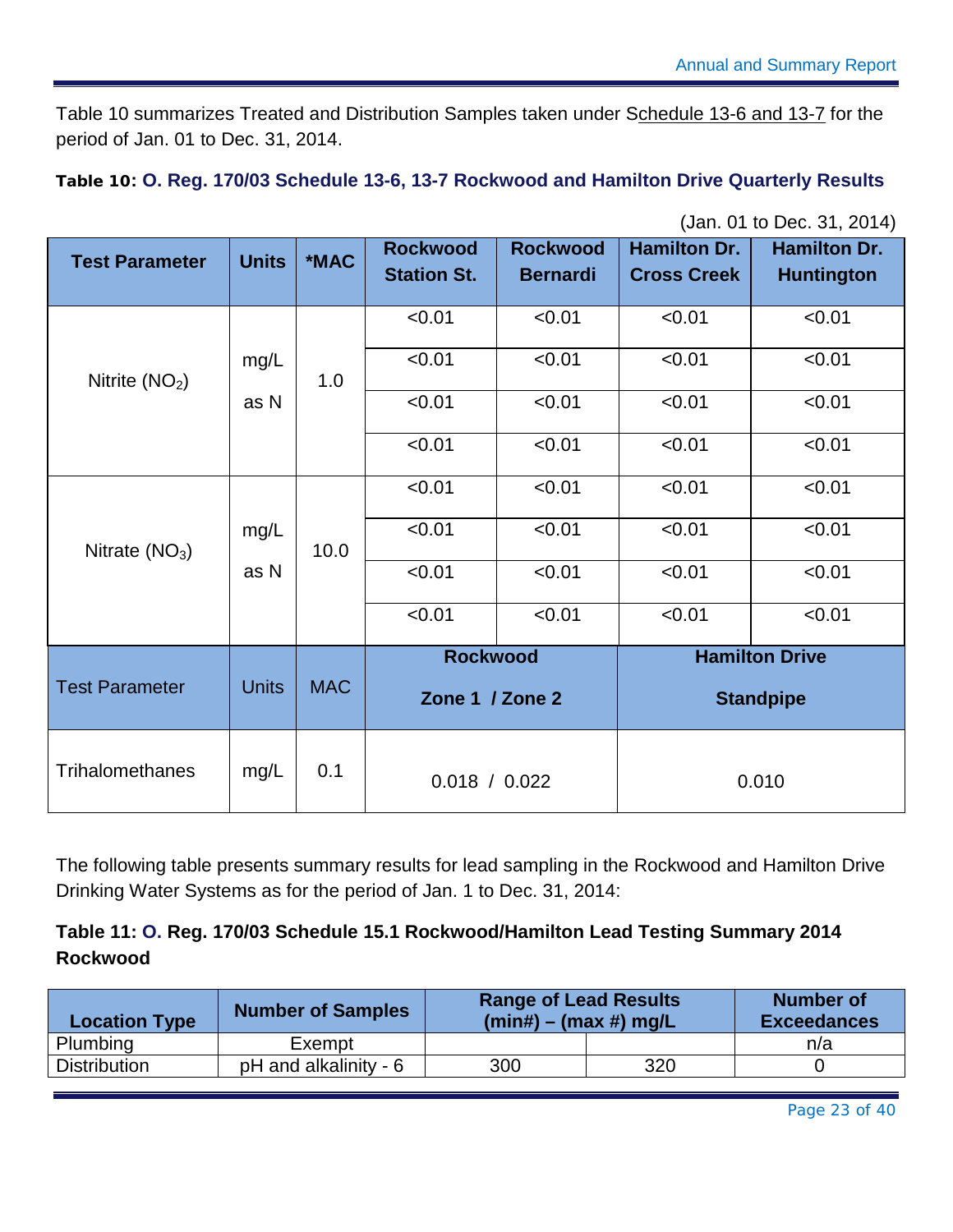[Table 10](#page-23-0) summarizes Treated and Distribution Samples taken under Schedule 13-6 and 13-7 for the period of Jan. 01 to Dec. 31, 2014.

<span id="page-23-0"></span>**Table 10: O. Reg. 170/03 Schedule 13-6, 13-7 Rockwood and Hamilton Drive Quarterly Results**

| <b>Test Parameter</b> | <b>Units</b> | *MAC       | <b>Rockwood</b><br><b>Station St.</b> | <b>Rockwood</b><br><b>Bernardi</b> | <b>Hamilton Dr.</b><br><b>Cross Creek</b> | <b>Hamilton Dr.</b><br><b>Huntington</b>  |
|-----------------------|--------------|------------|---------------------------------------|------------------------------------|-------------------------------------------|-------------------------------------------|
|                       |              |            | < 0.01                                | < 0.01                             | < 0.01                                    | < 0.01                                    |
| Nitrite $(NO2)$       | mg/L         | 1.0        | < 0.01                                | < 0.01                             | < 0.01                                    | < 0.01                                    |
|                       | as N         |            | < 0.01                                | < 0.01                             | < 0.01                                    | < 0.01                                    |
|                       |              |            | < 0.01                                | < 0.01                             | < 0.01                                    | < 0.01                                    |
| Nitrate $(NO3)$       |              |            | < 0.01                                | < 0.01                             | < 0.01                                    | < 0.01                                    |
|                       | mg/L         | 10.0       | < 0.01                                | < 0.01                             | < 0.01                                    | < 0.01                                    |
|                       | as N         |            | < 0.01                                | < 0.01                             | < 0.01                                    | < 0.01                                    |
|                       |              |            | < 0.01                                | < 0.01                             | < 0.01                                    | < 0.01                                    |
| <b>Test Parameter</b> | <b>Units</b> | <b>MAC</b> | <b>Rockwood</b><br>Zone 1 / Zone 2    |                                    |                                           | <b>Hamilton Drive</b><br><b>Standpipe</b> |
| Trihalomethanes       | mg/L         | 0.1        | 0.018 / 0.022                         |                                    |                                           | 0.010                                     |

(Jan. 01 to Dec. 31, 2014)

The following table presents summary results for lead sampling in the Rockwood and Hamilton Drive Drinking Water Systems as for the period of Jan. 1 to Dec. 31, 2014:

#### <span id="page-23-1"></span>**Table 11: O. Reg. 170/03 Schedule 15.1 Rockwood/Hamilton Lead Testing Summary 2014 Rockwood**

| <b>Location Type</b> | <b>Number of Samples</b> | <b>Range of Lead Results</b><br>$(min#) - (max #)$ mg/L |     | <b>Number of</b><br><b>Exceedances</b> |
|----------------------|--------------------------|---------------------------------------------------------|-----|----------------------------------------|
| Plumbing             | Exempt                   |                                                         |     | n/a                                    |
| <b>Distribution</b>  | pH and alkalinity - 6    | 300                                                     | 320 |                                        |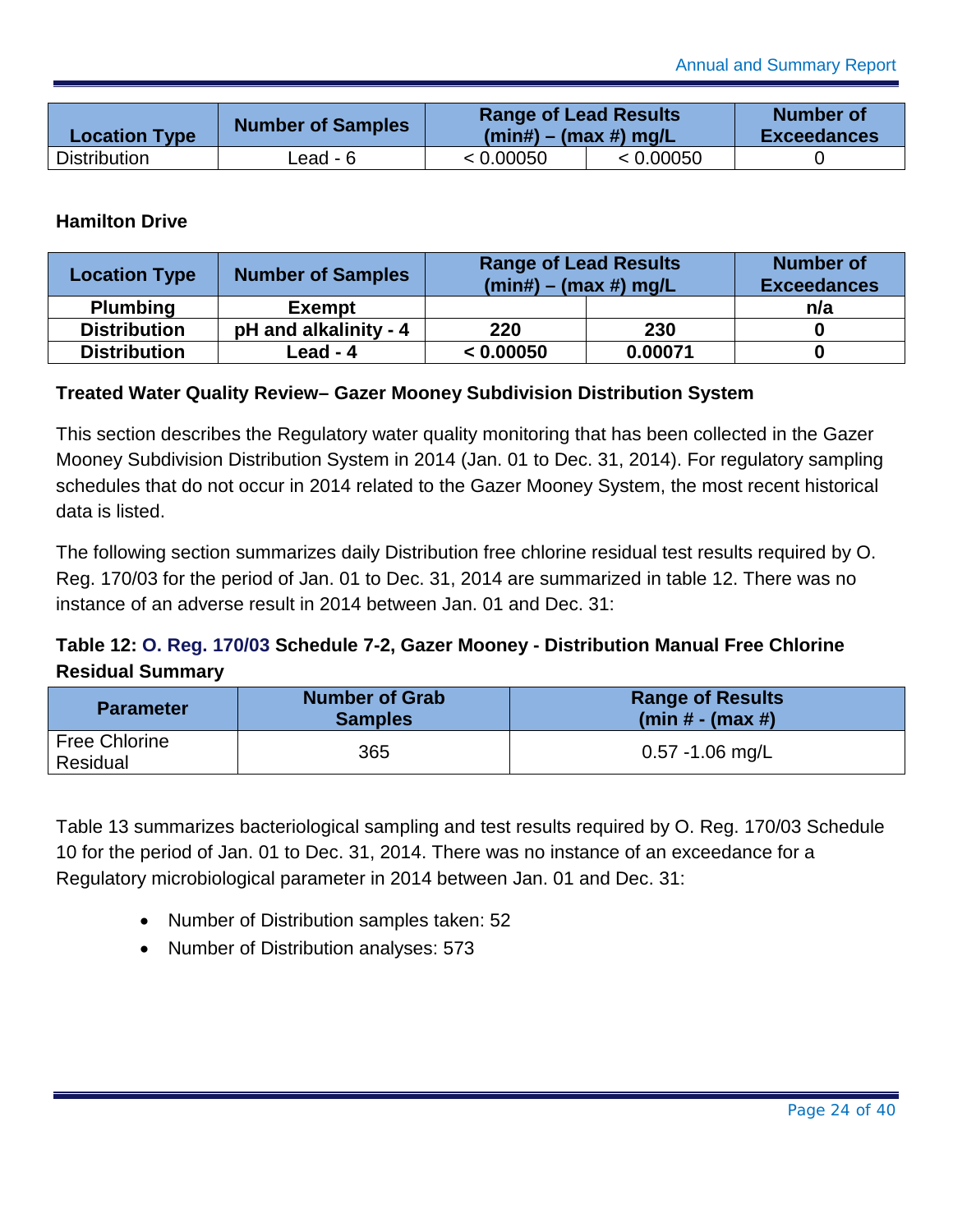| <b>Location Type</b> | <b>Number of Samples</b> | <b>Range of Lead Results</b><br>$(min#) - (max #)$ mg/L |           | <b>Number of</b><br><b>Exceedances</b> |
|----------------------|--------------------------|---------------------------------------------------------|-----------|----------------------------------------|
| <b>Distribution</b>  | ∟ead - 6                 | < 0.00050                                               | < 0.00050 |                                        |

#### **Hamilton Drive**

| <b>Location Type</b> | <b>Number of Samples</b> | <b>Range of Lead Results</b><br>$(min#) - (max #)$ mg/L | <b>Number of</b><br><b>Exceedances</b> |     |
|----------------------|--------------------------|---------------------------------------------------------|----------------------------------------|-----|
| <b>Plumbing</b>      | <b>Exempt</b>            |                                                         |                                        | n/a |
| <b>Distribution</b>  | pH and alkalinity - 4    | 220                                                     | 230                                    |     |
| <b>Distribution</b>  | Lead - 4                 | < 0.00050                                               | 0.00071                                |     |

#### <span id="page-24-0"></span>**Treated Water Quality Review– Gazer Mooney Subdivision Distribution System**

This section describes the Regulatory water quality monitoring that has been collected in the Gazer Mooney Subdivision Distribution System in 2014 (Jan. 01 to Dec. 31, 2014). For regulatory sampling schedules that do not occur in 2014 related to the Gazer Mooney System, the most recent historical data is listed.

The following section summarizes daily Distribution free chlorine residual test results required by O. Reg. 170/03 for the period of Jan. 01 to Dec. 31, 2014 are summarized in table 12. There was no instance of an adverse result in 2014 between Jan. 01 and Dec. 31:

#### **Table 12: O. Reg. 170/03 Schedule 7-2, Gazer Mooney - Distribution Manual Free Chlorine Residual Summary**

| <b>Parameter</b>                 | <b>Number of Grab</b><br><b>Samples</b> | <b>Range of Results</b><br>(min # - (max #) |
|----------------------------------|-----------------------------------------|---------------------------------------------|
| <b>Free Chlorine</b><br>Residual | 365                                     | $0.57 - 1.06$ mg/L                          |

Table 13 summarizes bacteriological sampling and test results required by O. Reg. 170/03 Schedule 10 for the period of Jan. 01 to Dec. 31, 2014. There was no instance of an exceedance for a Regulatory microbiological parameter in 2014 between Jan. 01 and Dec. 31:

- Number of Distribution samples taken: 52
- Number of Distribution analyses: 573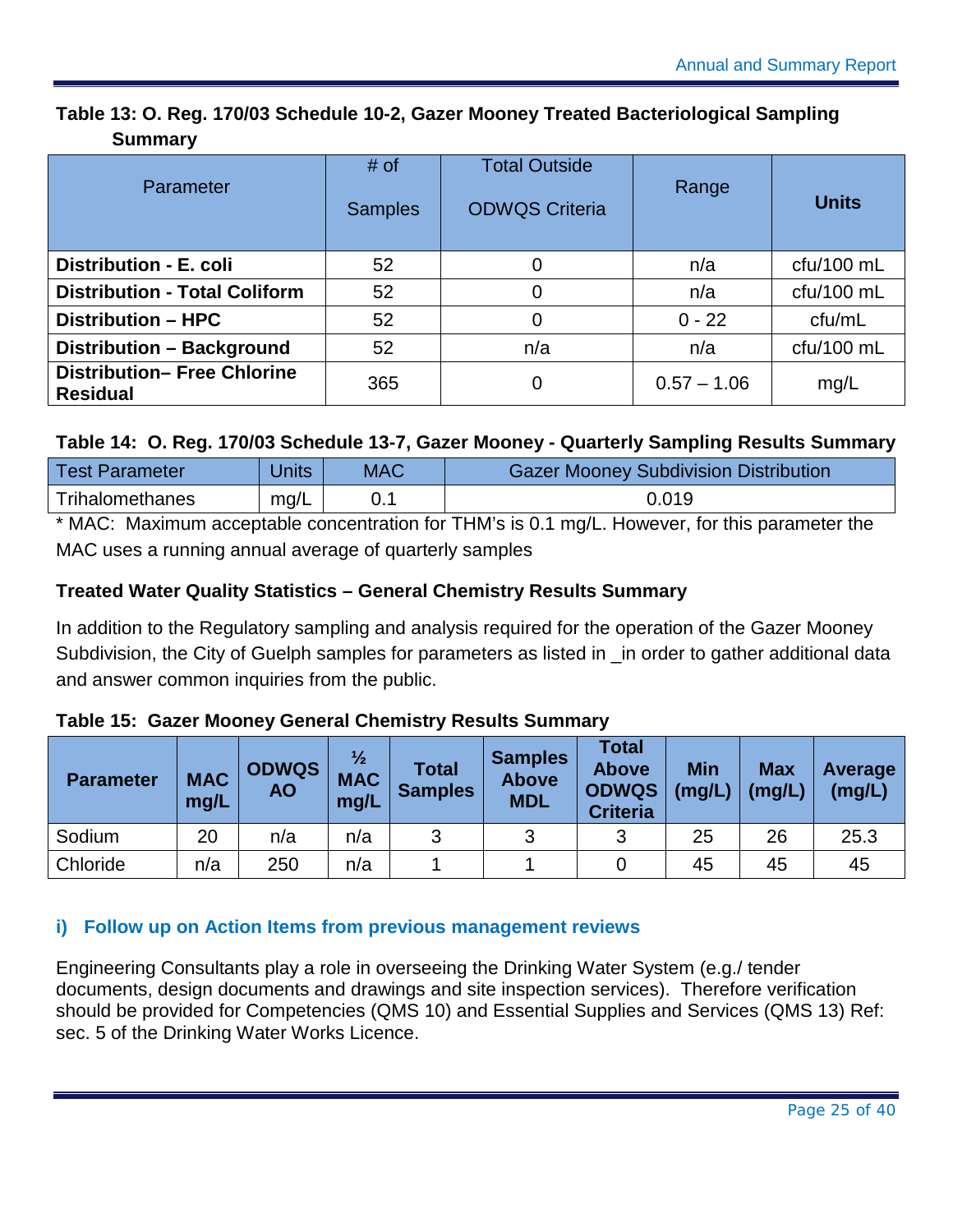#### **Table 13: O. Reg. 170/03 Schedule 10-2, Gazer Mooney Treated Bacteriological Sampling Summary**

| Parameter                                             | # of<br><b>Samples</b> | <b>Total Outside</b><br><b>ODWQS Criteria</b> | Range         | <b>Units</b> |
|-------------------------------------------------------|------------------------|-----------------------------------------------|---------------|--------------|
| Distribution - E. coli                                | 52                     | 0                                             | n/a           | $ctu/100$ mL |
| <b>Distribution - Total Coliform</b>                  | 52                     | 0                                             | n/a           | $ctu/100$ mL |
| <b>Distribution - HPC</b>                             | 52                     | 0                                             | $0 - 22$      | cfu/mL       |
| Distribution - Background                             | 52                     | n/a                                           | n/a           | cfu/100 mL   |
| <b>Distribution- Free Chlorine</b><br><b>Residual</b> | 365                    | 0                                             | $0.57 - 1.06$ | mg/L         |

#### **Table 14: O. Reg. 170/03 Schedule 13-7, Gazer Mooney - Quarterly Sampling Results Summary**

| <b>Test Parameter</b> | Jnits | <b>MAC</b> | <b>Gazer Mooney Subdivision Distribution</b> |  |  |
|-----------------------|-------|------------|----------------------------------------------|--|--|
| Trihalomethanes       | mq/L  |            | 0.019                                        |  |  |
|                       |       |            | .                                            |  |  |

\* MAC: Maximum acceptable concentration for THM's is 0.1 mg/L. However, for this parameter the MAC uses a running annual average of quarterly samples

#### **Treated Water Quality Statistics – General Chemistry Results Summary**

In addition to the Regulatory sampling and analysis required for the operation of the Gazer Mooney Subdivision, the City of Guelph samples for parameters as listed in \_in order to gather additional data and answer common inquiries from the public.

#### **Table 15: Gazer Mooney General Chemistry Results Summary**

| <b>Parameter</b> | <b>MAC</b><br>mg/L | <b>ODWQS</b><br><b>AO</b> | $\frac{1}{2}$<br><b>MAC</b><br>mg/L | Total<br><b>Samples</b> | <b>Samples</b><br><b>Above</b><br><b>MDL</b> | <b>Total</b><br><b>Above</b><br><b>ODWQS</b><br><b>Criteria</b> | <b>Min</b><br>(mg/L) | <b>Max</b><br>(mg/L) | Average<br>(mg/L) |
|------------------|--------------------|---------------------------|-------------------------------------|-------------------------|----------------------------------------------|-----------------------------------------------------------------|----------------------|----------------------|-------------------|
| Sodium           | 20                 | n/a                       | n/a                                 | 2                       | 2                                            | વ                                                               | 25                   | 26                   | 25.3              |
| Chloride         | n/a                | 250                       | n/a                                 |                         |                                              |                                                                 | 45                   | 45                   | 45                |

#### <span id="page-25-0"></span>**i) Follow up on Action Items from previous management reviews**

Engineering Consultants play a role in overseeing the Drinking Water System (e.g./ tender documents, design documents and drawings and site inspection services). Therefore verification should be provided for Competencies (QMS 10) and Essential Supplies and Services (QMS 13) Ref: sec. 5 of the Drinking Water Works Licence.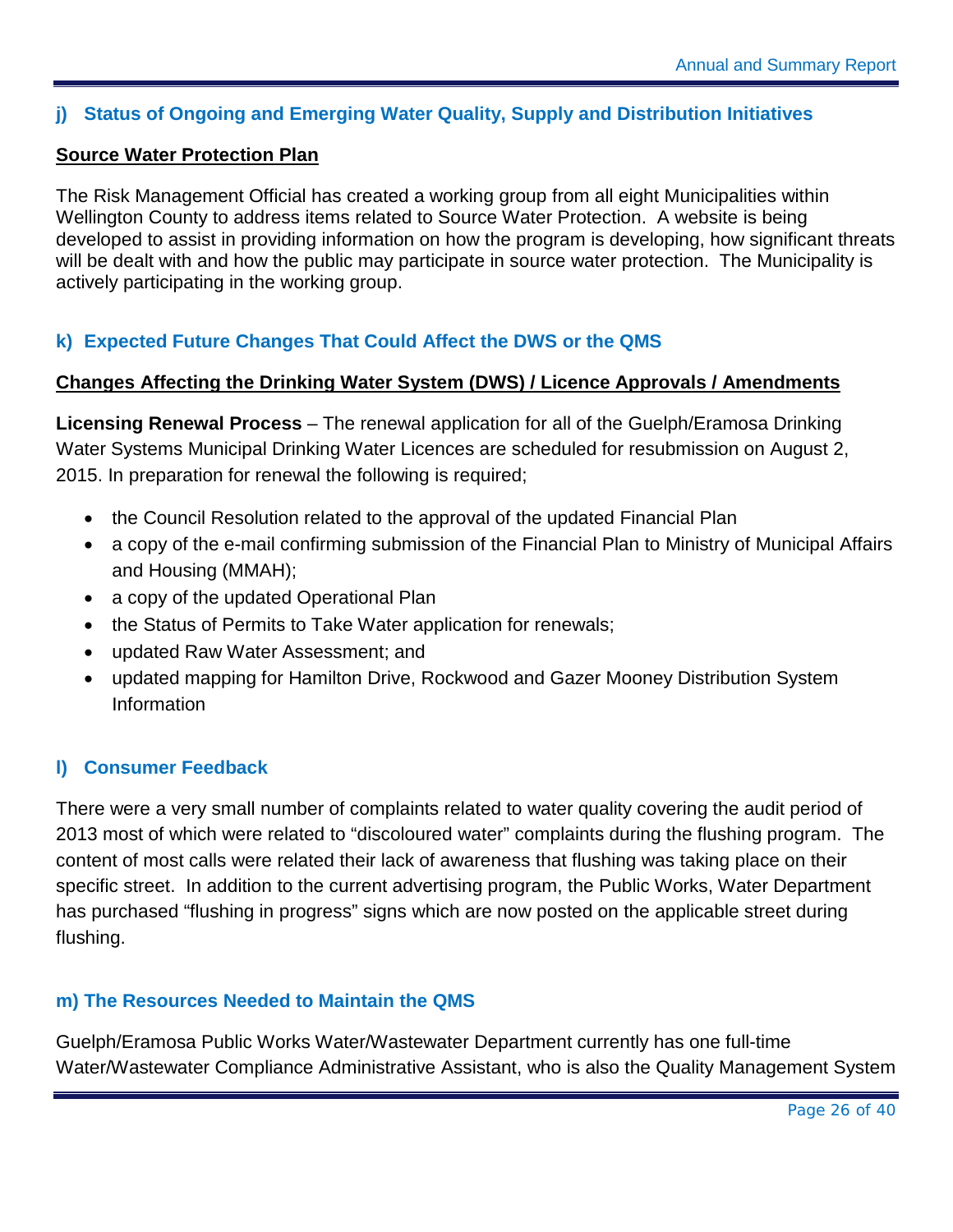#### <span id="page-26-0"></span>**j) Status of Ongoing and Emerging Water Quality, Supply and Distribution Initiatives**

#### **Source Water Protection Plan**

The Risk Management Official has created a working group from all eight Municipalities within Wellington County to address items related to Source Water Protection. A website is being developed to assist in providing information on how the program is developing, how significant threats will be dealt with and how the public may participate in source water protection. The Municipality is actively participating in the working group.

#### <span id="page-26-1"></span>**k) Expected Future Changes That Could Affect the DWS or the QMS**

#### **Changes Affecting the Drinking Water System (DWS) / Licence Approvals / Amendments**

**Licensing Renewal Process** – The renewal application for all of the Guelph/Eramosa Drinking Water Systems Municipal Drinking Water Licences are scheduled for resubmission on August 2, 2015. In preparation for renewal the following is required;

- the Council Resolution related to the approval of the updated Financial Plan
- a copy of the e-mail confirming submission of the Financial Plan to Ministry of Municipal Affairs and Housing (MMAH);
- a copy of the updated Operational Plan
- the Status of Permits to Take Water application for renewals;
- updated Raw Water Assessment; and
- updated mapping for Hamilton Drive, Rockwood and Gazer Mooney Distribution System Information

#### <span id="page-26-2"></span>**l) Consumer Feedback**

There were a very small number of complaints related to water quality covering the audit period of 2013 most of which were related to "discoloured water" complaints during the flushing program. The content of most calls were related their lack of awareness that flushing was taking place on their specific street. In addition to the current advertising program, the Public Works, Water Department has purchased "flushing in progress" signs which are now posted on the applicable street during flushing.

#### <span id="page-26-3"></span>**m) The Resources Needed to Maintain the QMS**

Guelph/Eramosa Public Works Water/Wastewater Department currently has one full-time Water/Wastewater Compliance Administrative Assistant, who is also the Quality Management System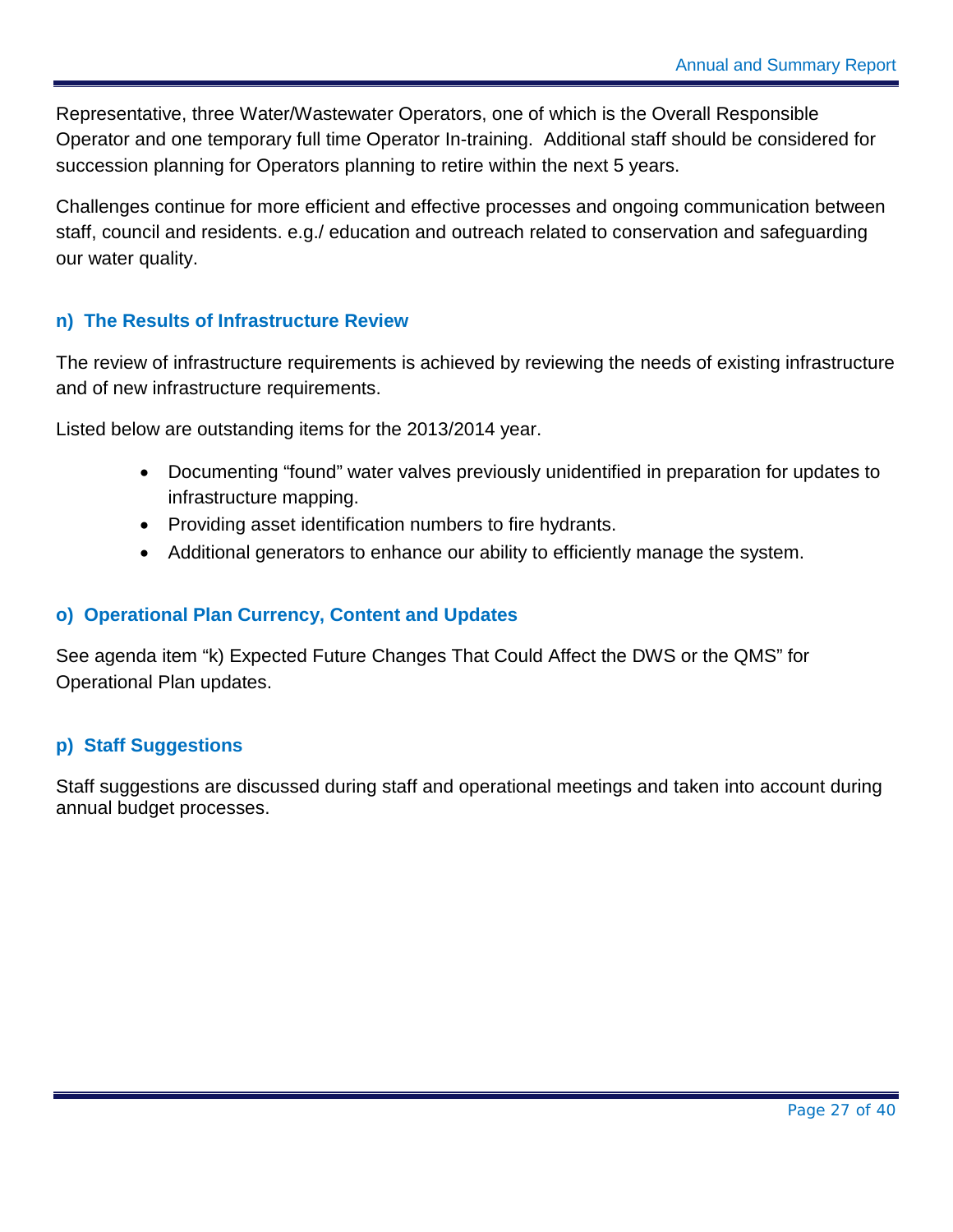Representative, three Water/Wastewater Operators, one of which is the Overall Responsible Operator and one temporary full time Operator In-training. Additional staff should be considered for succession planning for Operators planning to retire within the next 5 years.

Challenges continue for more efficient and effective processes and ongoing communication between staff, council and residents. e.g./ education and outreach related to conservation and safeguarding our water quality.

#### <span id="page-27-0"></span>**n) The Results of Infrastructure Review**

The review of infrastructure requirements is achieved by reviewing the needs of existing infrastructure and of new infrastructure requirements.

Listed below are outstanding items for the 2013/2014 year.

- Documenting "found" water valves previously unidentified in preparation for updates to infrastructure mapping.
- Providing asset identification numbers to fire hydrants.
- Additional generators to enhance our ability to efficiently manage the system.

#### <span id="page-27-1"></span>**o) Operational Plan Currency, Content and Updates**

See agenda item "k) Expected Future Changes That Could Affect the DWS or the QMS" for Operational Plan updates.

#### <span id="page-27-2"></span>**p) Staff Suggestions**

Staff suggestions are discussed during staff and operational meetings and taken into account during annual budget processes.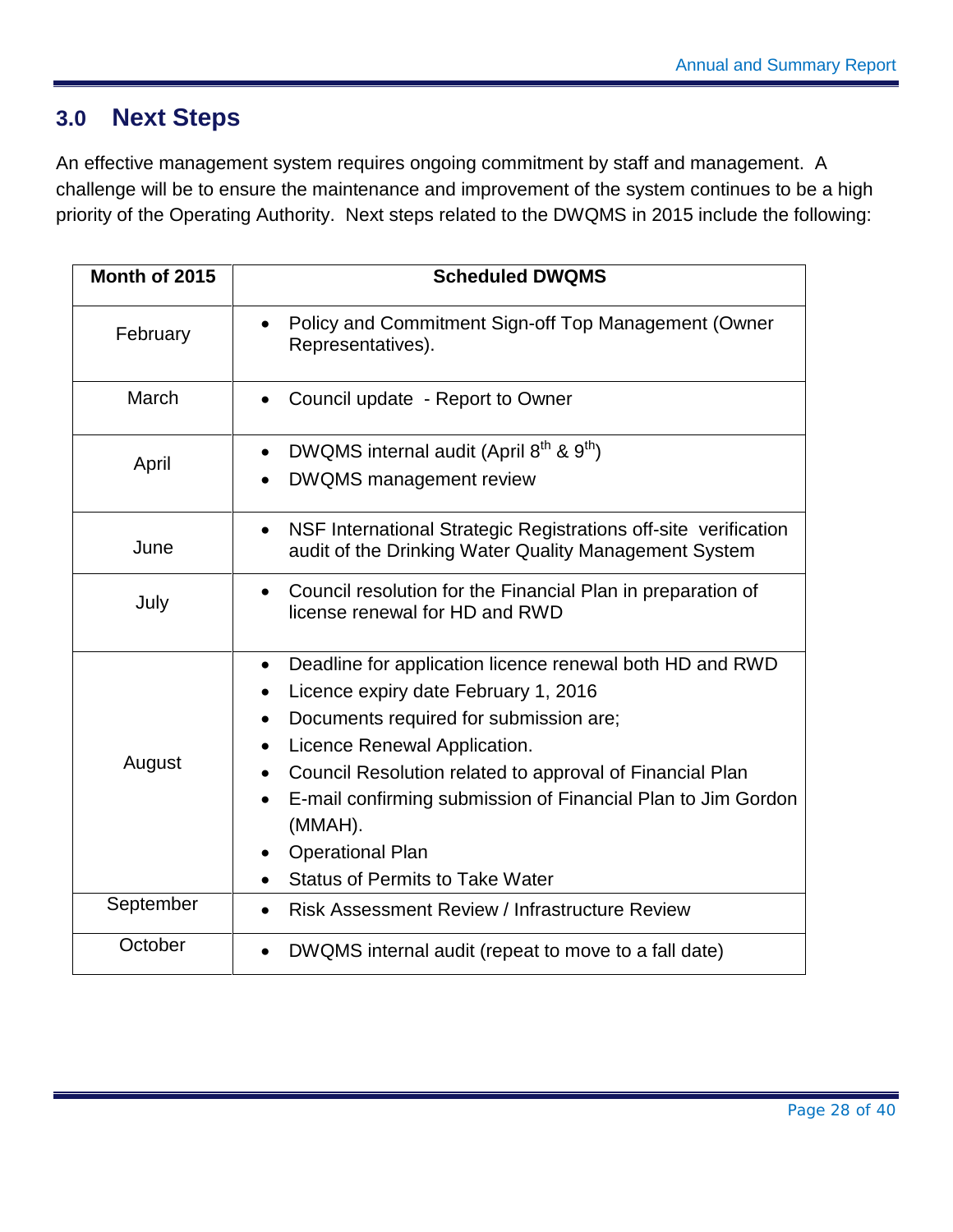### <span id="page-28-0"></span>**3.0 Next Steps**

An effective management system requires ongoing commitment by staff and management. A challenge will be to ensure the maintenance and improvement of the system continues to be a high priority of the Operating Authority. Next steps related to the DWQMS in 2015 include the following:

| Month of 2015 | <b>Scheduled DWQMS</b>                                                                                                                                                                                                                                                                                                                                                                              |
|---------------|-----------------------------------------------------------------------------------------------------------------------------------------------------------------------------------------------------------------------------------------------------------------------------------------------------------------------------------------------------------------------------------------------------|
| February      | Policy and Commitment Sign-off Top Management (Owner<br>Representatives).                                                                                                                                                                                                                                                                                                                           |
| March         | Council update - Report to Owner                                                                                                                                                                                                                                                                                                                                                                    |
| April         | DWQMS internal audit (April 8 <sup>th</sup> & 9 <sup>th</sup> )<br><b>DWQMS</b> management review                                                                                                                                                                                                                                                                                                   |
| June          | NSF International Strategic Registrations off-site verification<br>$\bullet$<br>audit of the Drinking Water Quality Management System                                                                                                                                                                                                                                                               |
| July          | Council resolution for the Financial Plan in preparation of<br>$\bullet$<br>license renewal for HD and RWD                                                                                                                                                                                                                                                                                          |
| August        | Deadline for application licence renewal both HD and RWD<br>$\bullet$<br>Licence expiry date February 1, 2016<br>Documents required for submission are;<br>Licence Renewal Application.<br>Council Resolution related to approval of Financial Plan<br>E-mail confirming submission of Financial Plan to Jim Gordon<br>(MMAH).<br><b>Operational Plan</b><br><b>Status of Permits to Take Water</b> |
| September     | <b>Risk Assessment Review / Infrastructure Review</b>                                                                                                                                                                                                                                                                                                                                               |
| October       | DWQMS internal audit (repeat to move to a fall date)                                                                                                                                                                                                                                                                                                                                                |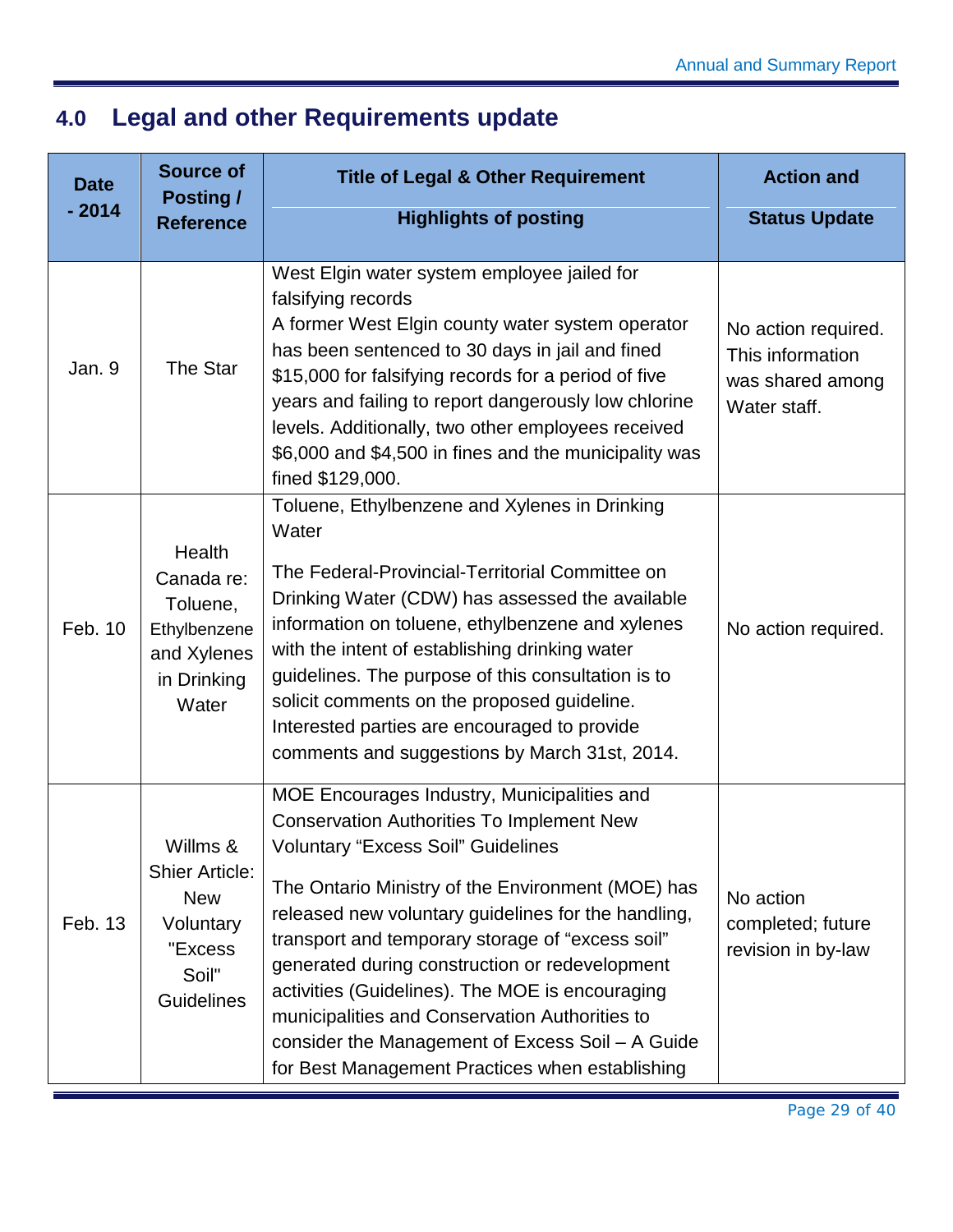## <span id="page-29-0"></span>**4.0 Legal and other Requirements update**

| <b>Date</b> | <b>Source of</b><br><b>Posting /</b>                                                                  | <b>Title of Legal &amp; Other Requirement</b>                                                                                                                                                                                                                                                                                                                                                                                                                                                                                                                              | <b>Action and</b>                                                           |
|-------------|-------------------------------------------------------------------------------------------------------|----------------------------------------------------------------------------------------------------------------------------------------------------------------------------------------------------------------------------------------------------------------------------------------------------------------------------------------------------------------------------------------------------------------------------------------------------------------------------------------------------------------------------------------------------------------------------|-----------------------------------------------------------------------------|
| $-2014$     | <b>Reference</b>                                                                                      | <b>Highlights of posting</b>                                                                                                                                                                                                                                                                                                                                                                                                                                                                                                                                               | <b>Status Update</b>                                                        |
| Jan. 9      | The Star                                                                                              | West Elgin water system employee jailed for<br>falsifying records<br>A former West Elgin county water system operator<br>has been sentenced to 30 days in jail and fined<br>\$15,000 for falsifying records for a period of five<br>years and failing to report dangerously low chlorine<br>levels. Additionally, two other employees received<br>\$6,000 and \$4,500 in fines and the municipality was<br>fined \$129,000.                                                                                                                                                | No action required.<br>This information<br>was shared among<br>Water staff. |
| Feb. 10     | Health<br>Canada re:<br>Toluene,<br>Ethylbenzene<br>and Xylenes<br>in Drinking<br>Water               | Toluene, Ethylbenzene and Xylenes in Drinking<br>Water<br>The Federal-Provincial-Territorial Committee on<br>Drinking Water (CDW) has assessed the available<br>information on toluene, ethylbenzene and xylenes<br>with the intent of establishing drinking water<br>guidelines. The purpose of this consultation is to<br>solicit comments on the proposed guideline.<br>Interested parties are encouraged to provide<br>comments and suggestions by March 31st, 2014.                                                                                                   | No action required.                                                         |
| Feb. 13     | Willms &<br><b>Shier Article:</b><br><b>New</b><br>Voluntary<br>"Excess<br>Soil"<br><b>Guidelines</b> | MOE Encourages Industry, Municipalities and<br><b>Conservation Authorities To Implement New</b><br><b>Voluntary "Excess Soil" Guidelines</b><br>The Ontario Ministry of the Environment (MOE) has<br>released new voluntary guidelines for the handling,<br>transport and temporary storage of "excess soil"<br>generated during construction or redevelopment<br>activities (Guidelines). The MOE is encouraging<br>municipalities and Conservation Authorities to<br>consider the Management of Excess Soil - A Guide<br>for Best Management Practices when establishing | No action<br>completed; future<br>revision in by-law                        |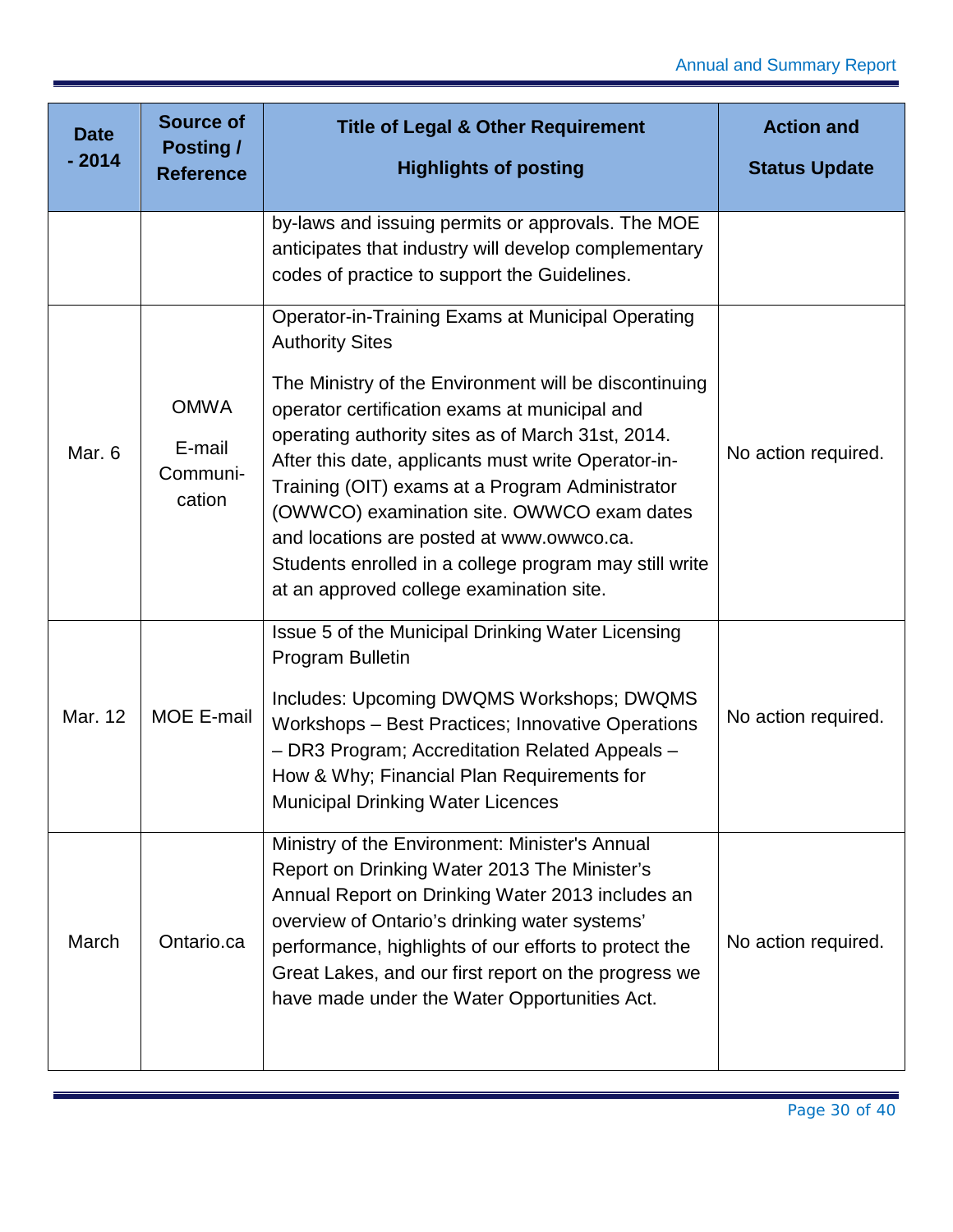| <b>Date</b><br>$-2014$ | <b>Source of</b><br><b>Posting /</b><br><b>Reference</b> | <b>Title of Legal &amp; Other Requirement</b><br><b>Highlights of posting</b>                                                                                                                                                                                                                                                                                                                                                                                                                                                                                | <b>Action and</b><br><b>Status Update</b> |
|------------------------|----------------------------------------------------------|--------------------------------------------------------------------------------------------------------------------------------------------------------------------------------------------------------------------------------------------------------------------------------------------------------------------------------------------------------------------------------------------------------------------------------------------------------------------------------------------------------------------------------------------------------------|-------------------------------------------|
|                        |                                                          |                                                                                                                                                                                                                                                                                                                                                                                                                                                                                                                                                              |                                           |
|                        |                                                          | by-laws and issuing permits or approvals. The MOE<br>anticipates that industry will develop complementary<br>codes of practice to support the Guidelines.                                                                                                                                                                                                                                                                                                                                                                                                    |                                           |
| Mar. 6                 | <b>OMWA</b><br>E-mail<br>Communi-<br>cation              | <b>Operator-in-Training Exams at Municipal Operating</b><br><b>Authority Sites</b><br>The Ministry of the Environment will be discontinuing<br>operator certification exams at municipal and<br>operating authority sites as of March 31st, 2014.<br>After this date, applicants must write Operator-in-<br>Training (OIT) exams at a Program Administrator<br>(OWWCO) examination site. OWWCO exam dates<br>and locations are posted at www.owwco.ca.<br>Students enrolled in a college program may still write<br>at an approved college examination site. | No action required.                       |
| Mar. 12                | <b>MOE E-mail</b>                                        | Issue 5 of the Municipal Drinking Water Licensing<br>Program Bulletin<br>Includes: Upcoming DWQMS Workshops; DWQMS<br>Workshops - Best Practices; Innovative Operations<br>- DR3 Program; Accreditation Related Appeals -<br>How & Why; Financial Plan Requirements for<br><b>Municipal Drinking Water Licences</b>                                                                                                                                                                                                                                          | No action required.                       |
| March                  | Ontario.ca                                               | Ministry of the Environment: Minister's Annual<br>Report on Drinking Water 2013 The Minister's<br>Annual Report on Drinking Water 2013 includes an<br>overview of Ontario's drinking water systems'<br>performance, highlights of our efforts to protect the<br>Great Lakes, and our first report on the progress we<br>have made under the Water Opportunities Act.                                                                                                                                                                                         | No action required.                       |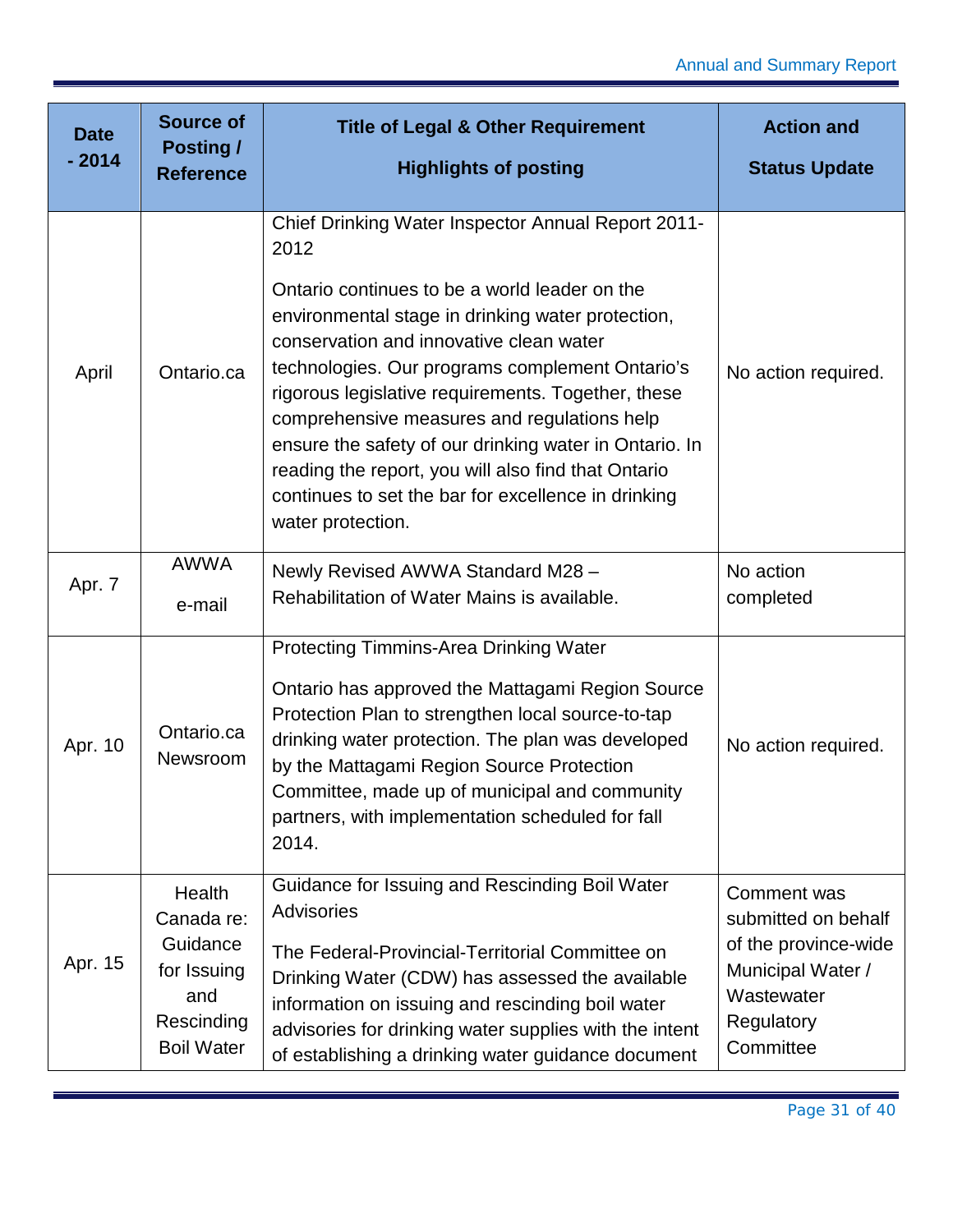| <b>Date</b><br>$-2014$ | <b>Source of</b><br><b>Posting /</b><br><b>Reference</b>                                  | <b>Title of Legal &amp; Other Requirement</b><br><b>Highlights of posting</b>                                                                                                                                                                                                                                                                                                                                                                                                                      | <b>Action and</b><br><b>Status Update</b>                                                                                |
|------------------------|-------------------------------------------------------------------------------------------|----------------------------------------------------------------------------------------------------------------------------------------------------------------------------------------------------------------------------------------------------------------------------------------------------------------------------------------------------------------------------------------------------------------------------------------------------------------------------------------------------|--------------------------------------------------------------------------------------------------------------------------|
|                        |                                                                                           |                                                                                                                                                                                                                                                                                                                                                                                                                                                                                                    |                                                                                                                          |
|                        |                                                                                           | Chief Drinking Water Inspector Annual Report 2011-<br>2012                                                                                                                                                                                                                                                                                                                                                                                                                                         |                                                                                                                          |
| April                  | Ontario.ca                                                                                | Ontario continues to be a world leader on the<br>environmental stage in drinking water protection,<br>conservation and innovative clean water<br>technologies. Our programs complement Ontario's<br>rigorous legislative requirements. Together, these<br>comprehensive measures and regulations help<br>ensure the safety of our drinking water in Ontario. In<br>reading the report, you will also find that Ontario<br>continues to set the bar for excellence in drinking<br>water protection. | No action required.                                                                                                      |
|                        | <b>AWWA</b>                                                                               | Newly Revised AWWA Standard M28 -                                                                                                                                                                                                                                                                                                                                                                                                                                                                  | No action                                                                                                                |
| Apr. 7                 | e-mail                                                                                    | Rehabilitation of Water Mains is available.                                                                                                                                                                                                                                                                                                                                                                                                                                                        | completed                                                                                                                |
| Apr. 10                | Ontario.ca<br>Newsroom                                                                    | Protecting Timmins-Area Drinking Water<br>Ontario has approved the Mattagami Region Source<br>Protection Plan to strengthen local source-to-tap<br>drinking water protection. The plan was developed<br>by the Mattagami Region Source Protection<br>Committee, made up of municipal and community<br>partners, with implementation scheduled for fall<br>2014.                                                                                                                                    | No action required.                                                                                                      |
| Apr. 15                | Health<br>Canada re:<br>Guidance<br>for Issuing<br>and<br>Rescinding<br><b>Boil Water</b> | Guidance for Issuing and Rescinding Boil Water<br>Advisories<br>The Federal-Provincial-Territorial Committee on<br>Drinking Water (CDW) has assessed the available<br>information on issuing and rescinding boil water<br>advisories for drinking water supplies with the intent<br>of establishing a drinking water guidance document                                                                                                                                                             | Comment was<br>submitted on behalf<br>of the province-wide<br>Municipal Water /<br>Wastewater<br>Regulatory<br>Committee |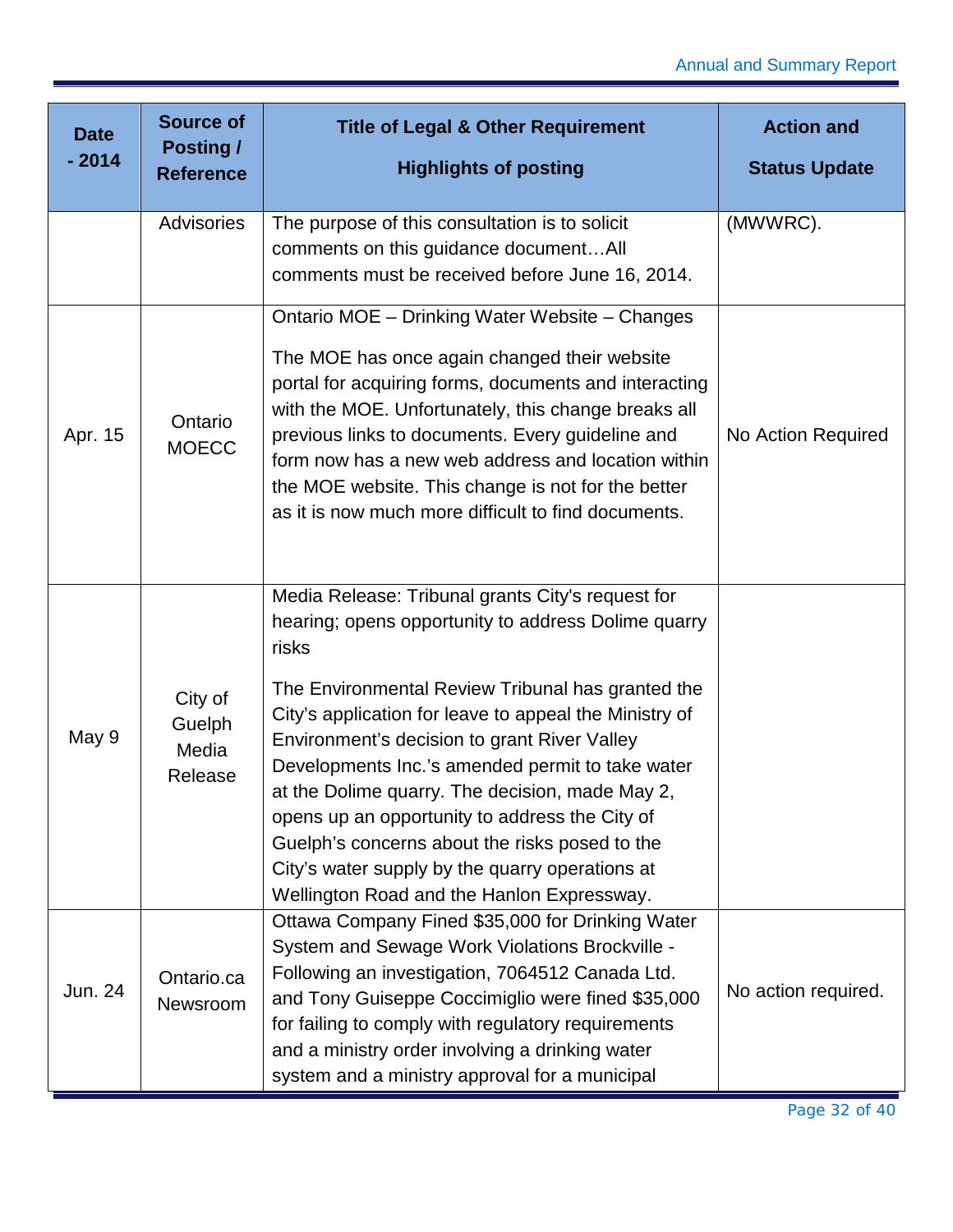| <b>Date</b><br>$-2014$ | <b>Source of</b><br><b>Posting /</b><br><b>Reference</b> | <b>Title of Legal &amp; Other Requirement</b><br><b>Highlights of posting</b>                                                                                                                                                                                                                                                                                                                                                                                                                                                                                                                | <b>Action and</b><br><b>Status Update</b> |
|------------------------|----------------------------------------------------------|----------------------------------------------------------------------------------------------------------------------------------------------------------------------------------------------------------------------------------------------------------------------------------------------------------------------------------------------------------------------------------------------------------------------------------------------------------------------------------------------------------------------------------------------------------------------------------------------|-------------------------------------------|
|                        | <b>Advisories</b>                                        | The purpose of this consultation is to solicit<br>comments on this guidance documentAll<br>comments must be received before June 16, 2014.                                                                                                                                                                                                                                                                                                                                                                                                                                                   | (MWWRC).                                  |
| Apr. 15                | Ontario<br><b>MOECC</b>                                  | Ontario MOE - Drinking Water Website - Changes<br>The MOE has once again changed their website<br>portal for acquiring forms, documents and interacting<br>with the MOE. Unfortunately, this change breaks all<br>previous links to documents. Every guideline and<br>form now has a new web address and location within<br>the MOE website. This change is not for the better<br>as it is now much more difficult to find documents.                                                                                                                                                        | No Action Required                        |
| May 9                  | City of<br>Guelph<br>Media<br>Release                    | Media Release: Tribunal grants City's request for<br>hearing; opens opportunity to address Dolime quarry<br>risks<br>The Environmental Review Tribunal has granted the<br>City's application for leave to appeal the Ministry of<br>Environment's decision to grant River Valley<br>Developments Inc.'s amended permit to take water<br>at the Dolime quarry. The decision, made May 2,<br>opens up an opportunity to address the City of<br>Guelph's concerns about the risks posed to the<br>City's water supply by the quarry operations at<br>Wellington Road and the Hanlon Expressway. |                                           |
| Jun. 24                | Ontario.ca<br>Newsroom                                   | Ottawa Company Fined \$35,000 for Drinking Water<br>System and Sewage Work Violations Brockville -<br>Following an investigation, 7064512 Canada Ltd.<br>and Tony Guiseppe Coccimiglio were fined \$35,000<br>for failing to comply with regulatory requirements<br>and a ministry order involving a drinking water<br>system and a ministry approval for a municipal                                                                                                                                                                                                                        | No action required.                       |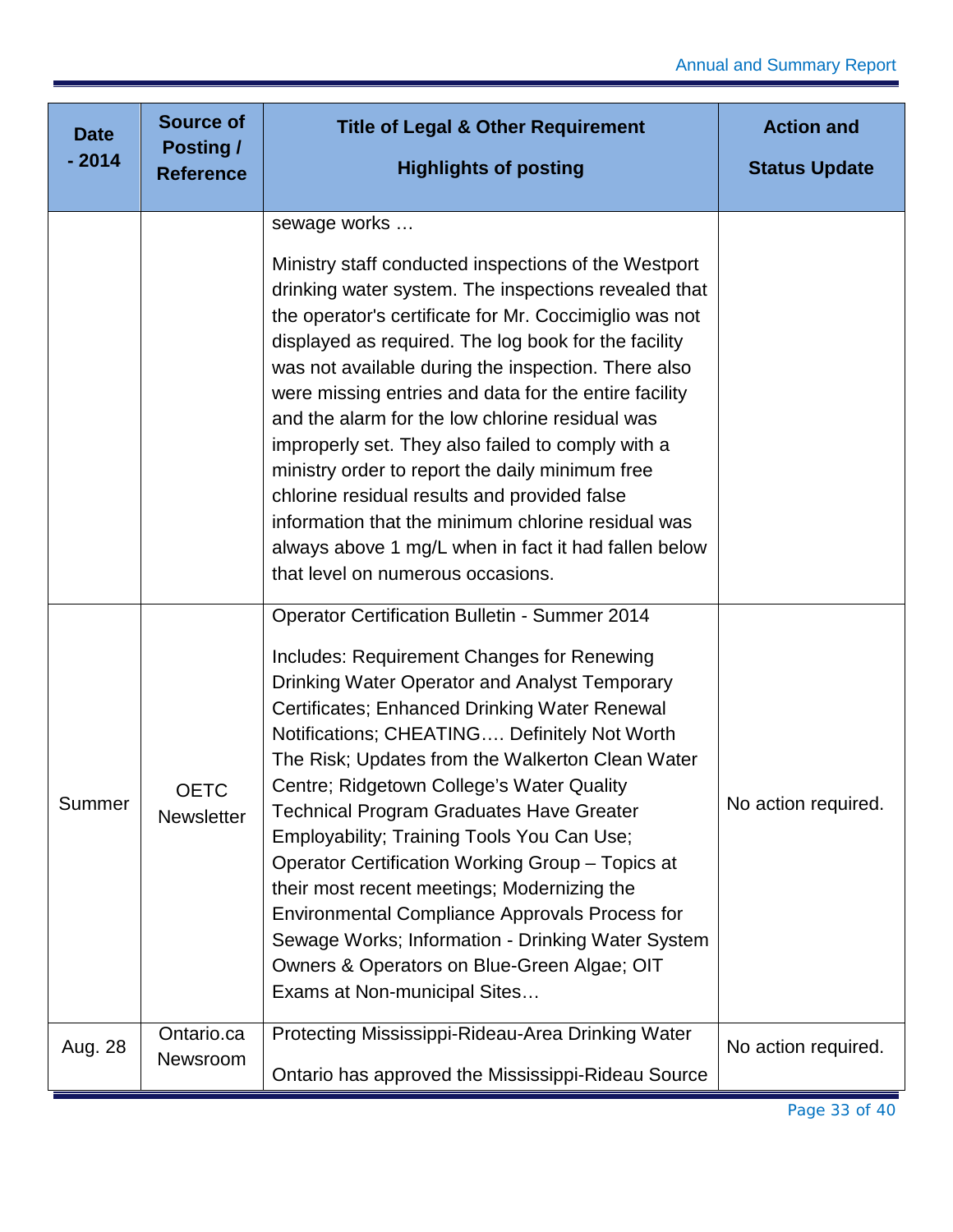| <b>Date</b> | <b>Source of</b><br><b>Posting /</b> | <b>Title of Legal &amp; Other Requirement</b>                                                                                                                                                                                                                                                                                                                                                                                                                                                                                                                                                                                                                                                                                                          | <b>Action and</b>    |
|-------------|--------------------------------------|--------------------------------------------------------------------------------------------------------------------------------------------------------------------------------------------------------------------------------------------------------------------------------------------------------------------------------------------------------------------------------------------------------------------------------------------------------------------------------------------------------------------------------------------------------------------------------------------------------------------------------------------------------------------------------------------------------------------------------------------------------|----------------------|
| $-2014$     | <b>Reference</b>                     | <b>Highlights of posting</b>                                                                                                                                                                                                                                                                                                                                                                                                                                                                                                                                                                                                                                                                                                                           | <b>Status Update</b> |
|             |                                      | sewage works                                                                                                                                                                                                                                                                                                                                                                                                                                                                                                                                                                                                                                                                                                                                           |                      |
|             |                                      | Ministry staff conducted inspections of the Westport<br>drinking water system. The inspections revealed that<br>the operator's certificate for Mr. Coccimiglio was not<br>displayed as required. The log book for the facility<br>was not available during the inspection. There also<br>were missing entries and data for the entire facility<br>and the alarm for the low chlorine residual was<br>improperly set. They also failed to comply with a<br>ministry order to report the daily minimum free<br>chlorine residual results and provided false<br>information that the minimum chlorine residual was<br>always above 1 mg/L when in fact it had fallen below<br>that level on numerous occasions.                                           |                      |
| Summer      | <b>OETC</b><br>Newsletter            | <b>Operator Certification Bulletin - Summer 2014</b><br>Includes: Requirement Changes for Renewing<br>Drinking Water Operator and Analyst Temporary<br>Certificates; Enhanced Drinking Water Renewal<br>Notifications; CHEATING Definitely Not Worth<br>The Risk; Updates from the Walkerton Clean Water<br>Centre; Ridgetown College's Water Quality<br><b>Technical Program Graduates Have Greater</b><br>Employability; Training Tools You Can Use;<br>Operator Certification Working Group - Topics at<br>their most recent meetings; Modernizing the<br><b>Environmental Compliance Approvals Process for</b><br>Sewage Works; Information - Drinking Water System<br>Owners & Operators on Blue-Green Algae; OIT<br>Exams at Non-municipal Sites | No action required.  |
| Aug. 28     | Ontario.ca<br>Newsroom               | Protecting Mississippi-Rideau-Area Drinking Water<br>Ontario has approved the Mississippi-Rideau Source                                                                                                                                                                                                                                                                                                                                                                                                                                                                                                                                                                                                                                                | No action required.  |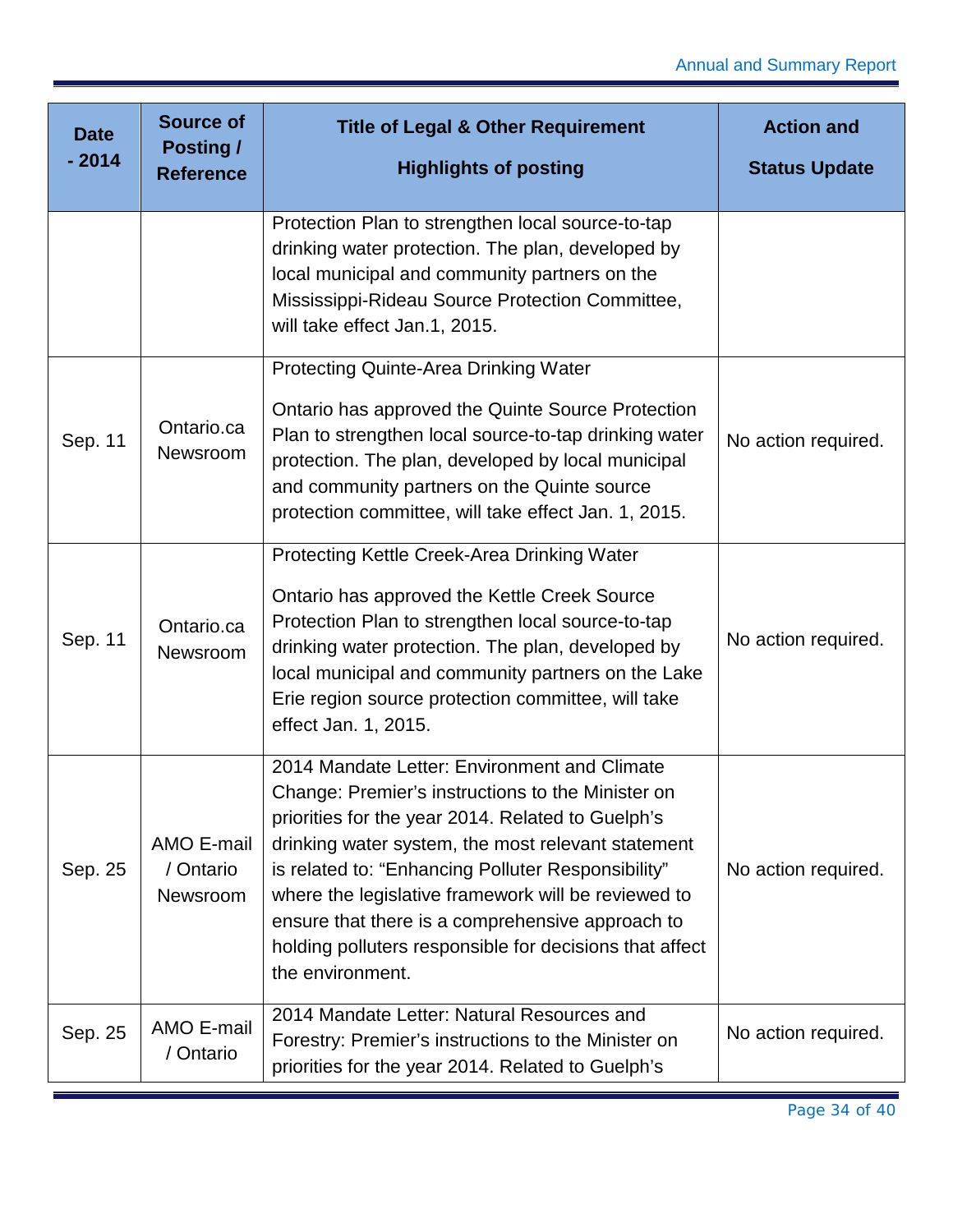| <b>Date</b> | <b>Source of</b><br><b>Posting /</b> | <b>Title of Legal &amp; Other Requirement</b>                                                                                                                                                                                                                                                                                                                                                                                                                | <b>Action and</b>    |
|-------------|--------------------------------------|--------------------------------------------------------------------------------------------------------------------------------------------------------------------------------------------------------------------------------------------------------------------------------------------------------------------------------------------------------------------------------------------------------------------------------------------------------------|----------------------|
| $-2014$     | <b>Reference</b>                     | <b>Highlights of posting</b>                                                                                                                                                                                                                                                                                                                                                                                                                                 | <b>Status Update</b> |
|             |                                      | Protection Plan to strengthen local source-to-tap<br>drinking water protection. The plan, developed by<br>local municipal and community partners on the<br>Mississippi-Rideau Source Protection Committee,<br>will take effect Jan.1, 2015.                                                                                                                                                                                                                  |                      |
| Sep. 11     | Ontario.ca<br>Newsroom               | Protecting Quinte-Area Drinking Water<br>Ontario has approved the Quinte Source Protection<br>Plan to strengthen local source-to-tap drinking water<br>protection. The plan, developed by local municipal<br>and community partners on the Quinte source<br>protection committee, will take effect Jan. 1, 2015.                                                                                                                                             | No action required.  |
| Sep. 11     | Ontario.ca<br>Newsroom               | Protecting Kettle Creek-Area Drinking Water<br>Ontario has approved the Kettle Creek Source<br>Protection Plan to strengthen local source-to-tap<br>drinking water protection. The plan, developed by<br>local municipal and community partners on the Lake<br>Erie region source protection committee, will take<br>effect Jan. 1, 2015.                                                                                                                    | No action required.  |
| Sep. 25     | AMO E-mail<br>/ Ontario<br>Newsroom  | 2014 Mandate Letter: Environment and Climate<br>Change: Premier's instructions to the Minister on<br>priorities for the year 2014. Related to Guelph's<br>drinking water system, the most relevant statement<br>is related to: "Enhancing Polluter Responsibility"<br>where the legislative framework will be reviewed to<br>ensure that there is a comprehensive approach to<br>holding polluters responsible for decisions that affect<br>the environment. | No action required.  |
| Sep. 25     | AMO E-mail<br>/ Ontario              | 2014 Mandate Letter: Natural Resources and<br>Forestry: Premier's instructions to the Minister on<br>priorities for the year 2014. Related to Guelph's                                                                                                                                                                                                                                                                                                       | No action required.  |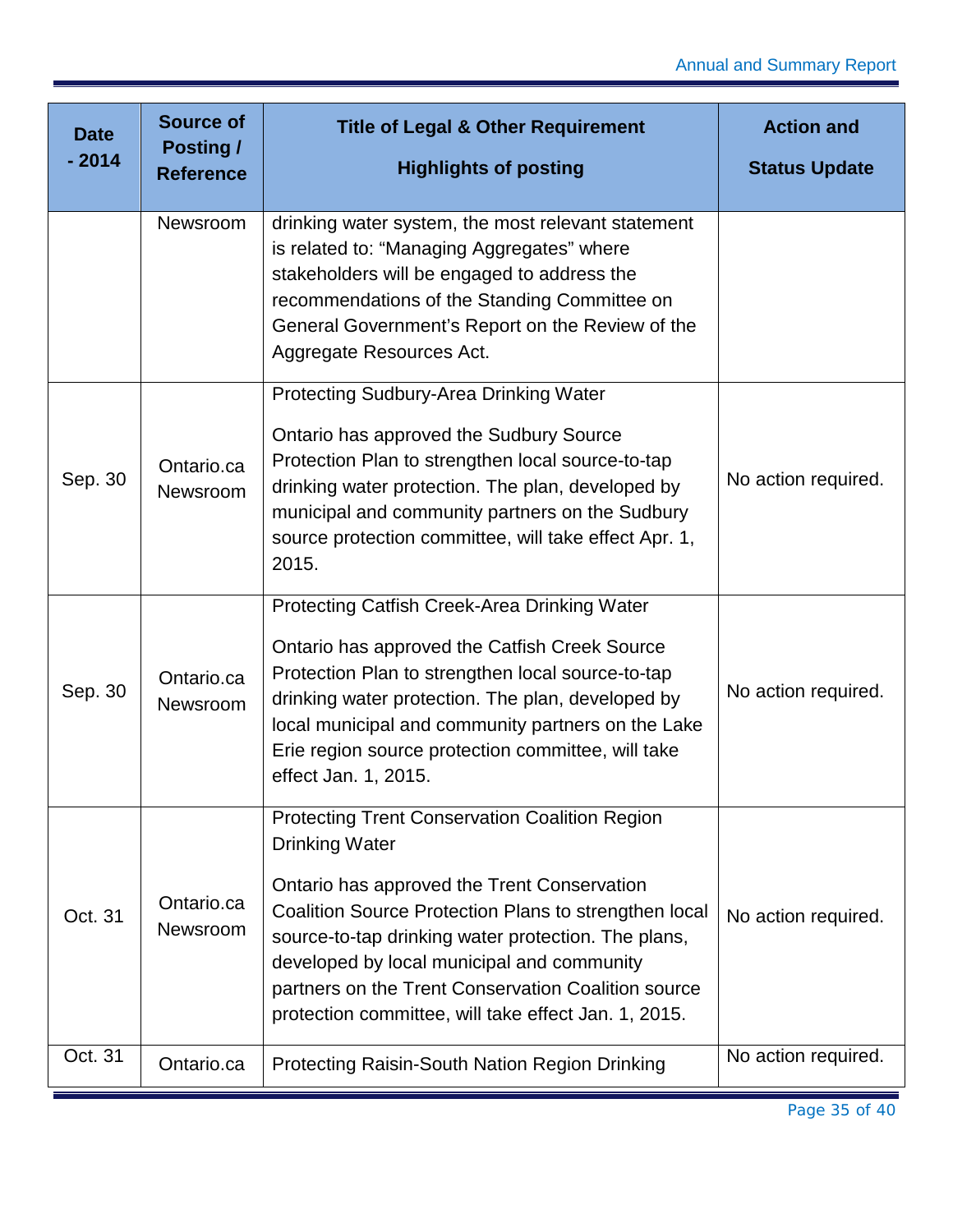| <b>Date</b> | <b>Source of</b><br>Posting / | <b>Title of Legal &amp; Other Requirement</b>                                                                                                                                                                                                                                                                                                                                                              | <b>Action and</b>    |
|-------------|-------------------------------|------------------------------------------------------------------------------------------------------------------------------------------------------------------------------------------------------------------------------------------------------------------------------------------------------------------------------------------------------------------------------------------------------------|----------------------|
| $-2014$     | <b>Reference</b>              | <b>Highlights of posting</b>                                                                                                                                                                                                                                                                                                                                                                               | <b>Status Update</b> |
|             | Newsroom                      | drinking water system, the most relevant statement<br>is related to: "Managing Aggregates" where<br>stakeholders will be engaged to address the<br>recommendations of the Standing Committee on<br>General Government's Report on the Review of the<br>Aggregate Resources Act.                                                                                                                            |                      |
| Sep. 30     | Ontario.ca<br>Newsroom        | <b>Protecting Sudbury-Area Drinking Water</b><br>Ontario has approved the Sudbury Source<br>Protection Plan to strengthen local source-to-tap<br>drinking water protection. The plan, developed by<br>municipal and community partners on the Sudbury<br>source protection committee, will take effect Apr. 1,<br>2015.                                                                                    | No action required.  |
| Sep. 30     | Ontario.ca<br>Newsroom        | Protecting Catfish Creek-Area Drinking Water<br>Ontario has approved the Catfish Creek Source<br>Protection Plan to strengthen local source-to-tap<br>drinking water protection. The plan, developed by<br>local municipal and community partners on the Lake<br>Erie region source protection committee, will take<br>effect Jan. 1, 2015.                                                                | No action required.  |
| Oct. 31     | Ontario.ca<br>Newsroom        | <b>Protecting Trent Conservation Coalition Region</b><br><b>Drinking Water</b><br>Ontario has approved the Trent Conservation<br>Coalition Source Protection Plans to strengthen local<br>source-to-tap drinking water protection. The plans,<br>developed by local municipal and community<br>partners on the Trent Conservation Coalition source<br>protection committee, will take effect Jan. 1, 2015. | No action required.  |
| Oct. 31     | Ontario.ca                    | <b>Protecting Raisin-South Nation Region Drinking</b>                                                                                                                                                                                                                                                                                                                                                      | No action required.  |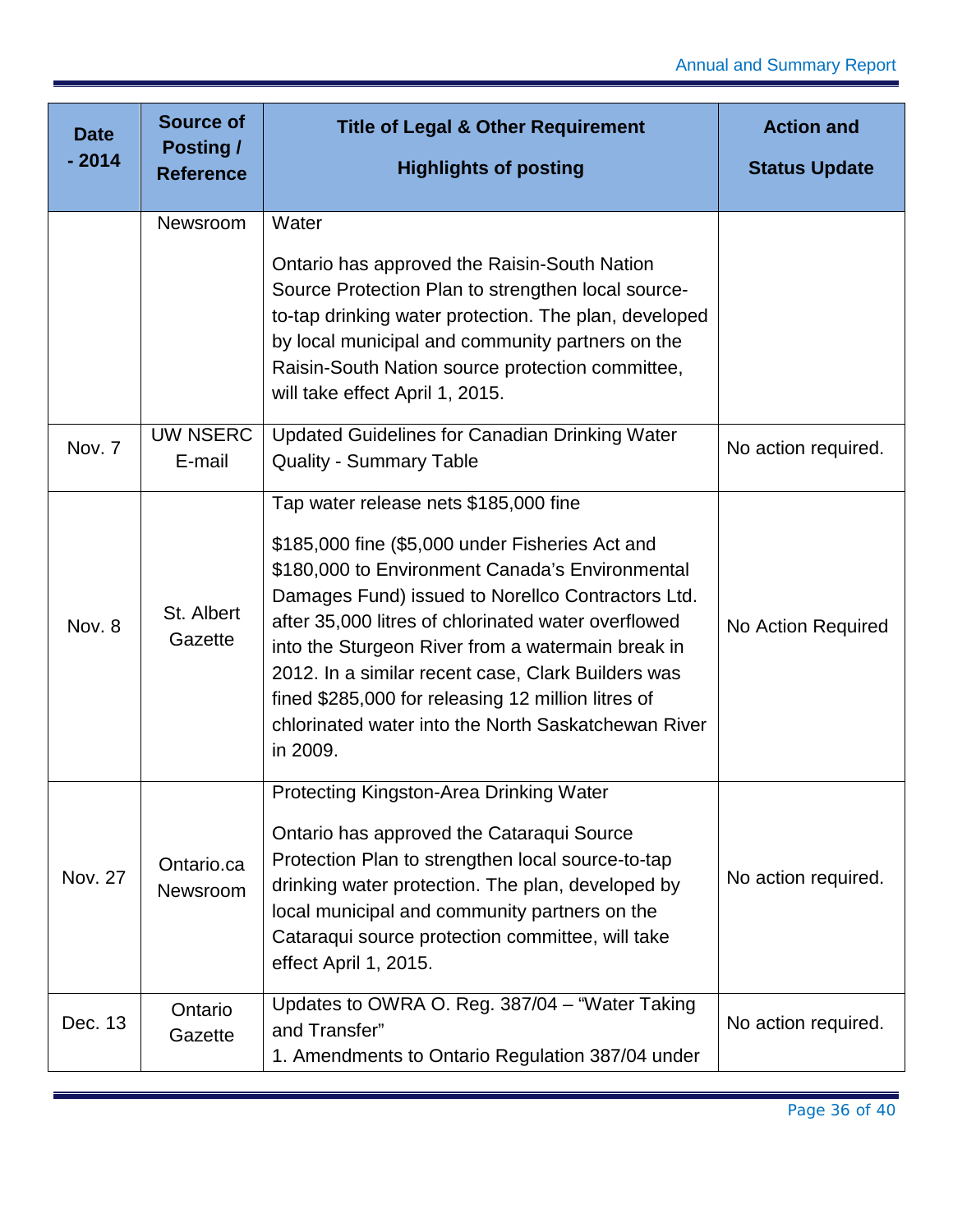| <b>Date</b>    | <b>Source of</b><br><b>Posting /</b> | <b>Title of Legal &amp; Other Requirement</b>                                                                                                                                                                                                                                                                                                                                                                                                                                               | <b>Action and</b>    |
|----------------|--------------------------------------|---------------------------------------------------------------------------------------------------------------------------------------------------------------------------------------------------------------------------------------------------------------------------------------------------------------------------------------------------------------------------------------------------------------------------------------------------------------------------------------------|----------------------|
| $-2014$        | <b>Reference</b>                     | <b>Highlights of posting</b>                                                                                                                                                                                                                                                                                                                                                                                                                                                                | <b>Status Update</b> |
|                | Newsroom                             | Water                                                                                                                                                                                                                                                                                                                                                                                                                                                                                       |                      |
|                |                                      | Ontario has approved the Raisin-South Nation<br>Source Protection Plan to strengthen local source-<br>to-tap drinking water protection. The plan, developed<br>by local municipal and community partners on the<br>Raisin-South Nation source protection committee,<br>will take effect April 1, 2015.                                                                                                                                                                                      |                      |
| Nov. 7         | <b>UW NSERC</b><br>E-mail            | <b>Updated Guidelines for Canadian Drinking Water</b><br><b>Quality - Summary Table</b>                                                                                                                                                                                                                                                                                                                                                                                                     | No action required.  |
| Nov. 8         | St. Albert<br>Gazette                | Tap water release nets \$185,000 fine<br>\$185,000 fine (\$5,000 under Fisheries Act and<br>\$180,000 to Environment Canada's Environmental<br>Damages Fund) issued to Norellco Contractors Ltd.<br>after 35,000 litres of chlorinated water overflowed<br>into the Sturgeon River from a watermain break in<br>2012. In a similar recent case, Clark Builders was<br>fined \$285,000 for releasing 12 million litres of<br>chlorinated water into the North Saskatchewan River<br>in 2009. | No Action Required   |
| <b>Nov. 27</b> | Ontario.ca<br><b>Newsroom</b>        | Protecting Kingston-Area Drinking Water<br>Ontario has approved the Cataraqui Source<br>Protection Plan to strengthen local source-to-tap<br>drinking water protection. The plan, developed by<br>local municipal and community partners on the<br>Cataraqui source protection committee, will take<br>effect April 1, 2015.                                                                                                                                                                | No action required.  |
| Dec. 13        | Ontario<br>Gazette                   | Updates to OWRA O. Reg. 387/04 - "Water Taking<br>and Transfer"<br>1. Amendments to Ontario Regulation 387/04 under                                                                                                                                                                                                                                                                                                                                                                         | No action required.  |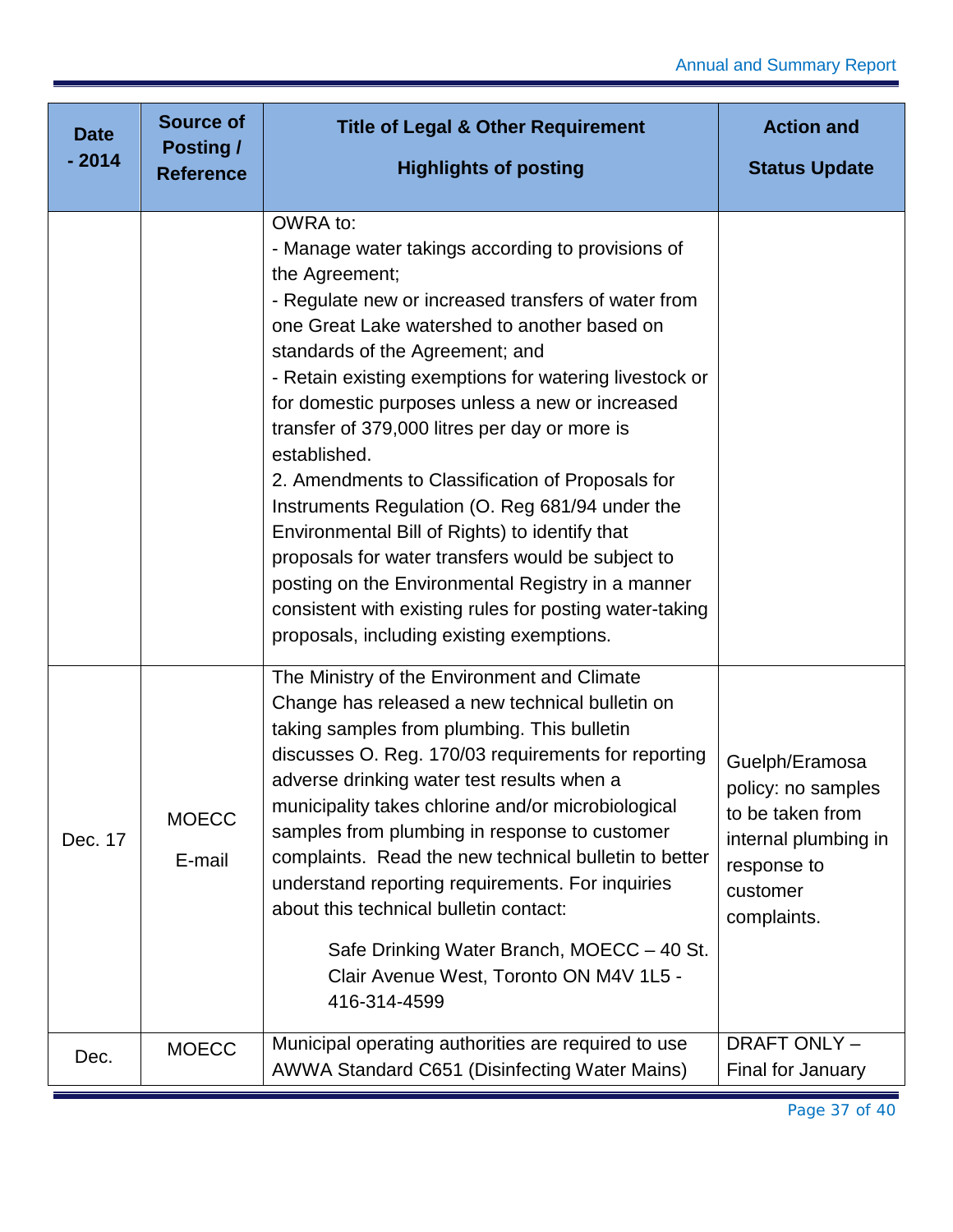| <b>Date</b><br>$-2014$ | <b>Source of</b><br><b>Posting /</b><br><b>Reference</b> | <b>Title of Legal &amp; Other Requirement</b><br><b>Highlights of posting</b>                                                                                                                                                                                                                                                                                                                                                                                                                                                                                                                                                                                                                                                                                                      | <b>Action and</b><br><b>Status Update</b>                                                                                  |
|------------------------|----------------------------------------------------------|------------------------------------------------------------------------------------------------------------------------------------------------------------------------------------------------------------------------------------------------------------------------------------------------------------------------------------------------------------------------------------------------------------------------------------------------------------------------------------------------------------------------------------------------------------------------------------------------------------------------------------------------------------------------------------------------------------------------------------------------------------------------------------|----------------------------------------------------------------------------------------------------------------------------|
|                        |                                                          |                                                                                                                                                                                                                                                                                                                                                                                                                                                                                                                                                                                                                                                                                                                                                                                    |                                                                                                                            |
|                        |                                                          | OWRA to:<br>- Manage water takings according to provisions of<br>the Agreement;<br>- Regulate new or increased transfers of water from<br>one Great Lake watershed to another based on<br>standards of the Agreement; and<br>- Retain existing exemptions for watering livestock or<br>for domestic purposes unless a new or increased<br>transfer of 379,000 litres per day or more is<br>established.<br>2. Amendments to Classification of Proposals for<br>Instruments Regulation (O. Reg 681/94 under the<br>Environmental Bill of Rights) to identify that<br>proposals for water transfers would be subject to<br>posting on the Environmental Registry in a manner<br>consistent with existing rules for posting water-taking<br>proposals, including existing exemptions. |                                                                                                                            |
| Dec. 17                | <b>MOECC</b><br>E-mail                                   | The Ministry of the Environment and Climate<br>Change has released a new technical bulletin on<br>taking samples from plumbing. This bulletin<br>discusses O. Reg. 170/03 requirements for reporting<br>adverse drinking water test results when a<br>municipality takes chlorine and/or microbiological<br>samples from plumbing in response to customer<br>complaints. Read the new technical bulletin to better<br>understand reporting requirements. For inquiries<br>about this technical bulletin contact:<br>Safe Drinking Water Branch, MOECC - 40 St.<br>Clair Avenue West, Toronto ON M4V 1L5 -<br>416-314-4599                                                                                                                                                          | Guelph/Eramosa<br>policy: no samples<br>to be taken from<br>internal plumbing in<br>response to<br>customer<br>complaints. |
| Dec.                   | <b>MOECC</b>                                             | Municipal operating authorities are required to use<br>AWWA Standard C651 (Disinfecting Water Mains)                                                                                                                                                                                                                                                                                                                                                                                                                                                                                                                                                                                                                                                                               | <b>DRAFT ONLY -</b><br>Final for January                                                                                   |